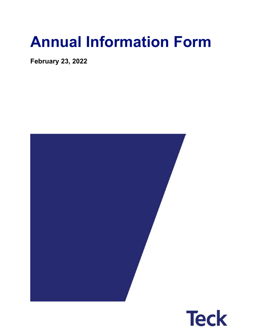# **Annual Information Form**

**February 23, 2022**



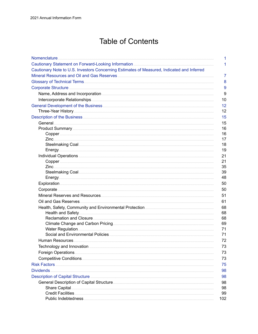## **Table of Contents**

|                                                                                            | $\mathbf{1}$ |
|--------------------------------------------------------------------------------------------|--------------|
|                                                                                            | 1            |
| Cautionary Note to U.S. Investors Concerning Estimates of Measured, Indicated and Inferred |              |
|                                                                                            | 7            |
|                                                                                            | 8            |
|                                                                                            | 9            |
|                                                                                            | 9            |
|                                                                                            | 10           |
|                                                                                            | 12           |
|                                                                                            | 12           |
|                                                                                            | 15           |
|                                                                                            | 15           |
|                                                                                            | 16           |
|                                                                                            | 16           |
|                                                                                            | 17           |
|                                                                                            | 18           |
|                                                                                            | 19           |
|                                                                                            | 21           |
|                                                                                            | 21           |
|                                                                                            | 35           |
|                                                                                            | 39<br>48     |
|                                                                                            | 50           |
|                                                                                            | 50           |
|                                                                                            | 51           |
|                                                                                            |              |
|                                                                                            | 61           |
|                                                                                            | 68<br>68     |
|                                                                                            | 68           |
|                                                                                            | 69           |
|                                                                                            | 71           |
|                                                                                            | 71           |
|                                                                                            | 72           |
|                                                                                            | 73           |
| Foreign Operations.                                                                        | 73           |
|                                                                                            | 73           |
|                                                                                            | 75           |
| <b>Dividends</b>                                                                           | 98           |
|                                                                                            | 98           |
|                                                                                            | 98           |
| <b>Share Capital</b>                                                                       | 98           |
| <b>Credit Facilities</b>                                                                   | 99           |
|                                                                                            | 102          |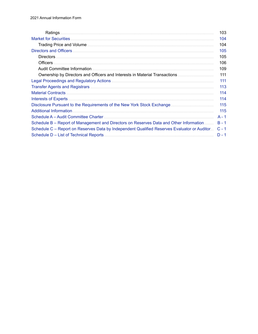| Ratings                                                                                     | 103     |
|---------------------------------------------------------------------------------------------|---------|
|                                                                                             | 104     |
|                                                                                             | 104     |
|                                                                                             | 105     |
| Directors                                                                                   | 105     |
| <b>Officers</b>                                                                             | 106     |
| Audit Committee Information                                                                 | 109     |
| Ownership by Directors and Officers and Interests in Material Transactions                  | 111     |
|                                                                                             | 111     |
|                                                                                             | 113     |
| <b>Material Contracts</b>                                                                   | 114     |
|                                                                                             | 114     |
|                                                                                             | 115     |
|                                                                                             | 115     |
|                                                                                             | $A - 1$ |
| Schedule B – Report of Management and Directors on Reserves Data and Other Information      | $B - 1$ |
| Schedule C – Report on Reserves Data by Independent Qualified Reserves Evaluator or Auditor | $C - 1$ |
|                                                                                             | D - 1   |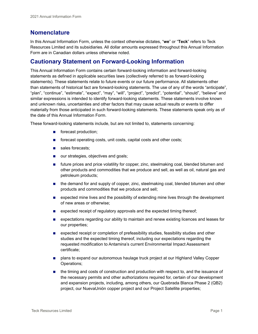## <span id="page-3-0"></span>**Nomenclature**

In this Annual Information Form, unless the context otherwise dictates, "**we**" or "**Teck**" refers to Teck Resources Limited and its subsidiaries. All dollar amounts expressed throughout this Annual Information Form are in Canadian dollars unless otherwise noted.

## **Cautionary Statement on Forward-Looking Information**

This Annual Information Form contains certain forward-looking information and forward-looking statements as defined in applicable securities laws (collectively referred to as forward-looking statements). These statements relate to future events or our future performance. All statements other than statements of historical fact are forward-looking statements. The use of any of the words "anticipate", "plan", "continue", "estimate", "expect", "may", "will", "project", "predict", "potential", "should", "believe" and similar expressions is intended to identify forward-looking statements. These statements involve known and unknown risks, uncertainties and other factors that may cause actual results or events to differ materially from those anticipated in such forward-looking statements. These statements speak only as of the date of this Annual Information Form.

These forward-looking statements include, but are not limited to, statements concerning:

- forecast production;
- forecast operating costs, unit costs, capital costs and other costs;
- sales forecasts;
- our strategies, objectives and goals;
- future prices and price volatility for copper, zinc, steelmaking coal, blended bitumen and other products and commodities that we produce and sell, as well as oil, natural gas and petroleum products;
- the demand for and supply of copper, zinc, steelmaking coal, blended bitumen and other products and commodities that we produce and sell;
- expected mine lives and the possibility of extending mine lives through the development of new areas or otherwise;
- expected receipt of regulatory approvals and the expected timing thereof;
- expectations regarding our ability to maintain and renew existing licences and leases for our properties;
- expected receipt or completion of prefeasibility studies, feasibility studies and other studies and the expected timing thereof, including our expectations regarding the requested modification to Antamina's current Environmental Impact Assessment certificate;
- plans to expand our autonomous haulage truck project at our Highland Valley Copper Operations;
- the timing and costs of construction and production with respect to, and the issuance of the necessary permits and other authorizations required for, certain of our development and expansion projects, including, among others, our Quebrada Blanca Phase 2 (QB2) project, our NuevaUnión copper project and our Project Satellite properties;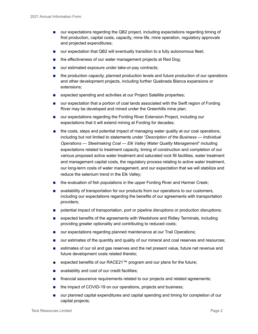- our expectations regarding the QB2 project, including expectations regarding timing of first production, capital costs, capacity, mine life, mine operation, regulatory approvals and projected expenditures;
- our expectation that QB2 will eventually transition to a fully autonomous fleet;
- the effectiveness of our water management projects at Red Dog;
- our estimated exposure under take-or-pay contracts;
- the production capacity, planned production levels and future production of our operations and other development projects, including further Quebrada Blanca expansions or extensions;
- expected spending and activities at our Project Satellite properties;
- our expectation that a portion of coal lands associated with the Swift region of Fording River may be developed and mined under the Greenhills mine plan;
- our expectations regarding the Fording River Extension Project, including our expectations that it will extend mining at Fording for decades;
- the costs, steps and potential impact of managing water quality at our coal operations, including but not limited to statements under "*Description of the Business — Individual Operations — Steelmaking Coal — Elk Valley Water Quality Management*" including expectations related to treatment capacity, timing of construction and completion of our various proposed active water treatment and saturated rock fill facilities, water treatment and management capital costs, the regulatory process relating to active water treatment, our long-term costs of water management, and our expectation that we will stabilize and reduce the selenium trend in the Elk Valley;
- the evaluation of fish populations in the upper Fording River and Harmer Creek;
- availability of transportation for our products from our operations to our customers, including our expectations regarding the benefits of our agreements with transportation providers;
- potential impact of transportation, port or pipeline disruptions or production disruptions;
- expected benefits of the agreements with Westshore and Ridley Terminals, including providing greater optionality and contributing to reduced costs;
- our expectations regarding planned maintenance at our Trail Operations;
- our estimates of the quantity and quality of our mineral and coal reserves and resources;
- estimates of our oil and gas reserves and the net present value, future net revenue and future development costs related thereto;
- expected benefits of our RACE21™ program and our plans for the future;
- availability and cost of our credit facilities;
- financial assurance requirements related to our projects and related agreements;
- the impact of COVID-19 on our operations, projects and business;
- our planned capital expenditures and capital spending and timing for completion of our capital projects;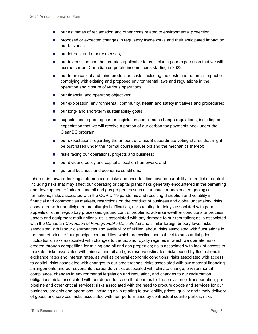- our estimates of reclamation and other costs related to environmental protection;
- proposed or expected changes in regulatory frameworks and their anticipated impact on our business;
- our interest and other expenses;
- our tax position and the tax rates applicable to us, including our expectation that we will accrue current Canadian corporate income taxes starting in 2022;
- our future capital and mine production costs, including the costs and potential impact of complying with existing and proposed environmental laws and regulations in the operation and closure of various operations;
- our financial and operating objectives;
- our exploration, environmental, community, health and safety initiatives and procedures;
- our long- and short-term sustainability goals;
- expectations regarding carbon legislation and climate change regulations, including our expectation that we will receive a portion of our carbon tax payments back under the CleanBC program;
- our expectations regarding the amount of Class B subordinate voting shares that might be purchased under the normal course issuer bid and the mechanics thereof;
- risks facing our operations, projects and business;
- our dividend policy and capital allocation framework; and
- general business and economic conditions.

Inherent in forward-looking statements are risks and uncertainties beyond our ability to predict or control, including risks that may affect our operating or capital plans; risks generally encountered in the permitting and development of mineral and oil and gas properties such as unusual or unexpected geological formations; risks associated with the COVID-19 pandemic and resulting disruption and volatility in financial and commodities markets, restrictions on the conduct of business and global uncertainty; risks associated with unanticipated metallurgical difficulties; risks relating to delays associated with permit appeals or other regulatory processes, ground control problems, adverse weather conditions or process upsets and equipment malfunctions; risks associated with any damage to our reputation; risks associated with the Canadian *Corruption of Foreign Public Officials Act* and similar foreign bribery laws; risks associated with labour disturbances and availability of skilled labour; risks associated with fluctuations in the market prices of our principal commodities, which are cyclical and subject to substantial price fluctuations; risks associated with changes to the tax and royalty regimes in which we operate; risks created through competition for mining and oil and gas properties; risks associated with lack of access to markets; risks associated with mineral and oil and gas reserve estimates; risks posed by fluctuations in exchange rates and interest rates, as well as general economic conditions; risks associated with access to capital; risks associated with changes to our credit ratings; risks associated with our material financing arrangements and our covenants thereunder; risks associated with climate change, environmental compliance, changes in environmental legislation and regulation, and changes to our reclamation obligations; risks associated with our dependence on third parties for the provision of transportation, port, pipeline and other critical services; risks associated with the need to procure goods and services for our business, projects and operations, including risks relating to availability, prices, quality and timely delivery of goods and services; risks associated with non-performance by contractual counterparties; risks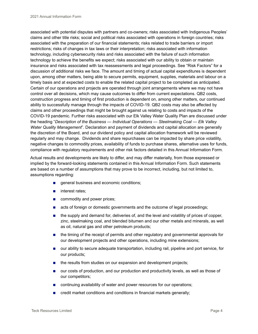associated with potential disputes with partners and co-owners; risks associated with Indigenous Peoples' claims and other title risks; social and political risks associated with operations in foreign countries; risks associated with the preparation of our financial statements; risks related to trade barriers or import restrictions; risks of changes in tax laws or their interpretation; risks associated with information technology, including cybersecurity risks and risks associated with the failure of such information technology to achieve the benefits we expect; risks associated with our ability to obtain or maintain insurance and risks associated with tax reassessments and legal proceedings. See "Risk Factors" for a discussion of additional risks we face. The amount and timing of actual capital expenditures is dependent upon, among other matters, being able to secure permits, equipment, supplies, materials and labour on a timely basis and at expected costs to enable the related capital project to be completed as anticipated. Certain of our operations and projects are operated through joint arrangements where we may not have control over all decisions, which may cause outcomes to differ from current expectations. QB2 costs, construction progress and timing of first production is dependent on, among other matters, our continued ability to successfully manage through the impacts of COVID-19. QB2 costs may also be affected by claims and other proceedings that might be brought against us relating to costs and impacts of the COVID-19 pandemic. Further risks associated with our Elk Valley Water Quality Plan are discussed under the heading "*Description of the Business — Individual Operations — Steelmaking Coal — Elk Valley Water Quality Management*". Declaration and payment of dividends and capital allocation are generally the discretion of the Board, and our dividend policy and capital allocation framework will be reviewed regularly and may change. Dividends and share repurchases can be impacted by share price volatility, negative changes to commodity prices, availability of funds to purchase shares, alternative uses for funds, compliance with regulatory requirements and other risk factors detailed in this Annual Information Form.

Actual results and developments are likely to differ, and may differ materially, from those expressed or implied by the forward-looking statements contained in this Annual Information Form. Such statements are based on a number of assumptions that may prove to be incorrect, including, but not limited to, assumptions regarding:

- general business and economic conditions;
- interest rates;
- commodity and power prices;
- acts of foreign or domestic governments and the outcome of legal proceedings;
- the supply and demand for, deliveries of, and the level and volatility of prices of copper, zinc, steelmaking coal, and blended bitumen and our other metals and minerals, as well as oil, natural gas and other petroleum products;
- the timing of the receipt of permits and other regulatory and governmental approvals for our development projects and other operations, including mine extensions;
- our ability to secure adequate transportation, including rail, pipeline and port service, for our products;
- the results from studies on our expansion and development projects;
- our costs of production, and our production and productivity levels, as well as those of our competitors;
- continuing availability of water and power resources for our operations;
- credit market conditions and conditions in financial markets generally;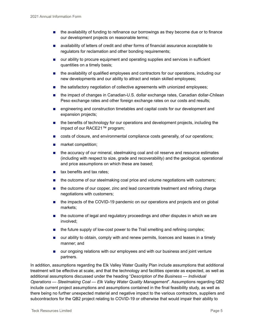- the availability of funding to refinance our borrowings as they become due or to finance our development projects on reasonable terms;
- availability of letters of credit and other forms of financial assurance acceptable to regulators for reclamation and other bonding requirements;
- our ability to procure equipment and operating supplies and services in sufficient quantities on a timely basis;
- the availability of qualified employees and contractors for our operations, including our new developments and our ability to attract and retain skilled employees;
- the satisfactory negotiation of collective agreements with unionized employees;
- the impact of changes in Canadian-U.S. dollar exchange rates, Canadian dollar-Chilean Peso exchange rates and other foreign exchange rates on our costs and results;
- engineering and construction timetables and capital costs for our development and expansion projects;
- the benefits of technology for our operations and development projects, including the impact of our RACE21™ program;
- costs of closure, and environmental compliance costs generally, of our operations;
- market competition;
- the accuracy of our mineral, steelmaking coal and oil reserve and resource estimates (including with respect to size, grade and recoverability) and the geological, operational and price assumptions on which these are based;
- tax benefits and tax rates;
- the outcome of our steelmaking coal price and volume negotiations with customers;
- the outcome of our copper, zinc and lead concentrate treatment and refining charge negotiations with customers;
- the impacts of the COVID-19 pandemic on our operations and projects and on global markets;
- the outcome of legal and regulatory proceedings and other disputes in which we are involved;
- the future supply of low-cost power to the Trail smelting and refining complex;
- our ability to obtain, comply with and renew permits, licences and leases in a timely manner; and
- our ongoing relations with our employees and with our business and joint venture partners.

In addition, assumptions regarding the Elk Valley Water Quality Plan include assumptions that additional treatment will be effective at scale, and that the technology and facilities operate as expected, as well as additional assumptions discussed under the heading "*Description of the Business — Individual Operations — Steelmaking Coal — Elk Valley Water Quality Management*". Assumptions regarding QB2 include current project assumptions and assumptions contained in the final feasibility study, as well as there being no further unexpected material and negative impact to the various contractors, suppliers and subcontractors for the QB2 project relating to COVID-19 or otherwise that would impair their ability to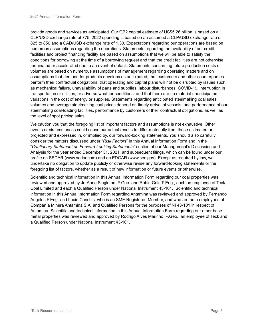provide goods and services as anticipated. Our QB2 capital estimate of US\$5.26 billion is based on a CLP/USD exchange rate of 775; 2022 spending is based on an assumed a CLP/USD exchange rate of 825 to 850 and a CAD/USD exchange rate of 1.30. Expectations regarding our operations are based on numerous assumptions regarding the operations. Statements regarding the availability of our credit facilities and project financing facility are based on assumptions that we will be able to satisfy the conditions for borrowing at the time of a borrowing request and that the credit facilities are not otherwise terminated or accelerated due to an event of default. Statements concerning future production costs or volumes are based on numerous assumptions of management regarding operating matters and on assumptions that demand for products develops as anticipated; that customers and other counterparties perform their contractual obligations; that operating and capital plans will not be disrupted by issues such as mechanical failure, unavailability of parts and supplies, labour disturbances, COVID-19, interruption in transportation or utilities, or adverse weather conditions; and that there are no material unanticipated variations in the cost of energy or supplies. Statements regarding anticipated steelmaking coal sales volumes and average steelmaking coal prices depend on timely arrival of vessels, and performance of our steelmaking coal-loading facilities, performance by customers of their contractual obligations, as well as the level of spot pricing sales.

We caution you that the foregoing list of important factors and assumptions is not exhaustive. Other events or circumstances could cause our actual results to differ materially from those estimated or projected and expressed in, or implied by, our forward-looking statements. You should also carefully consider the matters discussed under "*Risk Factors*" in this Annual Information Form and in the "*Cautionary Statement on Forward-Looking Statements*" section of our Management's Discussion and Analysis for the year ended December 31, 2021, and subsequent filings, which can be found under our profile on SEDAR (www.sedar.com) and on EDGAR (www.sec.gov). Except as required by law, we undertake no obligation to update publicly or otherwise revise any forward-looking statements or the foregoing list of factors, whether as a result of new information or future events or otherwise.

Scientific and technical information in this Annual Information Form regarding our coal properties was reviewed and approved by Jo-Anna Singleton, P.Geo. and Robin Gold P.Eng., each an employee of Teck Coal Limited and each a Qualified Person under National Instrument 43-101. Scientific and technical information in this Annual Information Form regarding Antamina was reviewed and approved by Fernando Angeles P.Eng. and Lucio Canchis, who is an SME Registered Member, and who are both employees of Compañía Minera Antamina S.A. and Qualified Persons for the purposes of NI 43-101 in respect of Antamina. Scientific and technical information in this Annual Information Form regarding our other base metal properties was reviewed and approved by Rodrigo Alves Marinho, P.Geo., an employee of Teck and a Qualified Person under National Instrument 43-101.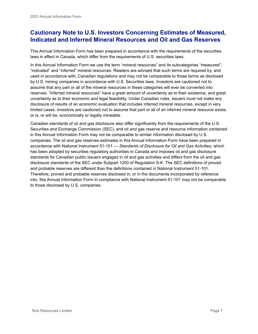## <span id="page-9-0"></span>**Cautionary Note to U.S. Investors Concerning Estimates of Measured, Indicated and Inferred Mineral Resources and Oil and Gas Reserves**

This Annual Information Form has been prepared in accordance with the requirements of the securities laws in effect in Canada, which differ from the requirements of U.S. securities laws.

In this Annual Information Form we use the term "mineral resources" and its subcategories "measured", "indicated" and "inferred" mineral resources. Readers are advised that such terms are required by, and used in accordance with, Canadian regulations and may not be comparable to those terms as disclosed by U.S. mining companies in accordance with U.S. Securities laws. Investors are cautioned not to assume that any part or all of the mineral resources in these categories will ever be converted into reserves. "Inferred mineral resources" have a great amount of uncertainty as to their existence, and great uncertainty as to their economic and legal feasibility. Under Canadian rules, issuers must not make any disclosure of results of an economic evaluation that includes inferred mineral resources, except in very limited cases. Investors are cautioned not to assume that part or all of an inferred mineral resource exists, or is, or will be, economically or legally mineable.

Canadian standards of oil and gas disclosure also differ significantly from the requirements of the U.S. Securities and Exchange Commission (SEC), and oil and gas reserve and resource information contained in this Annual Information Form may not be comparable to similar information disclosed by U.S. companies. The oil and gas reserves estimates in this Annual Information Form have been prepared in accordance with National Instrument 51-101 — *Standards of Disclosure for Oil and Gas Activities*, which has been adopted by securities regulatory authorities in Canada and imposes oil and gas disclosure standards for Canadian public issuers engaged in oil and gas activities and differs from the oil and gas disclosure standards of the SEC under Subpart 1200 of Regulation S-K. The SEC definitions of proved and probable reserves are different than the definitions contained in National Instrument 51-101. Therefore, proved and probable reserves disclosed in, or in the documents incorporated by reference into, this Annual Information Form in compliance with National Instrument 51-101 may not be comparable to those disclosed by U.S. companies.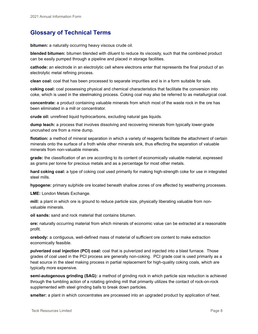## <span id="page-10-0"></span>**Glossary of Technical Terms**

**bitumen:** a naturally occurring heavy viscous crude oil.

**blended bitumen:** bitumen blended with diluent to reduce its viscosity, such that the combined product can be easily pumped through a pipeline and placed in storage facilities.

**cathode:** an electrode in an electrolytic cell where electrons enter that represents the final product of an electrolytic metal refining process.

**clean coal:** coal that has been processed to separate impurities and is in a form suitable for sale.

**coking coal:** coal possessing physical and chemical characteristics that facilitate the conversion into coke, which is used in the steelmaking process. Coking coal may also be referred to as metallurgical coal.

**concentrate:** a product containing valuable minerals from which most of the waste rock in the ore has been eliminated in a mill or concentrator.

**crude oil:** unrefined liquid hydrocarbons, excluding natural gas liquids.

**dump leach:** a process that involves dissolving and recovering minerals from typically lower-grade uncrushed ore from a mine dump.

**flotation:** a method of mineral separation in which a variety of reagents facilitate the attachment of certain minerals onto the surface of a froth while other minerals sink, thus effecting the separation of valuable minerals from non-valuable minerals.

**grade:** the classification of an ore according to its content of economically valuable material, expressed as grams per tonne for precious metals and as a percentage for most other metals.

**hard coking coal:** a type of coking coal used primarily for making high-strength coke for use in integrated steel mills.

**hypogene:** primary sulphide ore located beneath shallow zones of ore affected by weathering processes.

**LME:** London Metals Exchange.

**mill:** a plant in which ore is ground to reduce particle size, physically liberating valuable from nonvaluable minerals.

**oil sands:** sand and rock material that contains bitumen.

**ore:** naturally occurring material from which minerals of economic value can be extracted at a reasonable profit.

**orebody:** a contiguous, well-defined mass of material of sufficient ore content to make extraction economically feasible.

**pulverized coal injection (PCI) coal:** coal that is pulverized and injected into a blast furnace. Those grades of coal used in the PCI process are generally non-coking. PCI grade coal is used primarily as a heat source in the steel making process in partial replacement for high-quality coking coals, which are typically more expensive.

**semi-autogenous grinding (SAG):** a method of grinding rock in which particle size reduction is achieved through the tumbling action of a rotating grinding mill that primarily utilizes the contact of rock-on-rock supplemented with steel grinding balls to break down particles.

**smelter:** a plant in which concentrates are processed into an upgraded product by application of heat.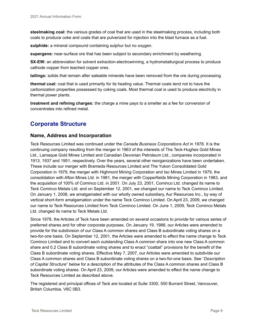<span id="page-11-0"></span>**steelmaking coal:** the various grades of coal that are used in the steelmaking process, including both coals to produce coke and coals that are pulverized for injection into the blast furnace as a fuel.

**sulphide:** a mineral compound containing sulphur but no oxygen.

**supergene:** near-surface ore that has been subject to secondary enrichment by weathering.

**SX-EW:** an abbreviation for solvent extraction-electrowinning, a hydrometallurgical process to produce cathode copper from leached copper ores.

**tailings:** solids that remain after saleable minerals have been removed from the ore during processing.

**thermal coal:** coal that is used primarily for its heating value. Thermal coals tend not to have the carbonization properties possessed by coking coals. Most thermal coal is used to produce electricity in thermal power plants.

**treatment and refining charges:** the charge a mine pays to a smelter as a fee for conversion of concentrates into refined metal.

## **Corporate Structure**

#### **Name, Address and Incorporation**

Teck Resources Limited was continued under the *Canada Business Corporations Act* in 1978. It is the continuing company resulting from the merger in 1963 of the interests of The Teck-Hughes Gold Mines Ltd., Lamaque Gold Mines Limited and Canadian Devonian Petroleum Ltd., companies incorporated in 1913, 1937 and 1951, respectively. Over the years, several other reorganizations have been undertaken. These include our merger with Brameda Resources Limited and The Yukon Consolidated Gold Corporation in 1979, the merger with Highmont Mining Corporation and Iso Mines Limited in 1979, the consolidation with Afton Mines Ltd. in 1981, the merger with Copperfields Mining Corporation in 1983, and the acquisition of 100% of Cominco Ltd. in 2001. On July 23, 2001, Cominco Ltd. changed its name to Teck Cominco Metals Ltd. and on September 12, 2001, we changed our name to Teck Cominco Limited. On January 1, 2008, we amalgamated with our wholly owned subsidiary, Aur Resources Inc., by way of vertical short-form amalgamation under the name Teck Cominco Limited. On April 23, 2009, we changed our name to Teck Resources Limited from Teck Cominco Limited. On June 1, 2009, Teck Cominco Metals Ltd. changed its name to Teck Metals Ltd.

Since 1978, the Articles of Teck have been amended on several occasions to provide for various series of preferred shares and for other corporate purposes. On January 19, 1988, our Articles were amended to provide for the subdivision of our Class A common shares and Class B subordinate voting shares on a two-for-one basis. On September 12, 2001, the Articles were amended to effect the name change to Teck Cominco Limited and to convert each outstanding Class A common share into one new Class A common share and 0.2 Class B subordinate voting shares and to enact "coattail" provisions for the benefit of the Class B subordinate voting shares. Effective May 7, 2007, our Articles were amended to subdivide our Class A common shares and Class B subordinate voting shares on a two-for-one basis. See "*Description of Capital Structure*" below for a description of the attributes of the Class A common shares and Class B subordinate voting shares. On April 23, 2009, our Articles were amended to effect the name change to Teck Resources Limited as described above.

The registered and principal offices of Teck are located at Suite 3300, 550 Burrard Street, Vancouver, British Columbia, V6C 0B3.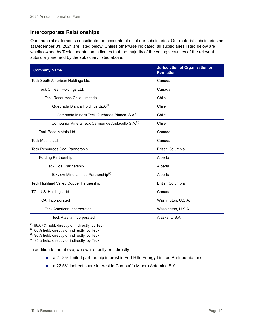#### <span id="page-12-0"></span>**Intercorporate Relationships**

Our financial statements consolidate the accounts of all of our subsidiaries. Our material subsidiaries as at December 31, 2021 are listed below. Unless otherwise indicated, all subsidiaries listed below are wholly owned by Teck. Indentation indicates that the majority of the voting securities of the relevant subsidiary are held by the subsidiary listed above.

| <b>Company Name</b>                                          | <b>Jurisdiction of Organization or</b><br><b>Formation</b> |
|--------------------------------------------------------------|------------------------------------------------------------|
| Teck South American Holdings Ltd.                            | Canada                                                     |
| Teck Chilean Holdings Ltd.                                   | Canada                                                     |
| <b>Teck Resources Chile Limitada</b>                         | Chile                                                      |
| Quebrada Blanca Holdings SpA(1)                              | Chile                                                      |
| Compañía Minera Teck Quebrada Blanca S.A. <sup>(2)</sup>     | Chile                                                      |
| Compañía Minera Teck Carmen de Andacollo S.A. <sup>(3)</sup> | Chile                                                      |
| Teck Base Metals Ltd.                                        | Canada                                                     |
| Teck Metals Ltd.                                             | Canada                                                     |
| Teck Resources Coal Partnership                              | <b>British Columbia</b>                                    |
| <b>Fording Partnership</b>                                   | Alberta                                                    |
| <b>Teck Coal Partnership</b>                                 | Alberta                                                    |
| Elkview Mine Limited Partnership <sup>(4)</sup>              | Alberta                                                    |
| Teck Highland Valley Copper Partnership                      | <b>British Columbia</b>                                    |
| TCL U.S. Holdings Ltd.                                       | Canada                                                     |
| <b>TCAI</b> Incorporated                                     | Washington, U.S.A.                                         |
| <b>Teck American Incorporated</b>                            | Washington, U.S.A.                                         |
| <b>Teck Alaska Incorporated</b>                              | Alaska, U.S.A.                                             |

 $(1)$  66.67% held, directly or indirectly, by Teck.

 $(2)$  60% held, directly or indirectly, by Teck.

(3) 90% held, directly or indirectly, by Teck.

<sup>(4)</sup> 95% held, directly or indirectly, by Teck.

In addition to the above, we own, directly or indirectly:

- a 21.3% limited partnership interest in Fort Hills Energy Limited Partnership; and
- a 22.5% indirect share interest in Compañía Minera Antamina S.A.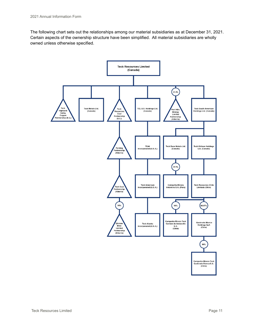The following chart sets out the relationships among our material subsidiaries as at December 31, 2021. Certain aspects of the ownership structure have been simplified. All material subsidiaries are wholly owned unless otherwise specified.

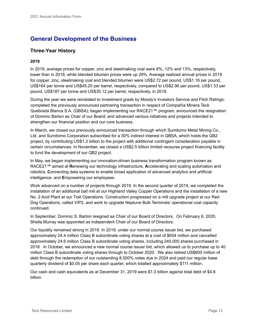## <span id="page-14-0"></span>**General Development of the Business**

#### **Three-Year History**

#### **2019**

In 2019, average prices for copper, zinc and steelmaking coal were 8%, 12% and 13%, respectively, lower than in 2018, while blended bitumen prices were up 29%. Average realized annual prices in 2019 for copper, zinc, steelmaking coal and blended bitumen were US\$2.72 per pound, US\$1.16 per pound, US\$164 per tonne and US\$45.20 per barrel, respectively, compared to US\$2.96 per pound, US\$1.33 per pound, US\$187 per tonne and US\$35.12 per barrel, respectively, in 2018.

During the year we were reinstated to investment grade by Moody's Investors Service and Fitch Ratings; completed the previously announced partnering transaction in respect of Compañía Minera Teck Quebrada Blanca S.A. (QBSA); began implementing our RACE21™ program; announced the resignation of Dominic Barton as Chair of our Board; and advanced various initiatives and projects intended to strengthen our financial position and our core business.

In March, we closed our previously announced transaction through which Sumitomo Metal Mining Co., Ltd. and Sumitomo Corporation subscribed for a 30% indirect interest in QBSA, which holds the QB2 project, by contributing US\$1.2 billion to the project with additional contingent consideration payable in certain circumstances. In November, we closed a US\$2.5 billion limited recourse project financing facility to fund the development of our QB2 project.

In May, we began implementing our innovation-driven business transformation program known as RACE21™ aimed at **R**enewing our technology infrastructure, **A**ccelerating and scaling automation and robotics, **C**onnecting data systems to enable broad application of advanced analytics and artificial intelligence, and **E**mpowering our employees.

Work advanced on a number of projects through 2019. In the second quarter of 2019, we completed the installation of an additional ball mill at our Highland Valley Copper Operations and the installation of a new No. 2 Acid Plant at our Trail Operations. Construction progressed on a mill upgrade project at our Red Dog Operations, called VIP2, and work to upgrade Neptune Bulk Terminals' operational coal capacity continued.

In September, Dominic S. Barton resigned as Chair of our Board of Directors. On February 6, 2020, Sheila Murray was appointed as independent Chair of our Board of Directors.

Our liquidity remained strong in 2019. In 2019, under our normal course issuer bid, we purchased approximately 24.4 million Class B subordinate voting shares at a cost of \$654 million and cancelled approximately 24.6 million Class B subordinate voting shares, including 240,000 shares purchased in 2018. In October, we announced a new normal course issuer bid, which allowed us to purchase up to 40 million Class B subordinate voting shares through to October 2020. We also retired US\$600 million of debt through the redemption of our outstanding 8.500% notes due in 2024 and paid our regular base quarterly dividend of \$0.05 per share each quarter, which totalled approximately \$111 million.

Our cash and cash equivalents as at December 31, 2019 were \$1.0 billion against total debt of \$4.8 billion.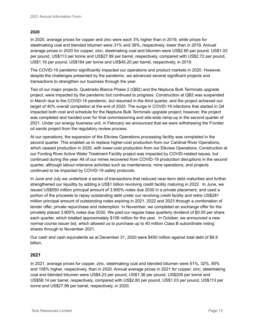#### **2020**

In 2020, average prices for copper and zinc were each 3% higher than in 2019, while prices for steelmaking coal and blended bitumen were 31% and 38%, respectively, lower than in 2019. Annual average prices in 2020 for copper, zinc, steelmaking coal and bitumen were US\$2.80 per pound, US\$1.03 per pound, US\$113 per tonne and US\$27.99 per barrel, respectively, compared with US\$2.72 per pound, US\$1.16 per pound, US\$164 per tonne and US\$45.20 per barrel, respectively, in 2019.

The COVID-19 pandemic significantly impacted our operations and product markets in 2020. However, despite the challenges presented by the pandemic, we advanced several significant projects and transactions to strengthen our business through the year.

Two of our major projects, Quebrada Blanca Phase 2 (QB2) and the Neptune Bulk Terminals upgrade project, were impacted by the pandemic but continued to progress. Construction at QB2 was suspended in March due to the COVID-19 pandemic, but resumed in the third quarter, and the project achieved our target of 40% overall completion at the end of 2020. The surge in COVID-19 infections that started in Q4 impacted both cost and schedule for the Neptune Bulk Terminals upgrade project; however, the project was completed and handed over for final commissioning and site-wide ramp-up in the second quarter of 2021. Under our energy business unit, in February we announced that we were withdrawing the Frontier oil sands project from the regulatory review process.

At our operations, the expansion of the Elkview Operations processing facility was completed in the second quarter. This enabled us to replace higher-cost production from our Cardinal River Operations, which ceased production in 2020, with lower-cost production from our Elkview Operations. Construction at our Fording River Active Water Treatment Facility project was impacted by COVID-related issues, but continued during the year. All of our mines recovered from COVID-19 production disruptions in the second quarter, although labour-intensive activities such as maintenance, mine operations, and projects continued to be impacted by COVID-19 safety protocols.

In June and July we undertook a series of transactions that reduced near-term debt maturities and further strengthened our liquidity by adding a US\$1 billion revolving credit facility maturing in 2022. In June, we issued US\$550 million principal amount of 3.900% notes due 2030 in a private placement, and used a portion of the proceeds to repay outstanding debt under our revolving credit facility and retire US\$281 million principal amount of outstanding notes expiring in 2021, 2022 and 2023 through a combination of tender offer, private repurchase and redemption. In November, we completed an exchange offer for the privately placed 3.900% notes due 2030. We paid our regular base quarterly dividend of \$0.05 per share each quarter, which totalled approximately \$106 million for the year. In October, we announced a new normal course issuer bid, which allowed us to purchase up to 40 million Class B subordinate voting shares through to November 2021.

Our cash and cash equivalents as at December 31, 2020 were \$450 million against total debt of \$6.9 billion.

#### **2021**

In 2021, average prices for copper, zinc, steelmaking coal and blended bitumen were 51%, 32%, 85% and 108% higher, respectively, than in 2020. Annual average prices in 2021 for copper, zinc, steelmaking coal and blended bitumen were US\$4.23 per pound, US\$1.36 per pound, US\$209 per tonne and US\$58.14 per barrel, respectively, compared with US\$2.80 per pound, US\$1.03 per pound, US\$113 per tonne and US\$27.99 per barrel, respectively, in 2020.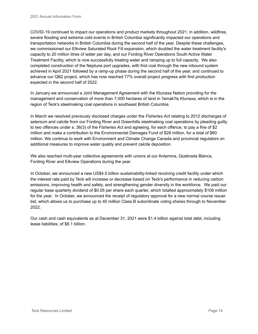COVID-19 continued to impact our operations and product markets throughout 2021; in addition, wildfires, severe flooding and extreme cold events in British Columbia significantly impacted our operations and transportation networks in British Columbia during the second half of the year. Despite these challenges, we commissioned our Elkview Saturated Rock Fill expansion, which doubled the water treatment facility's capacity to 20 million litres of water per day, and our Fording River Operations South Active Water Treatment Facility, which is now successfully treating water and ramping up to full capacity. We also completed construction of the Neptune port upgrades, with first coal through the new inbound system achieved in April 2021 followed by a ramp-up phase during the second half of the year, and continued to advance our QB2 project, which has now reached 77% overall project progress with first production expected in the second half of 2022.

In January we announced a Joint Management Agreement with the Ktunaxa Nation providing for the management and conservation of more than 7,000 hectares of land in ʔamakʔis Ktunaxa, which is in the region of Teck's steelmaking coal operations in southeast British Columbia.

In March we resolved previously disclosed charges under the *Fisheries Ac*t relating to 2012 discharges of selenium and calcite from our Fording River and Greenhills steelmaking coal operations by pleading guilty to two offences under s. 36(3) of the *Fisheries Act* and agreeing, for each offence, to pay a fine of \$2 million and make a contribution to the Environmental Damages Fund of \$28 million, for a total of \$60 million. We continue to work with Environment and Climate Change Canada and provincial regulators on additional measures to improve water quality and prevent calcite deposition.

We also reached multi-year collective agreements with unions at our Antamina, Quebrada Blanca, Fording River and Elkview Operations during the year.

In October, we announced a new US\$4.0 billion sustainability-linked revolving credit facility under which the interest rate paid by Teck will increase or decrease based on Teck's performance in reducing carbon emissions, improving health and safety, and strengthening gender diversity in the workforce. We paid our regular base quarterly dividend of \$0.05 per share each quarter, which totalled approximately \$106 million for the year. In October, we announced the receipt of regulatory approval for a new normal course issuer bid, which allows us to purchase up to 40 million Class B subordinate voting shares through to November 2022.

Our cash and cash equivalents as at December 31, 2021 were \$1.4 billion against total debt, including lease liabilities, of \$8.1 billion.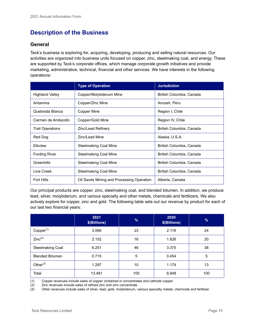## <span id="page-17-0"></span>**Description of the Business**

#### **General**

Teck's business is exploring for, acquiring, developing, producing and selling natural resources. Our activities are organized into business units focused on copper, zinc, steelmaking coal, and energy. These are supported by Teck's corporate offices, which manage corporate growth initiatives and provide marketing, administrative, technical, financial and other services. We have interests in the following operations:

|                        | <b>Type of Operation</b>                  | <b>Jurisdiction</b>      |  |
|------------------------|-------------------------------------------|--------------------------|--|
| <b>Highland Valley</b> | Copper/Molybdenum Mine                    | British Columbia, Canada |  |
| Antamina               | Copper/Zinc Mine                          | Ancash, Peru             |  |
| Quebrada Blanca        | Copper Mine                               | Region I, Chile          |  |
| Carmen de Andacollo    | Copper/Gold Mine                          | Region IV, Chile         |  |
| Trail Operations       | Zinc/Lead Refinery                        | British Columbia, Canada |  |
| Red Dog                | Zinc/Lead Mine                            | Alaska, U.S.A.           |  |
| <b>Elkview</b>         | <b>Steelmaking Coal Mine</b>              | British Columbia, Canada |  |
| <b>Fording River</b>   | <b>Steelmaking Coal Mine</b>              | British Columbia, Canada |  |
| Greenhills             | <b>Steelmaking Coal Mine</b>              | British Columbia, Canada |  |
| Line Creek             | <b>Steelmaking Coal Mine</b>              | British Columbia, Canada |  |
| Fort Hills             | Oil Sands Mining and Processing Operation | Alberta, Canada          |  |

Our principal products are copper, zinc, steelmaking coal, and blended bitumen. In addition, we produce lead, silver, molybdenum, and various specialty and other metals, chemicals and fertilizers. We also actively explore for copper, zinc and gold. The following table sets out our revenue by product for each of our last two financial years:

|                         | 2021<br>\$(Billions) | %   | 2020<br>\$(Billions) | %   |
|-------------------------|----------------------|-----|----------------------|-----|
| $Copper^{(1)}$          | 3.066                | 23  | 2.119                | 24  |
| Zinc <sup>(2)</sup>     | 2.152                | 16  | 1.826                | 20  |
| <b>Steelmaking Coal</b> | 6.251                | 46  | 3.375                | 38  |
| <b>Blended Bitumen</b>  | 0.715                | 5   | 0.454                | 5   |
| Other $(3)$             | 1.297                | 10  | 1.174                | 13  |
| Total                   | 13.481               | 100 | 8.948                | 100 |

(1) Copper revenues include sales of copper contained in concentrates and cathode copper.

(2) Zinc revenues include sales of refined zinc and zinc concentrate.

(3) Other revenues include sales of silver, lead, gold, molybdenum, various specialty metals, chemicals and fertilizer.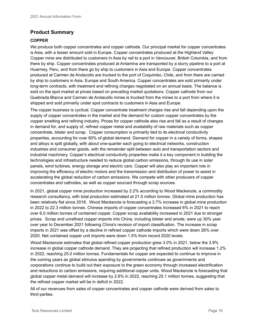#### <span id="page-18-0"></span>**Product Summary**

#### **COPPER**

We produce both copper concentrates and copper cathode. Our principal market for copper concentrates is Asia, with a lesser amount sold in Europe. Copper concentrates produced at the Highland Valley Copper mine are distributed to customers in Asia by rail to a port in Vancouver, British Columbia, and from there by ship. Copper concentrates produced at Antamina are transported by a slurry pipeline to a port at Huarmey, Peru, and from there go by ship to customers in Asia and Europe. Copper concentrates produced at Carmen de Andacollo are trucked to the port of Coquimbo, Chile, and from there are carried by ship to customers in Asia, Europe and South America. Copper concentrates are sold primarily under long-term contracts, with treatment and refining charges negotiated on an annual basis. The balance is sold on the spot market at prices based on prevailing market quotations. Copper cathode from our Quebrada Blanca and Carmen de Andacollo mines is trucked from the mines to a port from where it is shipped and sold primarily under spot contracts to customers in Asia and Europe.

The copper business is cyclical. Copper concentrate treatment charges rise and fall depending upon the supply of copper concentrates in the market and the demand for custom copper concentrates by the copper smelting and refining industry. Prices for copper cathode also rise and fall as a result of changes in demand for, and supply of, refined copper metal and availability of raw materials such as copper concentrate, blister and scrap. Copper consumption is primarily tied to its electrical conductivity properties, accounting for over 60% of global demand. Demand for copper in a variety of forms, shapes and alloys is split globally, with about one-quarter each going to electrical networks, construction industries and consumer goods, with the remainder split between auto and transportation sectors and industrial machinery. Copper's electrical conductivity properties make it a key component in building the technologies and infrastructure needed to reduce global carbon emissions, through its use in solar panels, wind turbines, energy storage and electric cars. Copper will also play an important role in improving the efficiency of electric motors and the transmission and distribution of power to assist in accelerating the global reduction of carbon emissions. We compete with other producers of copper concentrates and cathodes, as well as copper sourced through scrap sources.

In 2021, global copper mine production increased by 2.2% according to Wood Mackenzie, a commodity research consultancy, with total production estimated at 21.5 million tonnes. Global mine production has been relatively flat since 2018. Wood Mackenzie is forecasting a 3.7% increase in global mine production in 2022 to 22.3 million tonnes. Chinese imports of copper concentrates increased 8% in 2021 to reach over 6.0 million tonnes of contained copper. Copper scrap availability increased in 2021 due to stronger prices. Scrap and unrefined copper imports into China, including blister and anode, were up 30% year over year to December 2021 following China's revision of import classification. The increase in scrap imports in 2021 was offset by a decline in refined copper cathode imports which were down 26% over 2020. Net contained copper unit imports were down 1.5% from record 2020 levels.

Wood Mackenzie estimates that global refined copper production grew 3.0% in 2021, below the 3.9% increase in global copper cathode demand. They are projecting that refined production will increase 1.2% in 2022, reaching 25.0 million tonnes. Fundamentals for copper are expected to continue to improve in the coming years as global stimulus spending by governments continues as governments and corporations continue to build out their exposure to the green economy through increased electrification and reductions to carbon emissions, requiring additional copper units. Wood Mackenzie is forecasting that global copper metal demand will increase by 2.6% in 2022, reaching 25.1 million tonnes, suggesting that the refined copper market will be in deficit in 2022.

All of our revenues from sales of copper concentrates and copper cathode were derived from sales to third parties.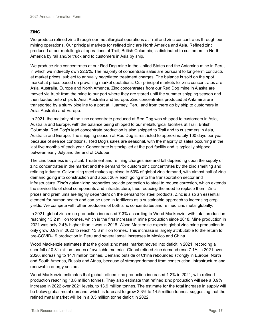#### <span id="page-19-0"></span>**ZINC**

We produce refined zinc through our metallurgical operations at Trail and zinc concentrates through our mining operations. Our principal markets for refined zinc are North America and Asia. Refined zinc produced at our metallurgical operations at Trail, British Columbia, is distributed to customers in North America by rail and/or truck and to customers in Asia by ship.

We produce zinc concentrates at our Red Dog mine in the United States and the Antamina mine in Peru, in which we indirectly own 22.5%. The majority of concentrate sales are pursuant to long-term contracts at market prices, subject to annually negotiated treatment charges. The balance is sold on the spot market at prices based on prevailing market quotations. Our principal markets for zinc concentrates are Asia, Australia, Europe and North America. Zinc concentrates from our Red Dog mine in Alaska are moved via truck from the mine to our port where they are stored until the summer shipping season and then loaded onto ships to Asia, Australia and Europe. Zinc concentrates produced at Antamina are transported by a slurry pipeline to a port at Huarmey, Peru, and from there go by ship to customers in Asia, Australia and Europe.

In 2021, the majority of the zinc concentrate produced at Red Dog was shipped to customers in Asia, Australia and Europe, with the balance being shipped to our metallurgical facilities at Trail, British Columbia. Red Dog's lead concentrate production is also shipped to Trail and to customers in Asia, Australia and Europe. The shipping season at Red Dog is restricted to approximately 100 days per year because of sea ice conditions. Red Dog's sales are seasonal, with the majority of sales occurring in the last five months of each year. Concentrate is stockpiled at the port facility and is typically shipped between early July and the end of October.

The zinc business is cyclical. Treatment and refining charges rise and fall depending upon the supply of zinc concentrates in the market and the demand for custom zinc concentrates by the zinc smelting and refining industry. Galvanizing steel makes up close to 60% of global zinc demand, with almost half of zinc demand going into construction and about 20% each going into the transportation sector and infrastructure. Zinc's galvanizing properties provide protection to steel to reduce corrosion, which extends the service life of steel components and infrastructure, thus reducing the need to replace them. Zinc prices and premiums are highly dependent on the demand for steel products. Zinc is also an essential element for human health and can be used in fertilizers as a sustainable approach to increasing crop yields. We compete with other producers of both zinc concentrates and refined zinc metal globally.

In 2021, global zinc mine production increased 7.3% according to Wood Mackenzie, with total production reaching 13.2 million tonnes, which is the first increase in mine production since 2018. Mine production in 2021 was only 2.4% higher than it was in 2018. Wood Mackenzie expects global zinc mine production to only grow 0.9% in 2022 to reach 13.3 million tonnes. This increase is largely attributable to the return to pre-COVID-19 production in Peru and several small increases in Mexico and China.

Wood Mackenzie estimates that the global zinc metal market moved into deficit in 2021, recording a shortfall of 0.31 million tonnes of available material. Global refined zinc demand rose 7.1% in 2021 over 2020, increasing to 14.1 million tonnes. Demand outside of China rebounded strongly in Europe, North and South America, Russia and Africa, because of stronger demand from construction, infrastructure and renewable energy sectors.

Wood Mackenzie estimates that global refined zinc production increased 1.2% in 2021, with refined production reaching 13.8 million tonnes. They also estimate that refined zinc production will see a 0.9% increase in 2022 over 2021 levels, to 13.9 million tonnes. The estimate for the total increase in supply will be below global metal demand, which is forecast to grow 2.3% to 14.5 million tonnes, suggesting that the refined metal market will be in a 0.5 million tonne deficit in 2022.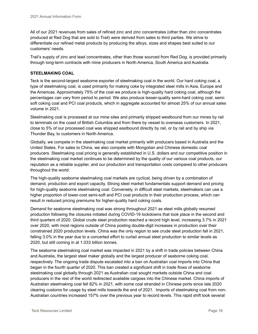<span id="page-20-0"></span>All of our 2021 revenues from sales of refined zinc and zinc concentrates (other than zinc concentrates produced at Red Dog that are sold to Trail) were derived from sales to third parties. We strive to differentiate our refined metal products by producing the alloys, sizes and shapes best suited to our customers' needs.

Trail's supply of zinc and lead concentrates, other than those sourced from Red Dog, is provided primarily through long-term contracts with mine producers in North America, South America and Australia.

#### **STEELMAKING COAL**

Teck is the second-largest seaborne exporter of steelmaking coal in the world. Our hard coking coal, a type of steelmaking coal, is used primarily for making coke by integrated steel mills in Asia, Europe and the Americas. Approximately 75% of the coal we produce is high-quality hard coking coal, although the percentages can vary from period to period. We also produce lesser-quality semi-hard coking coal, semisoft coking coal and PCI coal products, which in aggregate accounted for almost 25% of our annual sales volume in 2021.

Steelmaking coal is processed at our mine sites and primarily shipped westbound from our mines by rail to terminals on the coast of British Columbia and from there by vessel to overseas customers. In 2021, close to 5% of our processed coal was shipped eastbound directly by rail, or by rail and by ship via Thunder Bay, to customers in North America.

Globally, we compete in the steelmaking coal market primarily with producers based in Australia and the United States. For sales to China, we also compete with Mongolian and Chinese domestic coal producers. Steelmaking coal pricing is generally established in U.S. dollars and our competitive position in the steelmaking coal market continues to be determined by the quality of our various coal products, our reputation as a reliable supplier, and our production and transportation costs compared to other producers throughout the world.

The high-quality seaborne steelmaking coal markets are cyclical, being driven by a combination of demand, production and export capacity. Strong steel market fundamentals support demand and pricing for high-quality seaborne steelmaking coal. Conversely, in difficult steel markets, steelmakers can use a higher proportion of lower-cost semi-soft and PCI coal products in their production process, which can result in reduced pricing premiums for higher-quality hard coking coals.

Demand for seaborne steelmaking coal was strong throughout 2021 as steel mills globally resumed production following the closures initiated during COVID-19 lockdowns that took place in the second and third quarters of 2020. Global crude steel production reached a record high level, increasing 3.7% in 2021 over 2020, with most regions outside of China posting double-digit increases in production over their constrained 2020 production levels. China was the only region to see crude steel production fall in 2021, falling 3.0% in the year due to a concerted effort to curtail annual steel production to similar levels as 2020, but still coming in at 1.033 billion tonnes.

The seaborne steelmaking coal market was impacted in 2021 by a shift in trade policies between China and Australia, the largest steel maker globally and the largest producer of seaborne coking coal, respectively. The ongoing trade dispute escalated into a ban on Australian coal imports into China that began in the fourth quarter of 2020. This ban created a significant shift in trade flows of seaborne steelmaking coal globally through 2021 as Australian coal sought markets outside China and coal producers in the rest of the world redirected available cargoes into the Chinese market. China imports of Australian steelmaking coal fell 82% in 2021, with some coal stranded in Chinese ports since late 2020 clearing customs for usage by steel mills towards the end of 2021. Imports of steelmaking coal from non-Australian countries increased 157% over the previous year to record levels. This rapid shift took several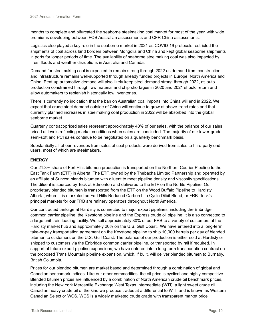<span id="page-21-0"></span>months to complete and bifurcated the seaborne steelmaking coal market for most of the year, with wide premiums developing between FOB Australian assessments and CFR China assessments.

Logistics also played a key role in the seaborne market in 2021 as COVID-19 protocols restricted the shipments of coal across land borders between Mongolia and China and kept global seaborne shipments in ports for longer periods of time. The availability of seaborne steelmaking coal was also impacted by fires, floods and weather disruptions in Australia and Canada.

Demand for steelmaking coal is expected to remain strong through 2022 as demand from construction and infrastructure remains well-supported through already funded projects in Europe, North America and China. Pent-up automotive demand will also likely keep steel demand strong through 2022, as auto production constrained through raw material and chip shortages in 2020 and 2021 should return and allow automakers to replenish historically low inventories.

There is currently no indication that the ban on Australian coal imports into China will end in 2022. We expect that crude steel demand outside of China will continue to grow at above-trend rates and that currently planned increases in steelmaking coal production in 2022 will be absorbed into the global seaborne market.

Quarterly contract-priced sales represent approximately 40% of our sales, with the balance of our sales priced at levels reflecting market conditions when sales are concluded. The majority of our lower-grade semi-soft and PCI sales continue to be negotiated on a quarterly benchmark basis.

Substantially all of our revenues from sales of coal products were derived from sales to third-party end users, most of which are steelmakers.

#### **ENERGY**

Our 21.3% share of Fort Hills bitumen production is transported on the Northern Courier Pipeline to the East Tank Farm (ETF) in Alberta. The ETF, owned by the Thebacha Limited Partnership and operated by an affiliate of Suncor, blends bitumen with diluent to meet pipeline density and viscosity specifications. The diluent is sourced by Teck at Edmonton and delivered to the ETF on the Norlite Pipeline. Our proprietary blended bitumen is transported from the ETF on the Wood Buffalo Pipeline to Hardisty, Alberta, where it is marketed as Fort Hills Reduced Carbon Life Cycle Dilbit Blend, or FRB. Teck's principal markets for our FRB are refinery operators throughout North America.

Our contracted tankage at Hardisty is connected to major export pipelines, including the Enbridge common carrier pipeline, the Keystone pipeline and the Express crude oil pipeline; it is also connected to a large unit train loading facility. We sell approximately 80% of our FRB to a variety of customers at the Hardisty market hub and approximately 20% on the U.S. Gulf Coast. We have entered into a long-term take-or-pay transportation agreement on the Keystone pipeline to ship 10,000 barrels per day of blended bitumen to customers on the U.S. Gulf Coast. The balance of our production is either sold at Hardisty or shipped to customers via the Enbridge common carrier pipeline, or transported by rail if required. In support of future export pipeline expansions, we have entered into a long-term transportation contract on the proposed Trans Mountain pipeline expansion, which, if built, will deliver blended bitumen to Burnaby, British Columbia.

Prices for our blended bitumen are market based and determined through a combination of global and Canadian benchmark indices. Like our other commodities, the oil price is cyclical and highly competitive. Blended bitumen prices are influenced by a combination of North American crude oil benchmark prices, including the New York Mercantile Exchange West Texas Intermediate (WTI), a light sweet crude oil. Canadian heavy crude oil of the kind we produce trades at a differential to WTI, and is known as Western Canadian Select or WCS. WCS is a widely marketed crude grade with transparent market price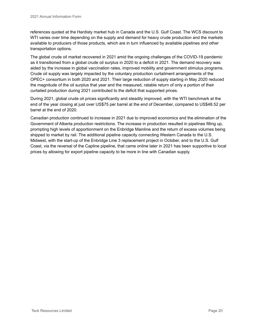references quoted at the Hardisty market hub in Canada and the U.S. Gulf Coast. The WCS discount to WTI varies over time depending on the supply and demand for heavy crude production and the markets available to producers of those products, which are in turn influenced by available pipelines and other transportation options.

The global crude oil market recovered in 2021 amid the ongoing challenges of the COVID-19 pandemic as it transitioned from a global crude oil surplus in 2020 to a deficit in 2021. The demand recovery was aided by the increase in global vaccination rates, improved mobility and government stimulus programs. Crude oil supply was largely impacted by the voluntary production curtailment arrangements of the OPEC+ consortium in both 2020 and 2021. Their large reduction of supply starting in May 2020 reduced the magnitude of the oil surplus that year and the measured, ratable return of only a portion of their curtailed production during 2021 contributed to the deficit that supported prices.

During 2021, global crude oil prices significantly and steadily improved, with the WTI benchmark at the end of the year closing at just over US\$75 per barrel at the end of December, compared to US\$48.52 per barrel at the end of 2020.

Canadian production continued to increase in 2021 due to improved economics and the elimination of the Government of Alberta production restrictions. The increase in production resulted in pipelines filling up, prompting high levels of apportionment on the Enbridge Mainline and the return of excess volumes being shipped to market by rail. The additional pipeline capacity connecting Western Canada to the U.S. Midwest, with the start-up of the Enbridge Line 3 replacement project in October, and to the U.S. Gulf Coast, via the reversal of the Capline pipeline, that came online later in 2021 has been supportive to local prices by allowing for export pipeline capacity to be more in line with Canadian supply.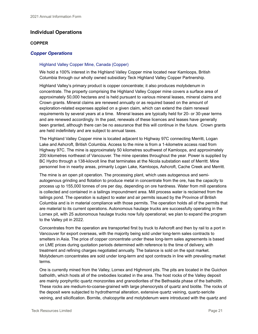#### <span id="page-23-0"></span>**Individual Operations**

#### **COPPER**

#### *Copper Operations*

#### Highland Valley Copper Mine, Canada (Copper)

We hold a 100% interest in the Highland Valley Copper mine located near Kamloops, British Columbia through our wholly owned subsidiary Teck Highland Valley Copper Partnership.

Highland Valley's primary product is copper concentrate; it also produces molybdenum in concentrate. The property comprising the Highland Valley Copper mine covers a surface area of approximately 50,000 hectares and is held pursuant to various mineral leases, mineral claims and Crown grants. Mineral claims are renewed annually or as required based on the amount of exploration-related expenses applied on a given claim, which can extend the claim renewal requirements by several years at a time. Mineral leases are typically held for 20- or 30-year terms and are renewed accordingly. In the past, renewals of these licences and leases have generally been granted, although there can be no assurance that this will continue in the future. Crown grants are held indefinitely and are subject to annual taxes.

The Highland Valley Copper mine is located adjacent to Highway 97C connecting Merritt, Logan Lake and Ashcroft, British Columbia. Access to the mine is from a 1-kilometre access road from Highway 97C. The mine is approximately 50 kilometres southwest of Kamloops, and approximately 200 kilometres northeast of Vancouver. The mine operates throughout the year. Power is supplied by BC Hydro through a 138-kilovolt line that terminates at the Nicola substation east of Merritt. Mine personnel live in nearby areas, primarily Logan Lake, Kamloops, Ashcroft, Cache Creek and Merritt.

The mine is an open pit operation. The processing plant, which uses autogenous and semiautogenous grinding and flotation to produce metal in concentrate from the ore, has the capacity to process up to 155,000 tonnes of ore per day, depending on ore hardness. Water from mill operations is collected and contained in a tailings impoundment area. Mill process water is reclaimed from the tailings pond. The operation is subject to water and air permits issued by the Province of British Columbia and is in material compliance with those permits. The operation holds all of the permits that are material to its current operations. Autonomous haulage trucks are successfully operating in the Lornex pit, with 25 autonomous haulage trucks now fully operational; we plan to expand the program to the Valley pit in 2022.

Concentrates from the operation are transported first by truck to Ashcroft and then by rail to a port in Vancouver for export overseas, with the majority being sold under long-term sales contracts to smelters in Asia. The price of copper concentrate under these long-term sales agreements is based on LME prices during quotation periods determined with reference to the time of delivery, with treatment and refining charges negotiated annually. The balance is sold on the spot market. Molybdenum concentrates are sold under long-term and spot contracts in line with prevailing market terms.

Ore is currently mined from the Valley, Lornex and Highmont pits. The pits are located in the Guichon batholith, which hosts all of the orebodies located in the area. The host rocks of the Valley deposit are mainly porphyritic quartz monzonites and granodiorites of the Bethsaida phase of the batholith. These rocks are medium-to-coarse-grained with large phenocrysts of quartz and biotite. The rocks of the deposit were subjected to hydrothermal alteration, extensive quartz veining, quartz-sericite veining, and silicification. Bornite, chalcopyrite and molybdenum were introduced with the quartz and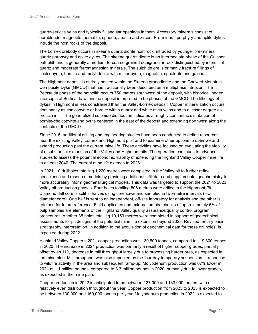quartz-sericite veins and typically fill angular openings in them. Accessory minerals consist of hornblende, magnetite, hematite, sphene, apatite and zircon. Pre-mineral porphyry and aplite dykes intrude the host rocks of the deposit.

The Lornex orebody occurs in skeena quartz diorite host rock, intruded by younger pre-mineral quartz porphyry and aplite dykes. The skeena quartz diorite is an intermediate phase of the Guichon batholith and is generally a medium-to-coarse grained equigranular rock distinguished by interstitial quartz and moderate ferromagnesian minerals. The sulphide ore is primarily fracture fillings of chalcopyrite, bornite and molybdenite with minor pyrite, magnetite, sphalerite and galena.

The Highmont deposit is entirely hosted within the Skeena granodiorite and the Gnawed Mountain Composite Dyke (GMCD) that has traditionally been described as a multiphase intrusion. The Bethsaida phase of the batholith occurs 750 metres southwest of the deposit, with historical logged intercepts of Bethsaida within the deposit interpreted to be phases of the GMCD. The lithology of dykes in Highmont is less constrained than the Valley-Lornex deposit. Copper mineralization occurs dominantly as chalcopyrite or bornite within quartz and white mica veins and to a lesser degree as breccia infill. The generalized sulphide distribution indicates a roughly concentric distribution of bornite-chalcopyrite and pyrite centered in the east of the deposit and extending northwest along the contacts of the GMCD.

Since 2015, additional drilling and engineering studies have been conducted to define resources near the existing Valley, Lornex and Highmont pits, and to examine other options to optimize and extend production past the current mine life. These activities have focused on evaluating the viability of a substantial expansion of the Valley and Highmont pits. The operation continues to advance studies to assess the potential economic viability of extending the Highland Valley Copper mine life to at least 2040. The current mine life extends to 2028.

In 2021, 10 drillholes totalling 1,220 metres were completed in the Valley pit to further refine geoscience and resource models by providing additional infill data and supplemental geochemistry to more accurately inform geometallurgical models. This data was targeted to support the 2021 to 2023 Valley pit production phases. Four holes totalling 806 metres were drilled in the Highmont Pit. Diamond drill core is split in halves using core saws and sampled in two-metre intervals (HQ diameter core). One half is sent to an independent, off-site laboratory for analysis and the other is retained for future reference. Field duplicates and external umpire checks of approximately 5% of pulp samples are elements of the Highland Valley quality assurance/quality control program procedures. Another 35 holes totalling 10,159 metres were completed in support of geotechnical assessments for pit designs of the potential mine life extension beyond 2028. Revised tertiary basin stratigraphy interpretation, in addition to the acquisition of geochemical data for these drillholes, is expected during 2022.

Highland Valley Copper's 2021 copper production was 130,800 tonnes, compared to 119,300 tonnes in 2020. The increase in 2021 production was primarily a result of higher copper grades, partially offset by an 11% decrease in mill throughput largely due to processing harder ores, as expected in the mine plan. Mill throughput was also impacted by the four-day temporary suspension in response to wildfire activity in the area and subsequent ramp-up. Molybdenum production was 67% lower in 2021 at 1.1 million pounds, compared to 3.3 million pounds in 2020, primarily due to lower grades, as expected in the mine plan.

Copper production in 2022 is anticipated to be between 127,000 and 133,000 tonnes, with a relatively even distribution throughout the year. Copper production from 2023 to 2025 is expected to be between 130,000 and 160,000 tonnes per year. Molybdenum production in 2022 is expected to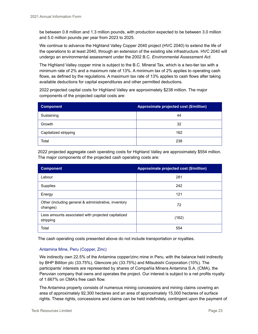be between 0.8 million and 1.3 million pounds, with production expected to be between 3.0 million and 5.0 million pounds per year from 2023 to 2025.

We continue to advance the Highland Valley Copper 2040 project (HVC 2040) to extend the life of the operations to at least 2040, through an extension of the existing site infrastructure. HVC 2040 will undergo an environmental assessment under the 2002 B.C. *Environmental Assessment Act*.

The Highland Valley copper mine is subject to the B.C. Mineral Tax, which is a two-tier tax with a minimum rate of 2% and a maximum rate of 13%. A minimum tax of 2% applies to operating cash flows, as defined by the regulations. A maximum tax rate of 13% applies to cash flows after taking available deductions for capital expenditures and other permitted deductions.

2022 projected capital costs for Highland Valley are approximately \$238 million. The major components of the projected capital costs are:

| <b>Component</b>      | Approximate projected cost (\$/million) |
|-----------------------|-----------------------------------------|
| Sustaining            | 44                                      |
| Growth                | 32                                      |
| Capitalized stripping | 162                                     |
| Total                 | 238                                     |

2022 projected aggregate cash operating costs for Highland Valley are approximately \$554 million. The major components of the projected cash operating costs are:

| <b>Component</b>                                                 | Approximate projected cost (\$/million) |
|------------------------------------------------------------------|-----------------------------------------|
| Labour                                                           | 281                                     |
| Supplies                                                         | 242                                     |
| Energy                                                           | 121                                     |
| Other (including general & administrative, inventory<br>changes) | 72                                      |
| Less amounts associated with projected capitalized<br>stripping  | (162)                                   |
| Total                                                            | 554                                     |

The cash operating costs presented above do not include transportation or royalties.

#### Antamina Mine, Peru (Copper, Zinc)

We indirectly own 22.5% of the Antamina copper/zinc mine in Peru, with the balance held indirectly by BHP Billiton plc (33.75%), Glencore plc (33.75%) and Mitsubishi Corporation (10%). The participants' interests are represented by shares of Compañía Minera Antamina S.A. (CMA), the Peruvian company that owns and operates the project. Our interest is subject to a net profits royalty of 1.667% on CMA's free cash flow.

The Antamina property consists of numerous mining concessions and mining claims covering an area of approximately 92,300 hectares and an area of approximately 15,000 hectares of surface rights. These rights, concessions and claims can be held indefinitely, contingent upon the payment of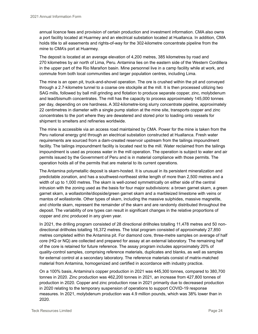annual licence fees and provision of certain production and investment information. CMA also owns a port facility located at Huarmey and an electrical substation located at Huallanca. In addition, CMA holds title to all easements and rights-of-way for the 302-kilometre concentrate pipeline from the mine to CMA's port at Huarmey.

The deposit is located at an average elevation of 4,200 metres, 385 kilometres by road and 270 kilometres by air north of Lima, Peru. Antamina lies on the eastern side of the Western Cordillera in the upper part of the Rio Marañon basin. Mine personnel live in a camp facility while at work, and commute from both local communities and larger population centres, including Lima.

The mine is an open pit, truck-and-shovel operation. The ore is crushed within the pit and conveyed through a 2.7-kilometre tunnel to a coarse ore stockpile at the mill. It is then processed utilizing two SAG mills, followed by ball mill grinding and flotation to produce separate copper, zinc, molybdenum and lead/bismuth concentrates. The mill has the capacity to process approximately 145,000 tonnes per day, depending on ore hardness. A 302-kilometre-long slurry concentrate pipeline, approximately 22 centimetres in diameter with a single pump station at the mine site, transports copper and zinc concentrates to the port where they are dewatered and stored prior to loading onto vessels for shipment to smelters and refineries worldwide.

The mine is accessible via an access road maintained by CMA. Power for the mine is taken from the Peru national energy grid through an electrical substation constructed at Huallanca. Fresh water requirements are sourced from a dam-created reservoir upstream from the tailings impoundment facility. The tailings impoundment facility is located next to the mill. Water reclaimed from the tailings impoundment is used as process water in the mill operation. The operation is subject to water and air permits issued by the Government of Peru and is in material compliance with those permits. The operation holds all of the permits that are material to its current operations.

The Antamina polymetallic deposit is skarn-hosted. It is unusual in its persistent mineralization and predictable zonation, and has a southwest-northeast strike length of more than 2,500 metres and a width of up to 1,000 metres. The skarn is well-zoned symmetrically on either side of the central intrusion with the zoning used as the basis for four major subdivisions: a brown garnet skarn, a green garnet skarn, a wollastonite/diopside/green garnet skarn and a marbleized limestone with veins or mantos of wollastonite. Other types of skarn, including the massive sulphides, massive magnetite, and chlorite skarn, represent the remainder of the skarn and are randomly distributed throughout the deposit. The variability of ore types can result in significant changes in the relative proportions of copper and zinc produced in any given year.

In 2021, the drilling program consisted of 28 directional drillholes totalling 11,478 metres and 50 nondirectional drillholes totalling 16,372 metres. The total program consisted of approximately 27,850 metres completed within the Antamina pit. For diamond core, three-metre samples on average of half core (HQ or NQ) are collected and prepared for assay at an external laboratory. The remaining half of the core is retained for future reference. The assay program includes approximately 20% of quality-control samples, comprising reference materials, duplicates and blanks, as well as samples for external control at a secondary laboratory. The reference materials consist of matrix-matched material from Antamina, homogenized and certified in accordance with industry practice.

On a 100% basis, Antamina's copper production in 2021 was 445,300 tonnes, compared to 380,700 tonnes in 2020. Zinc production was 462,200 tonnes in 2021, an increase from 427,800 tonnes of production in 2020. Copper and zinc production rose in 2021 primarily due to decreased production in 2020 relating to the temporary suspension of operations to support COVID-19 response measures. In 2021, molybdenum production was 4.9 million pounds, which was 38% lower than in 2020.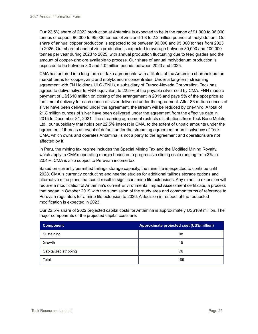Our 22.5% share of 2022 production at Antamina is expected to be in the range of 91,000 to 96,000 tonnes of copper, 90,000 to 95,000 tonnes of zinc and 1.8 to 2.2 million pounds of molybdenum. Our share of annual copper production is expected to be between 90,000 and 95,000 tonnes from 2023 to 2025. Our share of annual zinc production is expected to average between 80,000 and 100,000 tonnes per year during 2023 to 2025, with annual production fluctuating due to feed grades and the amount of copper-zinc ore available to process. Our share of annual molybdenum production is expected to be between 3.0 and 4.0 million pounds between 2023 and 2025.

CMA has entered into long-term off-take agreements with affiliates of the Antamina shareholders on market terms for copper, zinc and molybdenum concentrates. Under a long-term streaming agreement with FN Holdings ULC (FNH), a subsidiary of Franco-Nevada Corporation, Teck has agreed to deliver silver to FNH equivalent to 22.5% of the payable silver sold by CMA. FNH made a payment of US\$610 million on closing of the arrangement in 2015 and pays 5% of the spot price at the time of delivery for each ounce of silver delivered under the agreement. After 86 million ounces of silver have been delivered under the agreement, the stream will be reduced by one-third. A total of 21.8 million ounces of silver have been delivered under the agreement from the effective date in 2015 to December 31, 2021. The streaming agreement restricts distributions from Teck Base Metals Ltd., our subsidiary that holds our 22.5% interest in CMA, to the extent of unpaid amounts under the agreement if there is an event of default under the streaming agreement or an insolvency of Teck. CMA, which owns and operates Antamina, is not a party to the agreement and operations are not affected by it.

In Peru, the mining tax regime includes the Special Mining Tax and the Modified Mining Royalty, which apply to CMA's operating margin based on a progressive sliding scale ranging from 3% to 20.4%. CMA is also subject to Peruvian income tax.

Based on currently permitted tailings storage capacity, the mine life is expected to continue until 2028. CMA is currently conducting engineering studies for additional tailings storage options and alternative mine plans that could result in significant mine life extensions. Any mine life extension will require a modification of Antamina's current Environmental Impact Assessment certificate, a process that began in October 2019 with the submission of the study area and common terms of reference to Peruvian regulators for a mine life extension to 2036. A decision in respect of the requested modification is expected in 2023.

Our 22.5% share of 2022 projected capital costs for Antamina is approximately US\$189 million. The major components of the projected capital costs are:

| <b>Component</b>      | Approximate projected cost (US\$/million) |
|-----------------------|-------------------------------------------|
| Sustaining            | 98                                        |
| Growth                | 15                                        |
| Capitalized stripping | 76                                        |
| Total                 | 189                                       |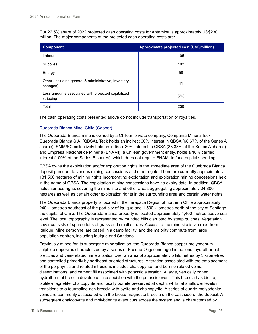Our 22.5% share of 2022 projected cash operating costs for Antamina is approximately US\$230 million. The major components of the projected cash operating costs are:

| <b>Component</b>                                                 | Approximate projected cost (US\$/million) |
|------------------------------------------------------------------|-------------------------------------------|
| Labour                                                           | 105                                       |
| Supplies                                                         | 102                                       |
| Energy                                                           | 58                                        |
| Other (including general & administrative, inventory<br>changes) | 41                                        |
| Less amounts associated with projected capitalized<br>stripping  | (76)                                      |
| Total                                                            | 230                                       |

The cash operating costs presented above do not include transportation or royalties.

#### Quebrada Blanca Mine, Chile (Copper)

The Quebrada Blanca mine is owned by a Chilean private company, Compañía Minera Teck Quebrada Blanca S.A. (QBSA). Teck holds an indirect 60% interest in QBSA (66.67% of the Series A shares); SMM/SC collectively hold an indirect 30% interest in QBSA (33.33% of the Series A shares) and Empresa Nacional de Minería (ENAMI), a Chilean government entity, holds a 10% carried interest (100% of the Series B shares), which does not require ENAMI to fund capital spending.

QBSA owns the exploitation and/or exploration rights in the immediate area of the Quebrada Blanca deposit pursuant to various mining concessions and other rights. There are currently approximately 131,500 hectares of mining rights incorporating exploitation and exploration mining concessions held in the name of QBSA. The exploitation mining concessions have no expiry date. In addition, QBSA holds surface rights covering the mine site and other areas aggregating approximately 34,800 hectares as well as certain other exploration rights in the surrounding area and certain water rights.

The Quebrada Blanca property is located in the Tarapacá Region of northern Chile approximately 240 kilometres southeast of the port city of Iquique and 1,500 kilometres north of the city of Santiago, the capital of Chile. The Quebrada Blanca property is located approximately 4,400 metres above sea level. The local topography is represented by rounded hills disrupted by steep gulches. Vegetation cover consists of sparse tufts of grass and small shrubs. Access to the mine site is via road from Iquique. Mine personnel are based in a camp facility, and the majority commute from large population centres, including Iquique and Santiago.

Previously mined for its supergene mineralization, the Quebrada Blanca copper-molybdenum sulphide deposit is characterized by a series of Eocene-Oligocene aged intrusions, hydrothermal breccias and vein-related mineralization over an area of approximately 5 kilometres by 3 kilometres and controlled primarily by northeast-oriented structures. Alteration associated with the emplacement of the porphyritic and related intrusions includes chalcopyrite- and bornite-related veins, disseminations, and cement fill associated with potassic alteration. A large, vertically zoned hydrothermal breccia developed in association with the potassic event. This breccia has biotite, biotite-magnetite, chalcopyrite and locally bornite preserved at depth, whilst at shallower levels it transitions to a tourmaline-rich breccia with pyrite and chalcopyrite. A series of quartz-molybdenite veins are commonly associated with the biotite-magnetite breccia on the east side of the deposit. A subsequent chalcopyrite and molybdenite event cuts across the system and is characterized by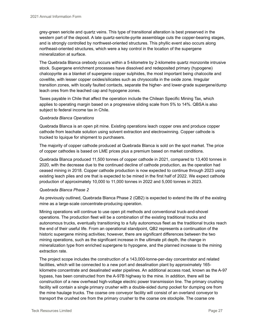grey-green sericite and quartz veins. This type of transitional alteration is best preserved in the western part of the deposit. A late quartz-sericite-pyrite assemblage cuts the copper-bearing stages, and is strongly controlled by northwest-oriented structures. This phyllic event also occurs along northeast-oriented structures, which were a key control in the location of the supergene mineralization at surface.

The Quebrada Blanca orebody occurs within a 5-kilometre by 2-kilometre quartz monzonite intrusive stock. Supergene enrichment processes have dissolved and redeposited primary (hypogene) chalcopyrite as a blanket of supergene copper sulphides, the most important being chalcocite and covellite, with lesser copper oxides/silicates such as chrysocolla in the oxide zone. Irregular transition zones, with locally faulted contacts, separate the higher- and lower-grade supergene/dump leach ores from the leached cap and hypogene zones.

Taxes payable in Chile that affect the operation include the Chilean Specific Mining Tax, which applies to operating margin based on a progressive sliding scale from 5% to 14%. QBSA is also subject to federal income tax in Chile.

#### *Quebrada Blanca Operations*

Quebrada Blanca is an open pit mine. Existing operations leach copper ores and produce copper cathode from leachate solution using solvent extraction and electrowinning. Copper cathode is trucked to Iquique for shipment to purchasers.

The majority of copper cathode produced at Quebrada Blanca is sold on the spot market. The price of copper cathodes is based on LME prices plus a premium based on market conditions.

Quebrada Blanca produced 11,500 tonnes of copper cathode in 2021, compared to 13,400 tonnes in 2020, with the decrease due to the continued decline of cathode production, as the operation had ceased mining in 2018. Copper cathode production is now expected to continue through 2023 using existing leach piles and ore that is expected to be mined in the first half of 2022. We expect cathode production of approximately 10,000 to 11,000 tonnes in 2022 and 5,000 tonnes in 2023.

#### *Quebrada Blanca Phase 2*

As previously outlined, Quebrada Blanca Phase 2 (QB2) is expected to extend the life of the existing mine as a large-scale concentrate-producing operation.

Mining operations will continue to use open pit methods and conventional truck-and-shovel operations. The production fleet will be a combination of the existing traditional trucks and autonomous trucks, eventually transitioning to a fully autonomous fleet as the traditional trucks reach the end of their useful life. From an operational standpoint, QB2 represents a continuation of the historic supergene mining activities; however, there are significant differences between the two mining operations, such as the significant increase in the ultimate pit depth, the change in mineralization type from enriched supergene to hypogene, and the planned increase to the mining extraction rate.

The project scope includes the construction of a 143,000-tonne-per-day concentrator and related facilities, which will be connected to a new port and desalination plant by approximately 165 kilometre concentrate and desalinated water pipelines. An additional access road, known as the A-97 bypass, has been constructed from the A-97B highway to the mine. In addition, there will be construction of a new overhead high-voltage electric power transmission line. The primary crushing facility will contain a single primary crusher with a double-sided dump pocket for dumping ore from the mine haulage trucks. The coarse ore conveyor facility will consist of an overland conveyor to transport the crushed ore from the primary crusher to the coarse ore stockpile. The coarse ore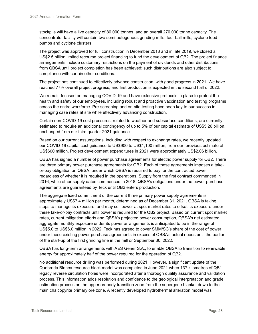stockpile will have a live capacity of 80,000 tonnes, and an overall 270,000 tonne capacity. The concentrator facility will contain two semi-autogenous grinding mills, four ball mills, cyclone feed pumps and cyclone clusters.

The project was approved for full construction in December 2018 and in late 2019, we closed a US\$2.5 billion limited recourse project financing to fund the development of QB2. The project finance arrangements include customary restrictions on the payment of dividends and other distributions from QBSA until project completion has been achieved; such distributions are also subject to compliance with certain other conditions.

The project has continued to effectively advance construction, with good progress in 2021. We have reached 77% overall project progress, and first production is expected in the second half of 2022.

We remain focused on managing COVID-19 and have extensive protocols in place to protect the health and safety of our employees, including robust and proactive vaccination and testing programs across the entire workforce. Pre-screening and on-site testing have been key to our success in managing case rates at site while effectively advancing construction.

Certain non-COVID-19 cost pressures, related to weather and subsurface conditions, are currently estimated to require an additional contingency of up to 5% of our capital estimate of US\$5.26 billion, unchanged from our third quarter 2021 guidance.

Based on our current assumptions, including with respect to exchange rates, we recently updated our COVID-19 capital cost guidance to US\$900 to US\$1,100 million, from our previous estimate of US\$600 million. Project development expenditures in 2021 were approximately US\$2.06 billion.

QBSA has signed a number of power purchase agreements for electric power supply for QB2. There are three primary power purchase agreements for QB2. Each of these agreements imposes a takeor-pay obligation on QBSA, under which QBSA is required to pay for the contracted power regardless of whether it is required in the operations. Supply from the first contract commenced in 2016, while other supply dates commenced in 2018. QBSA's obligations under the power purchase agreements are guaranteed by Teck until QB2 enters production.

The aggregate fixed commitment of the current three primary power supply agreements is approximately US\$7.4 million per month, determined as of December 31, 2021. QBSA is taking steps to manage its exposure, and may sell power at spot market rates to offset its exposure under these take-or-pay contracts until power is required for the QB2 project. Based on current spot market rates, current mitigation efforts and QBSA's projected power consumption, QBSA's net estimated aggregate monthly exposure under its power arrangements is anticipated to be in the range of US\$5.0 to US\$6.0 million in 2022. Teck has agreed to cover SMM/SC's share of the cost of power under these existing power purchase agreements in excess of QBSA's actual needs until the earlier of the start-up of the first grinding line in the mill or September 30, 2022.

QBSA has long-term arrangements with AES Gener S.A., to enable QBSA to transition to renewable energy for approximately half of the power required for the operation of QB2.

No additional resource drilling was performed during 2021. However, a significant update of the Quebrada Blanca resource block model was completed in June 2021 when 137 kilometres of QB1 legacy reverse circulation holes were incorporated after a thorough quality assurance and validation process. This information adds resolution and confidence to the geological interpretation and grade estimation process on the upper orebody transition zone from the supergene blanket down to the main chalcopyrite primary ore zone. A recently developed hydrothermal alteration model was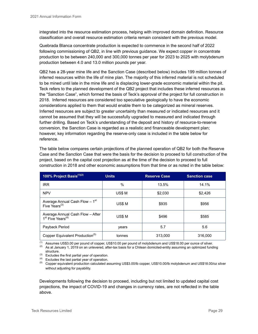integrated into the resource estimation process, helping with improved domain definition. Resource classification and overall resource estimation criteria remain consistent with the previous model.

Quebrada Blanca concentrate production is expected to commence in the second half of 2022 following commissioning of QB2, in line with previous guidance. We expect copper in concentrate production to be between 240,000 and 300,000 tonnes per year for 2023 to 2025 with molybdenum production between 4.0 and 13.0 million pounds per year.

QB2 has a 28-year mine life and the Sanction Case (described below) includes 199 million tonnes of inferred resources within the life of mine plan. The majority of this inferred material is not scheduled to be mined until late in the mine life and is displacing lower-grade economic material within the pit. Teck refers to the planned development of the QB2 project that includes these inferred resources as the "Sanction Case", which formed the basis of Teck's approval of the project for full construction in 2018. Inferred resources are considered too speculative geologically to have the economic considerations applied to them that would enable them to be categorized as mineral reserves. Inferred resources are subject to greater uncertainty than measured or indicated resources and it cannot be assumed that they will be successfully upgraded to measured and indicated through further drilling. Based on Teck's understanding of the deposit and history of resource-to-reserve conversion, the Sanction Case is regarded as a realistic and financeable development plan; however, key information regarding the reserve-only case is included in the table below for reference.

The table below compares certain projections of the planned operation of QB2 for both the Reserve Case and the Sanction Case that were the basis for the decision to proceed to full construction of the project, based on the capital cost projection as at the time of the decision to proceed to full construction in 2018 and other economic assumptions from that time or as noted in the table below:

| 100% Project Basis <sup>(1)(2)</sup>                                | <b>Units</b> | <b>Reserve Case</b> | <b>Sanction case</b> |
|---------------------------------------------------------------------|--------------|---------------------|----------------------|
| <b>IRR</b>                                                          | $\%$         | 13.5%               | 14.1%                |
| <b>NPV</b>                                                          | US\$ M       | \$2,030             | \$2,426              |
| Average Annual Cash Flow $-1st$<br>Five Years <sup>(3)</sup>        | US\$ M       | \$935               | \$956                |
| Average Annual Cash Flow - After<br>$1st$ Five Years <sup>(4)</sup> | US\$ M       | \$496               | \$585                |
| Payback Period                                                      | years        | 5.7                 | 5.6                  |
| Copper Equivalent Production <sup>(5)</sup>                         | tonnes       | 313,000             | 316,000              |

 $<sup>(1)</sup>$  Assumes US\$3.00 per pound of copper, US\$10.00 per pound of molybdenum and US\$18.00 per ounce of silver.</sup>

 $(2)$  As at January 1, 2019 on an unlevered, after-tax basis for a Chilean domiciled-entity assuming an optimized funding structure.

(3) Excludes the first partial year of operation.

 $(4)$  Excludes the last partial year of operation.

<sup>(5)</sup> Copper equivalent production calculated assuming US\$3.00/lb copper, US\$10.00/lb molybdenum and US\$18.00/oz silver without adjusting for payability.

Developments following the decision to proceed, including but not limited to updated capital cost projections, the impact of COVID-19 and changes in currency rates, are not reflected in the table above.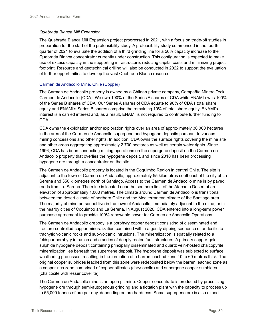#### *Quebrada Blanca Mill Expansion*

The Quebrada Blanca Mill Expansion project progressed in 2021, with a focus on trade-off studies in preparation for the start of the prefeasibility study. A prefeasibility study commenced in the fourth quarter of 2021 to evaluate the addition of a third grinding line for a 50% capacity increase to the Quebrada Blanca concentrator currently under construction. This configuration is expected to make use of excess capacity in the supporting infrastructure, reducing capital costs and minimizing project footprint. Resource and geotechnical drilling will also be conducted in 2022 to support the evaluation of further opportunities to develop the vast Quebrada Blanca resource.

#### Carmen de Andacollo Mine, Chile (Copper)

The Carmen de Andacollo property is owned by a Chilean private company, Compañía Minera Teck Carmen de Andacollo (CDA). We own 100% of the Series A shares of CDA while ENAMI owns 100% of the Series B shares of CDA. Our Series A shares of CDA equate to 90% of CDA's total share equity and ENAMI's Series B shares comprise the remaining 10% of total share equity. ENAMI's interest is a carried interest and, as a result, ENAMI is not required to contribute further funding to CDA.

CDA owns the exploitation and/or exploration rights over an area of approximately 30,000 hectares in the area of the Carmen de Andacollo supergene and hypogene deposits pursuant to various mining concessions and other rights. In addition, CDA owns the surface rights covering the mine site and other areas aggregating approximately 2,700 hectares as well as certain water rights. Since 1996, CDA has been conducting mining operations on the supergene deposit on the Carmen de Andacollo property that overlies the hypogene deposit, and since 2010 has been processing hypogene ore through a concentrator on the site.

The Carmen de Andacollo property is located in the Coquimbo Region in central Chile. The site is adjacent to the town of Carmen de Andacollo, approximately 55 kilometres southeast of the city of La Serena and 350 kilometres north of Santiago. Access to the Carmen de Andacollo mine is by paved roads from La Serena. The mine is located near the southern limit of the Atacama Desert at an elevation of approximately 1,000 metres. The climate around Carmen de Andacollo is transitional between the desert climate of northern Chile and the Mediterranean climate of the Santiago area. The majority of mine personnel live in the town of Andacollo, immediately adjacent to the mine, or in the nearby cities of Coquimbo and La Serena. In August 2020, CDA entered into a long-term power purchase agreement to provide 100% renewable power for Carmen de Andacollo Operations.

The Carmen de Andacollo orebody is a porphyry copper deposit consisting of disseminated and fracture-controlled copper mineralization contained within a gently dipping sequence of andesitic to trachytic volcanic rocks and sub-volcanic intrusions. The mineralization is spatially related to a feldspar porphyry intrusion and a series of deeply rooted fault structures. A primary copper-gold sulphide hypogene deposit containing principally disseminated and quartz vein-hosted chalcopyrite mineralization lies beneath the supergene deposit. The hypogene deposit was subjected to surface weathering processes, resulting in the formation of a barren leached zone 10 to 60 metres thick. The original copper sulphides leached from this zone were redeposited below the barren leached zone as a copper-rich zone comprised of copper silicates (chrysocolla) and supergene copper sulphides (chalcocite with lesser covellite).

The Carmen de Andacollo mine is an open pit mine. Copper concentrate is produced by processing hypogene ore through semi-autogenous grinding and a flotation plant with the capacity to process up to 55,000 tonnes of ore per day, depending on ore hardness. Some supergene ore is also mined,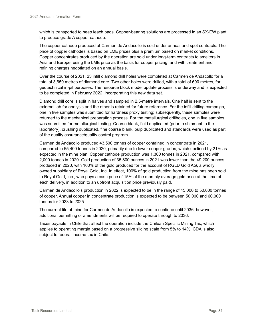which is transported to heap leach pads. Copper-bearing solutions are processed in an SX-EW plant to produce grade A copper cathode.

The copper cathode produced at Carmen de Andacollo is sold under annual and spot contracts. The price of copper cathodes is based on LME prices plus a premium based on market conditions. Copper concentrates produced by the operation are sold under long-term contracts to smelters in Asia and Europe, using the LME price as the basis for copper pricing, and with treatment and refining charges negotiated on an annual basis.

Over the course of 2021, 23 infill diamond drill holes were completed at Carmen de Andacollo for a total of 3,650 metres of diamond core. Two other holes were drilled, with a total of 600 metres, for geotechnical in-pit purposes. The resource block model update process is underway and is expected to be completed in February 2022, incorporating this new data set.

Diamond drill core is split in halves and sampled in 2.5-metre intervals. One half is sent to the external lab for analysis and the other is retained for future reference. For the infill drilling campaign, one in five samples was submitted for hardness proxy testing; subsequently, these samples were returned to the mechanical preparation process. For the metallurgical drillholes, one in five samples was submitted for metallurgical testing. Coarse blank, field duplicated (prior to shipment to the laboratory), crushing duplicated, fine coarse blank, pulp duplicated and standards were used as part of the quality assurance/quality control program.

Carmen de Andacollo produced 43,500 tonnes of copper contained in concentrate in 2021, compared to 55,400 tonnes in 2020, primarily due to lower copper grades, which declined by 21% as expected in the mine plan. Copper cathode production was 1,300 tonnes in 2021, compared with 2,000 tonnes in 2020. Gold production of 35,800 ounces in 2021 was lower than the 49,200 ounces produced in 2020, with 100% of the gold produced for the account of RGLD Gold AG, a wholly owned subsidiary of Royal Gold, Inc. In effect, 100% of gold production from the mine has been sold to Royal Gold, Inc., who pays a cash price of 15% of the monthly average gold price at the time of each delivery, in addition to an upfront acquisition price previously paid.

Carmen de Andacollo's production in 2022 is expected to be in the range of 45,000 to 50,000 tonnes of copper. Annual copper in concentrate production is expected to be between 50,000 and 60,000 tonnes for 2023 to 2025.

The current life of mine for Carmen de Andacollo is expected to continue until 2036; however, additional permitting or amendments will be required to operate through to 2036.

Taxes payable in Chile that affect the operation include the Chilean Specific Mining Tax, which applies to operating margin based on a progressive sliding scale from 5% to 14%. CDA is also subject to federal income tax in Chile.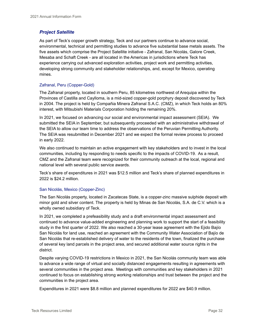#### *Project Satellite*

As part of Teck's copper growth strategy, Teck and our partners continue to advance social, environmental, technical and permitting studies to advance five substantial base metals assets. The five assets which comprise the Project Satellite initiative - Zafranal, San Nicolás, Galore Creek, Mesaba and Schaft Creek - are all located in the Americas in jurisdictions where Teck has experience carrying out advanced exploration activities, project work and permitting activities, developing strong community and stakeholder relationships, and, except for Mexico, operating mines.

#### Zafranal, Peru (Copper-Gold)

The Zafranal property, located in southern Peru, 85 kilometres northwest of Arequipa within the Provinces of Castilla and Caylloma, is a mid-sized copper-gold porphyry deposit discovered by Teck in 2004. The project is held by Compañia Minera Zafranal S.A.C. (CMZ), in which Teck holds an 80% interest, with Mitsubishi Materials Corporation holding the remaining 20%.

In 2021, we focused on advancing our social and environmental impact assessment (SEIA). We submitted the SEIA in September, but subsequently proceeded with an administrative withdrawal of the SEIA to allow our team time to address the observations of the Peruvian Permitting Authority. The SEIA was resubmitted in December 2021 and we expect the formal review process to proceed in early 2022.

We also continued to maintain an active engagement with key stakeholders and to invest in the local communities, including by responding to needs specific to the impacts of COVID-19. As a result, CMZ and the Zafranal team were recognized for their community outreach at the local, regional and national level with several public service awards.

Teck's share of expenditures in 2021 was \$12.5 million and Teck's share of planned expenditures in 2022 is \$24.2 million.

#### San Nicolás, Mexico (Copper-Zinc)

The San Nicolás property, located in Zacatecas State, is a copper-zinc massive sulphide deposit with minor gold and silver content. The property is held by Minas de San Nicolás, S.A. de C.V. which is a wholly owned subsidiary of Teck.

In 2021, we completed a prefeasibility study and a draft environmental impact assessment and continued to advance value-added engineering and planning work to support the start of a feasibility study in the first quarter of 2022. We also reached a 30-year lease agreement with the Ejido Bajío San Nicolás for land use, reached an agreement with the Community Water Association of Bajío de San Nicolás that re-established delivery of water to the residents of the town, finalized the purchase of several key land parcels in the project area, and secured additional water source rights in the district.

Despite varying COVID-19 restrictions in Mexico in 2021, the San Nicolás community team was able to advance a wide range of virtual and socially distanced engagements resulting in agreements with several communities in the project area. Meetings with communities and key stakeholders in 2021 continued to focus on establishing strong working relationships and trust between the project and the communities in the project area.

Expenditures in 2021 were \$8.8 million and planned expenditures for 2022 are \$40.9 million.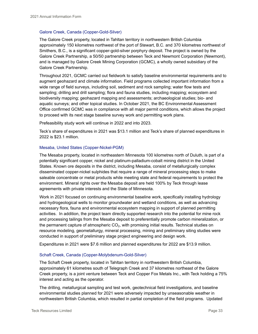#### Galore Creek, Canada (Copper-Gold-Silver)

The Galore Creek property, located in Tahltan territory in northwestern British Columbia approximately 150 kilometres northwest of the port of Stewart, B.C. and 370 kilometres northwest of Smithers, B.C., is a significant copper-gold-silver porphyry deposit. The project is owned by the Galore Creek Partnership, a 50/50 partnership between Teck and Newmont Corporation (Newmont), and is managed by Galore Creek Mining Corporation (GCMC), a wholly owned subsidiary of the Galore Creek Partnership.

Throughout 2021, GCMC carried out fieldwork to satisfy baseline environmental requirements and to augment geohazard and climate information. Field programs collected important information from a wide range of field surveys, including soil, sediment and rock sampling; water flow tests and sampling; drilling and drill sampling; flora and fauna studies, including mapping; ecosystem and biodiversity mapping; geohazard mapping and assessments; archaeological studies; bio- and aquatic surveys; and other topical studies. In October 2021, the BC Environmental Assessment Office confirmed GCMC was in compliance with all major permit conditions, which allows the project to proceed with its next stage baseline survey work and permitting work plans.

Prefeasibility study work will continue in 2022 and into 2023.

Teck's share of expenditures in 2021 was \$13.1 million and Teck's share of planned expenditures in 2022 is \$23.1 million.

#### Mesaba, United States (Copper-Nickel-PGM)

The Mesaba property, located in northeastern Minnesota 100 kilometres north of Duluth, is part of a potentially significant copper, nickel and platinum-palladium-cobalt mining district in the United States. Known ore deposits in the district, including Mesaba, consist of metallurgically complex disseminated copper-nickel sulphides that require a range of mineral processing steps to make saleable concentrate or metal products while meeting state and federal requirements to protect the environment. Mineral rights over the Mesaba deposit are held 100% by Teck through lease agreements with private interests and the State of Minnesota.

Work in 2021 focused on continuing environmental baseline work, specifically installing hydrology and hydrogeological wells to monitor groundwater and wetland conditions, as well as advancing necessary flora, fauna and environmental ecosystem mapping in support of planned permitting activities. In addition, the project team directly supported research into the potential for mine rock and processing tailings from the Mesaba deposit to preferentially promote carbon mineralization, or the permanent capture of atmospheric  $CO<sub>2</sub>$ , with promising initial results. Technical studies on resource modeling, geometallurgy, mineral processing, mining and preliminary siting studies were conducted in support of preliminary stage project engineering and design work.

Expenditures in 2021 were \$7.6 million and planned expenditures for 2022 are \$13.9 million.

#### Schaft Creek, Canada (Copper-Molybdenum-Gold-Silver)

The Schaft Creek property, located in Tahltan territory in northwestern British Columbia, approximately 61 kilometres south of Telegraph Creek and 37 kilometres northeast of the Galore Creek property, is a joint venture between Teck and Copper Fox Metals Inc., with Teck holding a 75% interest and acting as the operator.

The drilling, metallurgical sampling and test work, geotechnical field investigations, and baseline environmental studies planned for 2021 were adversely impacted by unseasonable weather in northwestern British Columbia, which resulted in partial completion of the field programs. Updated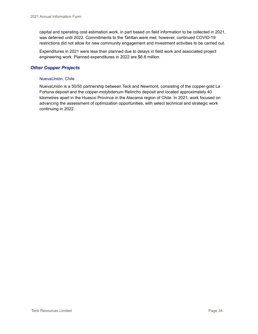capital and operating cost estimation work, in part based on field information to be collected in 2021, was deferred until 2022. Commitments to the Tahltan were met; however, continued COVID-19 restrictions did not allow for new community engagement and investment activities to be carried out.

Expenditures in 2021 were less than planned due to delays in field work and associated project engineering work. Planned expenditures in 2022 are \$6.6 million.

# *Other Copper Projects*

#### NuevaUnión, Chile

NuevaUnión is a 50/50 partnership between Teck and Newmont, consisting of the copper-gold La Fortuna deposit and the copper-molybdenum Relincho deposit and located approximately 40 kilometres apart in the Huasco Province in the Atacama region of Chile. In 2021, work focused on advancing the assessment of optimization opportunities, with select technical and strategic work continuing in 2022.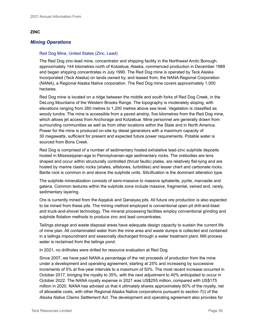#### **ZINC**

# *Mining Operations*

#### Red Dog Mine, United States (Zinc, Lead)

The Red Dog zinc-lead mine, concentrator and shipping facility in the Northwest Arctic Borough, approximately 144 kilometres north of Kotzebue, Alaska, commenced production in December 1989 and began shipping concentrates in July 1990. The Red Dog mine is operated by Teck Alaska Incorporated (Teck Alaska) on lands owned by, and leased from, the NANA Regional Corporation (NANA), a Regional Alaska Native corporation. The Red Dog mine covers approximately 1,000 hectares.

Red Dog mine is located on a ridge between the middle and south forks of Red Dog Creek, in the DeLong Mountains of the Western Brooks Range. The topography is moderately sloping, with elevations ranging from 260 metres to 1,200 metres above sea level. Vegetation is classified as woody tundra. The mine is accessible from a paved airstrip, five kilometres from the Red Dog mine, which allows jet access from Anchorage and Kotzebue. Mine personnel are generally drawn from surrounding communities as well as from other locations within the State and in North America. Power for the mine is produced on-site by diesel generators with a maximum capacity of 30 megawatts, sufficient for present and expected future power requirements. Potable water is sourced from Bons Creek.

Red Dog is comprised of a number of sedimentary hosted exhalative lead-zinc sulphide deposits hosted in Mississippian-age to Pennsylvanian-age sedimentary rocks. The orebodies are lens shaped and occur within structurally controlled (thrust faults) plates, are relatively flat-lying and are hosted by marine clastic rocks (shales, siltstones, turbidites) and lesser chert and carbonate rocks. Barite rock is common in and above the sulphide units. Silicification is the dominant alteration type.

The sulphide mineralization consists of semi-massive to massive sphalerite, pyrite, marcasite and galena. Common textures within the sulphide zone include massive, fragmental, veined and, rarely, sedimentary layering.

Ore is currently mined from the Aqqaluk and Qanaiyaq pits. All future ore production is also expected to be mined from these pits. The mining method employed is conventional open pit drill-and-blast and truck-and-shovel technology. The mineral processing facilities employ conventional grinding and sulphide flotation methods to produce zinc and lead concentrates.

Tailings storage and waste disposal areas have adequate design capacity to sustain the current life of mine plan. All contaminated water from the mine area and waste dumps is collected and contained in a tailings impoundment and seasonally discharged through a water treatment plant. Mill process water is reclaimed from the tailings pond.

In 2021, no drillholes were drilled for resource evaluation at Red Dog.

Since 2007, we have paid NANA a percentage of the net proceeds of production from the mine under a development and operating agreement, starting at 25% and increasing by successive increments of 5% at five-year intervals to a maximum of 50%. The most recent increase occurred in October 2017, bringing the royalty to 35%, with the next adjustment to 40% anticipated to occur in October 2022. The NANA royalty expense in 2021 was US\$255 million, compared with US\$175 million in 2020. NANA has advised us that it ultimately shares approximately 60% of the royalty, net of allowable costs, with other Regional Alaska Native corporations pursuant to section 7(i) of the *Alaska Native Claims Settlement Act*. The development and operating agreement also provides for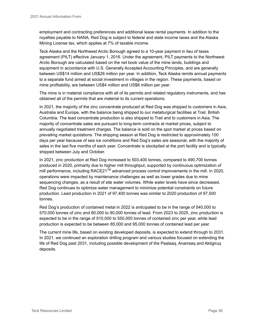employment and contracting preferences and additional lease rental payments. In addition to the royalties payable to NANA, Red Dog is subject to federal and state income taxes and the Alaska Mining License tax, which applies at 7% of taxable income.

Teck Alaska and the Northwest Arctic Borough agreed to a 10-year payment in lieu of taxes agreement (PILT) effective January 1, 2016. Under the agreement, PILT payments to the Northwest Arctic Borough are calculated based on the net book value of the mine lands, buildings and equipment in accordance with U.S. Generally Accepted Accounting Principles, and are generally between US\$14 million and US\$26 million per year. In addition, Teck Alaska remits annual payments to a separate fund aimed at social investment in villages in the region. These payments, based on mine profitability, are between US\$4 million and US\$8 million per year.

The mine is in material compliance with all of its permits and related regulatory instruments, and has obtained all of the permits that are material to its current operations.

In 2021, the majority of the zinc concentrate produced at Red Dog was shipped to customers in Asia, Australia and Europe, with the balance being shipped to our metallurgical facilities at Trail, British Columbia. The lead concentrate production is also shipped to Trail and to customers in Asia. The majority of concentrate sales are pursuant to long-term contracts at market prices, subject to annually negotiated treatment charges. The balance is sold on the spot market at prices based on prevailing market quotations. The shipping season at Red Dog is restricted to approximately 100 days per year because of sea ice conditions and Red Dog's sales are seasonal, with the majority of sales in the last five months of each year. Concentrate is stockpiled at the port facility and is typically shipped between July and October.

In 2021, zinc production at Red Dog increased to 503,400 tonnes, compared to 490,700 tonnes produced in 2020, primarily due to higher mill throughput, supported by continuous optimization of mill performance, including RACE21™ advanced process control improvements in the mill. In 2020, operations were impacted by maintenance challenges as well as lower grades due to mine sequencing changes, as a result of site water volumes. While water levels have since decreased, Red Dog continues to optimize water management to minimize potential constraints on future production. Lead production in 2021 of 97,400 tonnes was similar to 2020 production of 97,500 tonnes.

Red Dog's production of contained metal in 2022 is anticipated to be in the range of 540,000 to 570,000 tonnes of zinc and 80,000 to 90,000 tonnes of lead. From 2023 to 2025, zinc production is expected to be in the range of 510,000 to 550,000 tonnes of contained zinc per year, while lead production is expected to be between 85,000 and 95,000 tonnes of contained lead per year.

The current mine life, based on existing developed deposits, is expected to extend through to 2031. In 2021, we continued an exploration drilling program and various studies focused on extending the life of Red Dog past 2031, including possible development of the Paalaaq, Anarraaq and Aktigiruq deposits.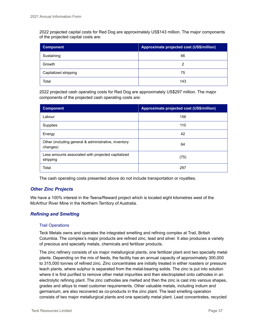2022 projected capital costs for Red Dog are approximately US\$143 million. The major components of the projected capital costs are:

| <b>Component</b>      | Approximate projected cost (US\$/million) |
|-----------------------|-------------------------------------------|
| Sustaining            | 66                                        |
| Growth                |                                           |
| Capitalized stripping | 75                                        |
| Total                 | 143                                       |

2022 projected cash operating costs for Red Dog are approximately US\$297 million. The major components of the projected cash operating costs are:

| <b>Component</b>                                                 | Approximate projected cost (US\$/million) |
|------------------------------------------------------------------|-------------------------------------------|
| Labour                                                           | 156                                       |
| Supplies                                                         | 110                                       |
| Energy                                                           | 42                                        |
| Other (including general & administrative, inventory<br>changes) | 64                                        |
| Less amounts associated with projected capitalized<br>stripping  | (75)                                      |
| Total                                                            | 297                                       |

The cash operating costs presented above do not include transportation or royalties.

# *Other Zinc Projects*

We have a 100% interest in the Teena/Reward project which is located eight kilometres west of the McArthur River Mine in the Northern Territory of Australia.

# *Refining and Smelting*

#### Trail Operations

Teck Metals owns and operates the integrated smelting and refining complex at Trail, British Columbia. The complex's major products are refined zinc, lead and silver. It also produces a variety of precious and specialty metals, chemicals and fertilizer products.

The zinc refinery consists of six major metallurgical plants, one fertilizer plant and two specialty metal plants. Depending on the mix of feeds, the facility has an annual capacity of approximately 300,000 to 315,000 tonnes of refined zinc. Zinc concentrates are initially treated in either roasters or pressure leach plants, where sulphur is separated from the metal-bearing solids. The zinc is put into solution where it is first purified to remove other metal impurities and then electroplated onto cathodes in an electrolytic refining plant. The zinc cathodes are melted and then the zinc is cast into various shapes, grades and alloys to meet customer requirements. Other valuable metals, including indium and germanium, are also recovered as co-products in the zinc plant. The lead smelting operation consists of two major metallurgical plants and one specialty metal plant. Lead concentrates, recycled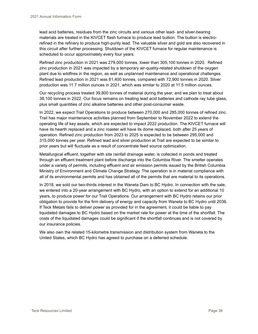lead acid batteries, residues from the zinc circuits and various other lead- and silver-bearing materials are treated in the KIVCET flash furnace to produce lead bullion. The bullion is electrorefined in the refinery to produce high-purity lead. The valuable silver and gold are also recovered in this circuit after further processing. Shutdown of the KIVCET furnace for regular maintenance is scheduled to occur approximately every four years.

Refined zinc production in 2021 was 279,000 tonnes, lower than 305,100 tonnes in 2020. Refined zinc production in 2021 was impacted by a temporary air-quality-related shutdown of the oxygen plant due to wildfires in the region, as well as unplanned maintenance and operational challenges. Refined lead production in 2021 was 81,400 tonnes, compared with 72,900 tonnes in 2020. Silver production was 11.7 million ounces in 2021, which was similar to 2020 at 11.5 million ounces.

Our recycling process treated 39,800 tonnes of material during the year, and we plan to treat about 38,100 tonnes in 2022. Our focus remains on treating lead acid batteries and cathode ray tube glass, plus small quantities of zinc alkaline batteries and other post-consumer waste.

In 2022, we expect Trail Operations to produce between 270,000 and 285,000 tonnes of refined zinc. Trail has major maintenance activities planned from September to November 2022 to extend the operating life of key assets, which are expected to impact 2022 production. The KIVCET furnace will have its hearth replaced and a zinc roaster will have its dome replaced, both after 25 years of operation. Refined zinc production from 2023 to 2025 is expected to be between 295,000 and 315,000 tonnes per year. Refined lead and silver production at Trail are expected to be similar to prior years but will fluctuate as a result of concentrate feed source optimization.

Metallurgical effluent, together with site rainfall drainage water, is collected in ponds and treated through an effluent treatment plant before discharge into the Columbia River. The smelter operates under a variety of permits, including effluent and air emission permits issued by the British Columbia Ministry of Environment and Climate Change Strategy. The operation is in material compliance with all of its environmental permits and has obtained all of the permits that are material to its operations.

In 2018, we sold our two-thirds interest in the Waneta Dam to BC Hydro. In connection with the sale, we entered into a 20-year arrangement with BC Hydro, with an option to extend for an additional 10 years, to produce power for our Trail Operations. Our arrangement with BC Hydro retains our prior obligation to provide for the firm delivery of energy and capacity from Waneta to BC Hydro until 2036. If Teck Metals fails to deliver power as provided for in the agreement, it could be liable to pay liquidated damages to BC Hydro based on the market rate for power at the time of the shortfall. The costs of the liquidated damages could be significant if the shortfall continues and is not covered by our insurance policies.

We also own the related 15-kilometre transmission and distribution system from Waneta to the United States, which BC Hydro has agreed to purchase on a deferred schedule.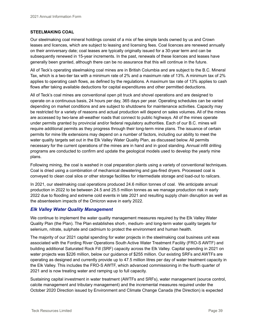#### **STEELMAKING COAL**

Our steelmaking coal mineral holdings consist of a mix of fee simple lands owned by us and Crown leases and licences, which are subject to leasing and licensing fees. Coal licences are renewed annually on their anniversary date; coal leases are typically originally issued for a 30-year term and can be subsequently renewed in 15-year increments. In the past, renewals of these licences and leases have generally been granted, although there can be no assurance that this will continue in the future.

All of Teck's operating steelmaking coal mines are in British Columbia and are subject to the B.C. Mineral Tax, which is a two-tier tax with a minimum rate of 2% and a maximum rate of 13%. A minimum tax of 2% applies to operating cash flows, as defined by the regulations. A maximum tax rate of 13% applies to cash flows after taking available deductions for capital expenditures and other permitted deductions.

All of Teck's coal mines are conventional open pit truck and shovel operations and are designed to operate on a continuous basis, 24 hours per day, 365 days per year. Operating schedules can be varied depending on market conditions and are subject to shutdowns for maintenance activities. Capacity may be restricted for a variety of reasons and actual production will depend on sales volumes. All of the mines are accessed by two-lane all-weather roads that connect to public highways. All of the mines operate under permits granted by provincial and/or federal regulatory authorities. Each of our B.C. mines will require additional permits as they progress through their long-term mine plans. The issuance of certain permits for mine life extensions may depend on a number of factors, including our ability to meet the water quality targets set out in the Elk Valley Water Quality Plan, as discussed below. All permits necessary for the current operations of the mines are in hand and in good standing. Annual infill drilling programs are conducted to confirm and update the geological models used to develop the yearly mine plans.

Following mining, the coal is washed in coal preparation plants using a variety of conventional techniques. Coal is dried using a combination of mechanical dewatering and gas-fired dryers. Processed coal is conveyed to clean coal silos or other storage facilities for intermediate storage and load-out to railcars.

In 2021, our steelmaking coal operations produced 24.6 million tonnes of coal. We anticipate annual production in 2022 to be between 24.5 and 25.5 million tonnes as we manage production risk in early 2022 due to flooding and extreme cold events in late 2021 and resulting supply chain disruption as well as the absenteeism impacts of the Omicron wave in early 2022.

# *Elk Valley Water Quality Management*

We continue to implement the water quality management measures required by the Elk Valley Water Quality Plan (the Plan). The Plan establishes short-, medium- and long-term water quality targets for selenium, nitrate, sulphate and cadmium to protect the environment and human health.

The majority of our 2021 capital spending for water projects in the steelmaking coal business unit was associated with the Fording River Operations South Active Water Treatment Facility (FRO-S AWTF) and building additional Saturated Rock Fill (SRF) capacity across the Elk Valley. Capital spending in 2021 on water projects was \$226 million, below our guidance of \$255 million. Our existing SRFs and AWTFs are operating as designed and currently provide up to 47.5 million litres per day of water treatment capacity in the Elk Valley. This includes the FRO-S AWTF, which advanced commissioning in the fourth quarter of 2021 and is now treating water and ramping up to full capacity.

Sustaining capital investment in water treatment (AWTFs and SRFs), water management (source control, calcite management and tributary management) and the incremental measures required under the October 2020 Direction issued by Environment and Climate Change Canada (the Direction) is expected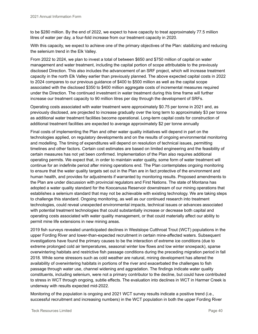to be \$280 million. By the end of 2022, we expect to have capacity to treat approximately 77.5 million litres of water per day, a four-fold increase from our treatment capacity in 2020.

With this capacity, we expect to achieve one of the primary objectives of the Plan: stabilizing and reducing the selenium trend in the Elk Valley.

From 2022 to 2024, we plan to invest a total of between \$650 and \$750 million of capital on water management and water treatment, including the capital portion of scope attributable to the previously disclosed Direction. This also includes the advancement of an SRF project, which will increase treatment capacity in the north Elk Valley earlier than previously planned. The above expected capital costs in 2022 to 2024 compares to our previous guidance of \$400 to \$500 million as well as the capital scope associated with the disclosed \$350 to \$400 million aggregate costs of incremental measures required under the Direction. The continued investment in water treatment during this time frame will further increase our treatment capacity to 90 million litres per day through the development of SRFs.

Operating costs associated with water treatment were approximately \$0.75 per tonne in 2021 and, as previously disclosed, are projected to increase gradually over the long term to approximately \$3 per tonne as additional water treatment facilities become operational. Long-term capital costs for construction of additional treatment facilities are expected to average approximately \$2 per tonne annually

Final costs of implementing the Plan and other water quality initiatives will depend in part on the technologies applied, on regulatory developments and on the results of ongoing environmental monitoring and modelling. The timing of expenditures will depend on resolution of technical issues, permitting timelines and other factors. Certain cost estimates are based on limited engineering and the feasibility of certain measures has not yet been confirmed. Implementation of the Plan also requires additional operating permits. We expect that, in order to maintain water quality, some form of water treatment will continue for an indefinite period after mining operations end. The Plan contemplates ongoing monitoring to ensure that the water quality targets set out in the Plan are in fact protective of the environment and human health, and provides for adjustments if warranted by monitoring results. Proposed amendments to the Plan are under discussion with provincial regulators and First Nations. The state of Montana has adopted a water quality standard for the Koocanusa Reservoir downstream of our mining operations that establishes a selenium standard that may not be achievable with existing technology. We are taking steps to challenge this standard. Ongoing monitoring, as well as our continued research into treatment technologies, could reveal unexpected environmental impacts, technical issues or advances associated with potential treatment technologies that could substantially increase or decrease both capital and operating costs associated with water quality management, or that could materially affect our ability to permit mine life extensions in new mining areas.

2019 fish surveys revealed unanticipated declines in Westslope Cutthroat Trout (WCT) populations in the upper Fording River and lower-than-expected recruitment in certain mine-affected waters. Subsequent investigations have found the primary causes to be the interaction of extreme ice conditions (due to extreme prolonged cold air temperatures, seasonal winter low flows and low winter snowpack), sparse overwintering habitats and restrictive fish passage conditions during the preceding migration period in fall 2018. While some stressors such as cold weather are natural, mining development has altered the availability of overwintering habitats in portions of the river and exacerbated the challenges to fish passage through water use, channel widening and aggradation. The findings indicate water quality constituents, including selenium, were not a primary contributor to the decline, but could have contributed to stress in WCT through ongoing, subtle effects. The evaluation into declines in WCT in Harmer Creek is underway with results expected mid-2022.

Monitoring of the population is ongoing and 2021 WCT survey results indicate a positive trend (i.e., successful recruitment and increasing numbers) in the WCT population in both the upper Fording River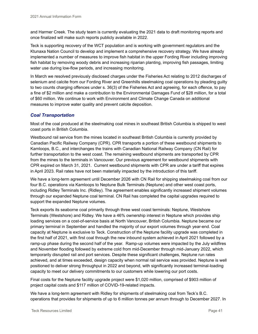and Harmer Creek. The study team is currently evaluating the 2021 data to draft monitoring reports and once finalized will make such reports publicly available in 2022.

Teck is supporting recovery of the WCT population and is working with government regulators and the Ktunaxa Nation Council to develop and implement a comprehensive recovery strategy. We have already implemented a number of measures to improve fish habitat in the upper Fording River including improving fish habitat by removing woody debris and increasing riparian planting, improving fish passages, limiting water use during low-flow periods, and increasing monitoring.

In March we resolved previously disclosed charges under the Fisheries Act relating to 2012 discharges of selenium and calcite from our Fording River and Greenhills steelmaking coal operations by pleading guilty to two counts charging offences under s. 36(3) of the Fisheries Act and agreeing, for each offence, to pay a fine of \$2 million and make a contribution to the Environmental Damages Fund of \$28 million, for a total of \$60 million. We continue to work with Environment and Climate Change Canada on additional measures to improve water quality and prevent calcite deposition.

# *Coal Transportation*

Most of the coal produced at the steelmaking coal mines in southeast British Columbia is shipped to west coast ports in British Columbia.

Westbound rail service from the mines located in southeast British Columbia is currently provided by Canadian Pacific Railway Company (CPR). CPR transports a portion of these westbound shipments to Kamloops, B.C., and interchanges the trains with Canadian National Railway Company (CN Rail) for further transportation to the west coast. The remaining westbound shipments are transported by CPR from the mines to the terminals in Vancouver. Our previous agreement for westbound shipments with CPR expired on March 31, 2021. Current westbound shipments with CPR are under a tariff that expires in April 2023. Rail rates have not been materially impacted by the introduction of this tariff.

We have a long-term agreement until December 2026 with CN Rail for shipping steelmaking coal from our four B.C. operations via Kamloops to Neptune Bulk Terminals (Neptune) and other west coast ports, including Ridley Terminals Inc. (Ridley). The agreement enables significantly increased shipment volumes through our expanded Neptune coal terminal. CN Rail has completed the capital upgrades required to support the expanded Neptune volumes.

Teck exports its seaborne coal primarily through three west coast terminals: Neptune, Westshore Terminals (Westshore) and Ridley. We have a 46% ownership interest in Neptune which provides ship loading services on a cost-of-service basis at North Vancouver, British Columbia. Neptune became our primary terminal in September and handled the majority of our export volumes through year-end. Coal capacity at Neptune is exclusive to Teck. Construction of the Neptune facility upgrade was completed in the first half of 2021, with first coal through the new inbound system achieved in April 2021 followed by a ramp-up phase during the second half of the year. Ramp-up volumes were impacted by the July wildfires and November flooding followed by extreme cold from mid-December through mid-January 2022, which temporarily disrupted rail and port services. Despite these significant challenges, Neptune run rates achieved, and at times exceeded, design capacity when normal rail service was provided. Neptune is well positioned to deliver strong throughput in 2022 and beyond, with significantly increased terminal-loading capacity to meet our delivery commitments to our customers while lowering our port costs.

Final costs for the Neptune facility upgrade project were \$1,020 million, comprised of \$903 million of project capital costs and \$117 million of COVID-19-related impacts.

We have a long-term agreement with Ridley for shipments of steelmaking coal from Teck's B.C. operations that provides for shipments of up to 6 million tonnes per annum through to December 2027. In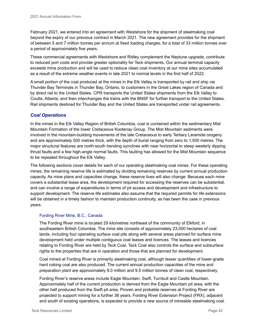February 2021, we entered into an agreement with Westshore for the shipment of steelmaking coal beyond the expiry of our previous contract in March 2021. The new agreement provides for the shipment of between 5 and 7 million tonnes per annum at fixed loading charges, for a total of 33 million tonnes over a period of approximately five years.

These commercial agreements with Westshore and Ridley complement the Neptune upgrade, contribute to reduced port costs and provide greater optionality for Teck shipments. Our annual terminal capacity exceeds mine production and will be used to reduce clean coal inventory at our mine sites accumulated as a result of the extreme weather events in late 2021 to normal levels in the first half of 2022.

A small portion of the coal produced at the mines in the Elk Valley is transported by rail and ship via Thunder Bay Terminals in Thunder Bay, Ontario, to customers in the Great Lakes region of Canada and by direct rail to the United States. CPR transports the United States shipments from the Elk Valley to Coutts, Alberta, and then interchanges the trains with the BNSF for further transport to the United States. Rail shipments destined for Thunder Bay and the United States are transported under rail agreements.

# *Coal Operations*

In the mines in the Elk Valley Region of British Columbia, coal is contained within the sedimentary Mist Mountain Formation of the lower Cretaceous Kootenay Group. The Mist Mountain sediments were involved in the mountain-building movements of the late Cretaceous to early Tertiary Laramide orogeny and are approximately 500 metres thick, with the depth of burial ranging from zero to 1,500 metres. The major structural features are north-south trending synclines with near horizontal to steep westerly dipping thrust faults and a few high-angle normal faults. This faulting has allowed for the Mist Mountain sequence to be repeated throughout the Elk Valley.

The following sections cover details for each of our operating steelmaking coal mines. For these operating mines, the remaining reserve life is estimated by dividing remaining reserves by current annual production capacity. As mine plans and capacities change, these reserve lives will also change. Because each mine covers a substantial lease area, the development required for accessing the reserves can be substantial, and can involve a range of expenditures in terms of pit access and development and infrastructure to support development. The reserve life estimates also assume that the required permits for life extensions will be obtained in a timely fashion to maintain production continuity, as has been the case in previous years.

#### Fording River Mine, B.C., Canada

The Fording River mine is located 29 kilometres northeast of the community of Elkford, in southeastern British Columbia. The mine site consists of approximately 23,000 hectares of coal lands, including four operating surface coal pits along with several areas planned for surface mine development held under multiple contiguous coal leases and licences. The leases and licences relating to Fording River are held by Teck Coal. Teck Coal also controls the surface and subsurface rights to the properties that are in operation and those that are planned for development.

Coal mined at Fording River is primarily steelmaking coal, although lesser quantities of lower-grade hard coking coal are also produced. The current annual production capacities of the mine and preparation plant are approximately 9.0 million and 9.5 million tonnes of clean coal, respectively.

Fording River's reserve areas include Eagle Mountain, Swift, Turnbull and Castle Mountain. Approximately half of the current production is derived from the Eagle Mountain pit area, with the other half produced from the Swift pit area. Proven and probable reserves at Fording River are projected to support mining for a further 38 years. Fording River Extension Project (FRX), adjacent and south of existing operations, is expected to provide a new source of mineable steelmaking coal.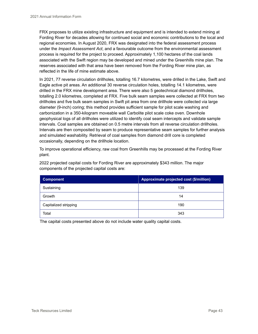FRX proposes to utilize existing infrastructure and equipment and is intended to extend mining at Fording River for decades allowing for continued social and economic contributions to the local and regional economies. In August 2020, FRX was designated into the federal assessment process under the *Impact Assessment Act*, and a favourable outcome from the environmental assessment process is required for the project to proceed. Approximately 1,100 hectares of the coal lands associated with the Swift region may be developed and mined under the Greenhills mine plan. The reserves associated with that area have been removed from the Fording River mine plan, as reflected in the life of mine estimate above.

In 2021, 77 reverse circulation drillholes, totalling 16.7 kilometres, were drilled in the Lake, Swift and Eagle active pit areas. An additional 30 reverse circulation holes, totalling 14.1 kilometres, were drilled in the FRX mine development area. There were also 5 geotechnical diamond drillholes, totalling 2.0 kilometres, completed at FRX. Five bulk seam samples were collected at FRX from two drillholes and five bulk seam samples in Swift pit area from one drillhole were collected via large diameter (9-inch) coring; this method provides sufficient sample for pilot scale washing and carbonization in a 350-kilogram moveable wall Carbolite pilot scale coke oven. Downhole geophysical logs of all drillholes were utilized to identify coal seam intercepts and validate sample intervals. Coal samples are obtained on 0.5 metre intervals from all reverse circulation drillholes. Intervals are then composited by seam to produce representative seam samples for further analysis and simulated washability. Retrieval of coal samples from diamond drill core is completed occasionally, depending on the drillhole location.

To improve operational efficiency, raw coal from Greenhills may be processed at the Fording River plant.

| <b>Component</b>      | Approximate projected cost (\$/million) |  |  |  |  |
|-----------------------|-----------------------------------------|--|--|--|--|
| Sustaining            | 139                                     |  |  |  |  |
| Growth                | 14                                      |  |  |  |  |
| Capitalized stripping | 190                                     |  |  |  |  |
| Total                 | 343                                     |  |  |  |  |

2022 projected capital costs for Fording River are approximately \$343 million. The major components of the projected capital costs are:

The capital costs presented above do not include water quality capital costs.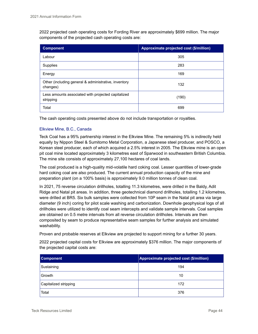2022 projected cash operating costs for Fording River are approximately \$699 million. The major components of the projected cash operating costs are:

| <b>Component</b>                                                 | Approximate projected cost (\$/million) |
|------------------------------------------------------------------|-----------------------------------------|
| Labour                                                           | 305                                     |
| Supplies                                                         | 283                                     |
| Energy                                                           | 169                                     |
| Other (including general & administrative, inventory<br>changes) | 132                                     |
| Less amounts associated with projected capitalized<br>stripping  | (190)                                   |
| Total                                                            | 699                                     |

The cash operating costs presented above do not include transportation or royalties.

# Elkview Mine, B.C., Canada

Teck Coal has a 95% partnership interest in the Elkview Mine. The remaining 5% is indirectly held equally by Nippon Steel & Sumitomo Metal Corporation, a Japanese steel producer, and POSCO, a Korean steel producer, each of which acquired a 2.5% interest in 2005. The Elkview mine is an open pit coal mine located approximately 3 kilometres east of Sparwood in southeastern British Columbia. The mine site consists of approximately 27,100 hectares of coal lands.

The coal produced is a high-quality mid-volatile hard coking coal. Lesser quantities of lower-grade hard coking coal are also produced. The current annual production capacity of the mine and preparation plant (on a 100% basis) is approximately 9.0 million tonnes of clean coal.

In 2021, 75 reverse circulation drillholes, totalling 11.3 kilometres, were drilled in the Baldy, Adit Ridge and Natal pit areas. In addition, three geotechnical diamond drillholes, totalling 1.2 kilometres, were drilled at BR5. Six bulk samples were collected from 10P seam in the Natal pit area via large diameter (9 inch) coring for pilot scale washing and carbonization. Downhole geophysical logs of all drillholes were utilized to identify coal seam intercepts and validate sample intervals. Coal samples are obtained on 0.5 metre intervals from all reverse circulation drillholes. Intervals are then composited by seam to produce representative seam samples for further analysis and simulated washability.

Proven and probable reserves at Elkview are projected to support mining for a further 30 years.

2022 projected capital costs for Elkview are approximately \$376 million. The major components of the projected capital costs are:

| <b>Component</b>      | Approximate projected cost (\$/million) |
|-----------------------|-----------------------------------------|
| Sustaining            | 194                                     |
| Growth                | 10                                      |
| Capitalized stripping | 172                                     |
| Total                 | 376                                     |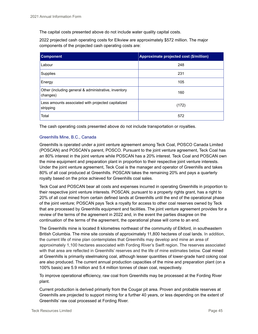The capital costs presented above do not include water quality capital costs.

2022 projected cash operating costs for Elkview are approximately \$572 million. The major components of the projected cash operating costs are:

| <b>Component</b>                                                 | Approximate projected cost (\$/million) |
|------------------------------------------------------------------|-----------------------------------------|
| Labour                                                           | 248                                     |
| Supplies                                                         | 231                                     |
| Energy                                                           | 105                                     |
| Other (including general & administrative, inventory<br>changes) | 160                                     |
| Less amounts associated with projected capitalized<br>stripping  | (172)                                   |
| Total                                                            | 572                                     |

The cash operating costs presented above do not include transportation or royalties.

#### Greenhills Mine, B.C., Canada

Greenhills is operated under a joint venture agreement among Teck Coal, POSCO Canada Limited (POSCAN) and POSCAN's parent, POSCO. Pursuant to the joint venture agreement, Teck Coal has an 80% interest in the joint venture while POSCAN has a 20% interest. Teck Coal and POSCAN own the mine equipment and preparation plant in proportion to their respective joint venture interests. Under the joint venture agreement, Teck Coal is the manager and operator of Greenhills and takes 80% of all coal produced at Greenhills. POSCAN takes the remaining 20% and pays a quarterly royalty based on the price achieved for Greenhills coal sales.

Teck Coal and POSCAN bear all costs and expenses incurred in operating Greenhills in proportion to their respective joint venture interests. POSCAN, pursuant to a property rights grant, has a right to 20% of all coal mined from certain defined lands at Greenhills until the end of the operational phase of the joint venture; POSCAN pays Teck a royalty for access to other coal reserves owned by Teck that are processed by Greenhills equipment and facilities. The joint venture agreement provides for a review of the terms of the agreement in 2022 and, in the event the parties disagree on the continuation of the terms of the agreement, the operational phase will come to an end.

The Greenhills mine is located 8 kilometres northeast of the community of Elkford, in southeastern British Columbia. The mine site consists of approximately 11,800 hectares of coal lands. In addition, the current life of mine plan contemplates that Greenhills may develop and mine an area of approximately 1,100 hectares associated with Fording River's Swift region. The reserves associated with that area are reflected in Greenhills' reserves and the life of mine estimates below. Coal mined at Greenhills is primarily steelmaking coal, although lesser quantities of lower-grade hard coking coal are also produced. The current annual production capacities of the mine and preparation plant (on a 100% basis) are 5.9 million and 5.4 million tonnes of clean coal, respectively.

To improve operational efficiency, raw coal from Greenhills may be processed at the Fording River plant.

Current production is derived primarily from the Cougar pit area. Proven and probable reserves at Greenhills are projected to support mining for a further 40 years, or less depending on the extent of Greenhills' raw coal processed at Fording River.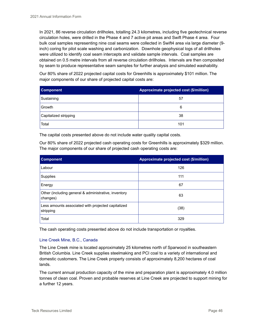In 2021, 86 reverse circulation drillholes, totalling 24.3 kilometres, including five geotechnical reverse circulation holes, were drilled in the Phase 4 and 7 active pit areas and Swift Phase 4 area. Four bulk coal samples representing nine coal seams were collected in Swift4 area via large diameter (9 inch) coring for pilot scale washing and carbonization. Downhole geophysical logs of all drillholes were utilized to identify coal seam intercepts and validate sample intervals. Coal samples are obtained on 0.5 metre intervals from all reverse circulation drillholes. Intervals are then composited by seam to produce representative seam samples for further analysis and simulated washability.

Our 80% share of 2022 projected capital costs for Greenhills is approximately \$101 million. The major components of our share of projected capital costs are:

| <b>Component</b>      | Approximate projected cost (\$/million) |
|-----------------------|-----------------------------------------|
| Sustaining            | 57                                      |
| Growth                | 6                                       |
| Capitalized stripping | 38                                      |
| Total                 | 101                                     |

The capital costs presented above do not include water quality capital costs.

Our 80% share of 2022 projected cash operating costs for Greenhills is approximately \$329 million. The major components of our share of projected cash operating costs are:

| <b>Component</b>                                                 | Approximate projected cost (\$/million) |
|------------------------------------------------------------------|-----------------------------------------|
| Labour                                                           | 126                                     |
| Supplies                                                         | 111                                     |
| Energy                                                           | 67                                      |
| Other (including general & administrative, inventory<br>changes) | 63                                      |
| Less amounts associated with projected capitalized<br>stripping  | (38)                                    |
| Total                                                            | 329                                     |

The cash operating costs presented above do not include transportation or royalties.

# Line Creek Mine, B.C., Canada

The Line Creek mine is located approximately 25 kilometres north of Sparwood in southeastern British Columbia. Line Creek supplies steelmaking and PCI coal to a variety of international and domestic customers. The Line Creek property consists of approximately 8,200 hectares of coal lands.

The current annual production capacity of the mine and preparation plant is approximately 4.0 million tonnes of clean coal. Proven and probable reserves at Line Creek are projected to support mining for a further 12 years.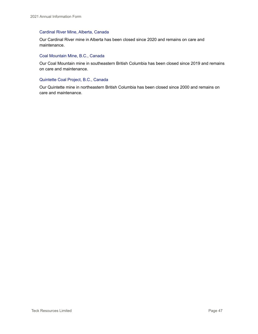#### Cardinal River Mine, Alberta, Canada

Our Cardinal River mine in Alberta has been closed since 2020 and remains on care and maintenance.

#### Coal Mountain Mine, B.C., Canada

Our Coal Mountain mine in southeastern British Columbia has been closed since 2019 and remains on care and maintenance.

#### Quintette Coal Project, B.C., Canada

Our Quintette mine in northeastern British Columbia has been closed since 2000 and remains on care and maintenance.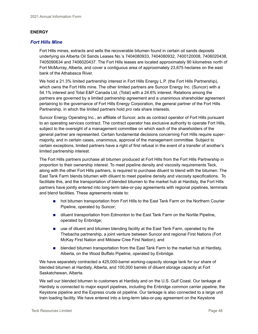#### **ENERGY**

#### *Fort Hills Mine*

Fort Hills mines, extracts and sells the recoverable bitumen found in certain oil sands deposits underlying six Alberta Oil Sands Leases No.'s 7404080933, 7404080932, 7400120008, 7406020438, 7405090634 and 7406020437. The Fort Hills leases are located approximately 90 kilometres north of Fort McMurray, Alberta, and cover a contiguous area of approximately 23,675 hectares on the east bank of the Athabasca River.

We hold a 21.3% limited partnership interest in Fort Hills Energy L.P. (the Fort Hills Partnership), which owns the Fort Hills mine. The other limited partners are Suncor Energy Inc. (Suncor) with a 54.1% interest and Total E&P Canada Ltd. (Total) with a 24.6% interest. Relations among the partners are governed by a limited partnership agreement and a unanimous shareholder agreement pertaining to the governance of Fort Hills Energy Corporation, the general partner of the Fort Hills Partnership, in which the limited partners hold *pro rata* share interests.

Suncor Energy Operating Inc., an affiliate of Suncor, acts as contract operator of Fort Hills pursuant to an operating services contract. The contract operator has exclusive authority to operate Fort Hills, subject to the oversight of a management committee on which each of the shareholders of the general partner are represented. Certain fundamental decisions concerning Fort Hills require supermajority, and in certain cases, unanimous, approval of the management committee. Subject to certain exceptions, limited partners have a right of first refusal in the event of a transfer of another's limited partnership interest.

The Fort Hills partners purchase all bitumen produced at Fort Hills from the Fort Hills Partnership in proportion to their ownership interest. To meet pipeline density and viscosity requirements Teck, along with the other Fort Hills partners, is required to purchase diluent to blend with the bitumen. The East Tank Farm blends bitumen with diluent to meet pipeline density and viscosity specifications. To facilitate this, and the transportation of blended bitumen to the market hub at Hardisty, the Fort Hills partners have jointly entered into long-term take-or-pay agreements with regional pipelines, terminals and blend facilities. These agreements relate to:

- hot bitumen transportation from Fort Hills to the East Tank Farm on the Northern Courier Pipeline, operated by Suncor;
- diluent transportation from Edmonton to the East Tank Farm on the Norlite Pipeline, operated by Enbridge;
- use of diluent and bitumen blending facility at the East Tank Farm, operated by the Thebacha partnership, a joint venture between Suncor and regional First Nations (Fort McKay First Nation and Mikisew Cree First Nation); and
- blended bitumen transportation from the East Tank Farm to the market hub at Hardisty, Alberta, on the Wood Buffalo Pipeline, operated by Enbridge.

We have separately contracted a 425,000-barrel working-capacity storage tank for our share of blended bitumen at Hardisty, Alberta, and 100,000 barrels of diluent storage capacity at Fort Saskatchewan, Alberta.

We sell our blended bitumen to customers at Hardisty and on the U.S. Gulf Coast. Our tankage at Hardisty is connected to major export pipelines, including the Enbridge common carrier pipeline, the Keystone pipeline and the Express crude oil pipeline. Our tankage is also connected to a large unit train loading facility. We have entered into a long-term take-or-pay agreement on the Keystone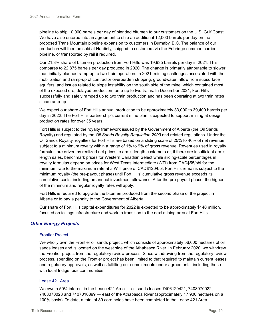pipeline to ship 10,000 barrels per day of blended bitumen to our customers on the U.S. Gulf Coast. We have also entered into an agreement to ship an additional 12,000 barrels per day on the proposed Trans Mountain pipeline expansion to customers in Burnaby, B.C. The balance of our production will then be sold at Hardisty, shipped to customers via the Enbridge common carrier pipeline, or transported by rail if required.

Our 21.3% share of bitumen production from Fort Hills was 19,935 barrels per day in 2021. This compares to 22,875 barrels per day produced in 2020. The change is primarily attributable to slower than initially planned ramp-up to two-train operation. In 2021, mining challenges associated with the mobilization and ramp-up of contractor overburden stripping, groundwater inflow from subsurface aquifers, and issues related to slope instability on the south side of the mine, which contained most of the exposed ore, delayed production ramp-up to two trains. In December 2021, Fort Hills successfully and safely ramped up to two train production and has been operating at two train rates since ramp-up.

We expect our share of Fort Hills annual production to be approximately 33,000 to 39,400 barrels per day in 2022. The Fort Hills partnership's current mine plan is expected to support mining at design production rates for over 35 years.

Fort Hills is subject to the royalty framework issued by the Government of Alberta (the Oil Sands Royalty) and regulated by the *Oil Sands Royalty Regulation 2009* and related regulations. Under the Oil Sands Royalty, royalties for Fort Hills are based on a sliding scale of 25% to 40% of net revenue, subject to a minimum royalty within a range of 1% to 9% of gross revenue. Revenues used in royalty formulas are driven by realized net prices to arm's-length customers or, if there are insufficient arm'slength sales, benchmark prices for Western Canadian Select while sliding-scale percentages in royalty formulas depend on prices for West Texas Intermediate (WTI) from CAD\$55/bbl for the minimum rate to the maximum rate at a WTI price of CAD\$120/bbl. Fort Hills remains subject to the minimum royalty (the pre-payout phase) until Fort Hills' cumulative gross revenue exceeds its cumulative costs, including an annual investment allowance. After the pre-payout phase, the higher of the minimum and regular royalty rates will apply.

Fort Hills is required to upgrade the bitumen produced from the second phase of the project in Alberta or to pay a penalty to the Government of Alberta.

Our share of Fort Hills capital expenditures for 2022 is expected to be approximately \$140 million, focused on tailings infrastructure and work to transition to the next mining area at Fort Hills.

# *Other Energy Projects*

#### Frontier Project

We wholly own the Frontier oil sands project, which consists of approximately 56,000 hectares of oil sands leases and is located on the west side of the Athabasca River. In February 2020, we withdrew the Frontier project from the regulatory review process. Since withdrawing from the regulatory review process, spending on the Frontier project has been limited to that required to maintain current leases and regulatory approvals, as well as fulfilling our commitments under agreements, including those with local Indigenous communities.

#### Lease 421 Area

We own a 50% interest in the Lease 421 Area — oil sands leases 7406120421, 7408070022, 7408070023 and 7407010899 — east of the Athabasca River (approximately 17,900 hectares on a 100% basis). To date, a total of 89 core holes have been completed in the Lease 421 Area.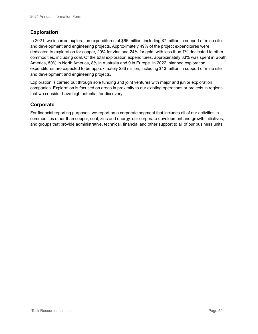# **Exploration**

In 2021, we incurred exploration expenditures of \$65 million, including \$7 million in support of mine site and development and engineering projects. Approximately 49% of the project expenditures were dedicated to exploration for copper, 20% for zinc and 24% for gold, with less than 7% dedicated to other commodities, including coal. Of the total exploration expenditures, approximately 33% was spent in South America, 50% in North America, 8% in Australia and 9 in Europe. In 2022, planned exploration expenditures are expected to be approximately \$86 million, including \$13 million in support of mine site and development and engineering projects.

Exploration is carried out through sole funding and joint ventures with major and junior exploration companies. Exploration is focused on areas in proximity to our existing operations or projects in regions that we consider have high potential for discovery.

# **Corporate**

For financial reporting purposes, we report on a corporate segment that includes all of our activities in commodities other than copper, coal, zinc and energy, our corporate development and growth initiatives, and groups that provide administrative, technical, financial and other support to all of our business units.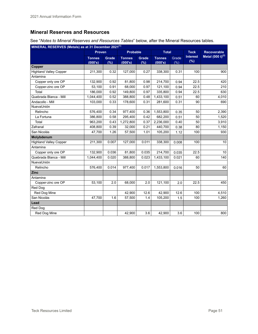# **Mineral Reserves and Resources**

See "*Notes to Mineral Reserves and Resources Tables*" below, after the Mineral Resources tables.

| MINERAL RESERVES (Metals) as at 31 December 2021 <sup>(1)</sup> |               |                                  |               |       |               |       |                           |                       |  |
|-----------------------------------------------------------------|---------------|----------------------------------|---------------|-------|---------------|-------|---------------------------|-----------------------|--|
|                                                                 |               | <b>Proven</b><br><b>Probable</b> |               |       | <b>Total</b>  |       | <b>Teck</b>               | <b>Recoverable</b>    |  |
|                                                                 | <b>Tonnes</b> | <b>Grade</b>                     | <b>Tonnes</b> | Grade | <b>Tonnes</b> | Grade | <b>Interest</b><br>$(\%)$ | Metal $(000 t)^{(2)}$ |  |
| Copper                                                          | (000's)       | (%)                              | (000's)       | (%)   | (000's)       | (% )  |                           |                       |  |
| <b>Highland Valley Copper</b>                                   | 211,300       | 0.32                             | 127,000       | 0.27  | 338,300       | 0.31  | 100                       | 900                   |  |
| Antamina                                                        |               |                                  |               |       |               |       |                           |                       |  |
| Copper only ore OP                                              | 132,900       | 0.92                             | 81,800        | 0.98  | 214,700       | 0.94  | 22.5                      | 420                   |  |
| Copper-zinc ore OP                                              | 53,100        | 0.91                             | 68,000        | 0.97  | 121,100       | 0.94  | 22.5                      | 210                   |  |
| Total                                                           | 186,000       | 0.92                             | 149,800       | 0.97  | 335,800       | 0.94  | 22.5                      | 630                   |  |
| Quebrada Blanca - Mill                                          | 1,044,400     | 0.52                             | 388,800       | 0.48  | 1,433,100     | 0.51  | 60                        | 4,010                 |  |
| Andacollo - Mill                                                | 103,000       | 0.33                             | 178,600       | 0.31  | 281,600       | 0.31  | 90                        | 690                   |  |
| NuevaUnión                                                      |               |                                  |               |       |               |       |                           |                       |  |
| Relincho                                                        | 576,400       | 0.34                             | 977,400       | 0.36  | 1,553,800     | 0.35  | 50                        | 2,390                 |  |
| La Fortuna                                                      | 386,800       | 0.58                             | 295,400       | 0.42  | 682,200       | 0.51  | 50                        | 1,520                 |  |
| Total                                                           | 963,200       | 0.43                             | 1,272,800     | 0.37  | 2,236,000     | 0.40  | 50                        | 3,910                 |  |
| Zafranal                                                        | 408,800       | 0.39                             | 32,000        | 0.21  | 440,700       | 0.38  | 80                        | 1,150                 |  |
| San Nicolás                                                     | 47.700        | 1.26                             | 57,500        | 1.01  | 105,200       | 1.12  | 100                       | 930                   |  |
| Molybdenum                                                      |               |                                  |               |       |               |       |                           |                       |  |
| <b>Highland Valley Copper</b>                                   | 211,300       | 0.007                            | 127,000       | 0.011 | 338,300       | 0.008 | 100                       | 10                    |  |
| Antamina                                                        |               |                                  |               |       |               |       |                           |                       |  |
| Copper only ore OP                                              | 132,900       | 0.036                            | 81,800        | 0.035 | 214,700       | 0.035 | 22.5                      | 10                    |  |
| Quebrada Blanca - Mill                                          | 1,044,400     | 0.020                            | 388,800       | 0.023 | 1,433,100     | 0.021 | 60                        | 140                   |  |
| NuevaUnión                                                      |               |                                  |               |       |               |       |                           |                       |  |
| Relincho                                                        | 576,400       | 0.014                            | 977,400       | 0.017 | 1,553,800     | 0.016 | 50                        | 60                    |  |
| <b>Zinc</b>                                                     |               |                                  |               |       |               |       |                           |                       |  |
| Antamina                                                        |               |                                  |               |       |               |       |                           |                       |  |
| Copper-zinc ore OP                                              | 53,100        | 2.0                              | 68,000        | 2.0   | 121,100       | 2.0   | 22.5                      | 450                   |  |
| Red Dog                                                         |               |                                  |               |       |               |       |                           |                       |  |
| Red Dog Mine                                                    |               |                                  | 42,900        | 12.6  | 42,900        | 12.6  | 100                       | 4,510                 |  |
| San Nicolás                                                     | 47,700        | 1.6                              | 57,500        | 1.4   | 105,200       | 1.5   | 100                       | 1,260                 |  |
| Lead                                                            |               |                                  |               |       |               |       |                           |                       |  |
| Red Dog                                                         |               |                                  |               |       |               |       |                           |                       |  |
| Red Dog Mine                                                    |               |                                  | 42,900        | 3.6   | 42,900        | 3.6   | 100                       | 800                   |  |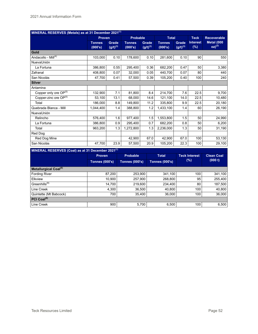| MINERAL RESERVES (Metals) as at 31 December 2021 <sup>(1)</sup> |                          |                        |                          |                               |                          |                               |                        |                                    |
|-----------------------------------------------------------------|--------------------------|------------------------|--------------------------|-------------------------------|--------------------------|-------------------------------|------------------------|------------------------------------|
|                                                                 | <b>Proven</b>            |                        | <b>Probable</b>          |                               | <b>Total</b>             |                               | <b>Teck</b>            | <b>Recoverable</b>                 |
|                                                                 | <b>Tonnes</b><br>(000's) | Grade<br>$(g/t)^{(3)}$ | <b>Tonnes</b><br>(000's) | <b>Grade</b><br>$(g/t)^{(3)}$ | <b>Tonnes</b><br>(000's) | <b>Grade</b><br>$(g/t)^{(3)}$ | <b>Interest</b><br>(%) | Metal (000<br>$oz)$ <sup>(2)</sup> |
| Gold                                                            |                          |                        |                          |                               |                          |                               |                        |                                    |
| Andacollo - Mill <sup>(4)</sup>                                 | 103,000                  | 0.10                   | 178,600                  | 0.10                          | 281,600                  | 0.10                          | 90                     | 550                                |
| NuevaUnión                                                      |                          |                        |                          |                               |                          |                               |                        |                                    |
| La Fortuna                                                      | 386,800                  | 0.55                   | 295,400                  | 0.36                          | 682,200                  | 0.47                          | 50                     | 3,380                              |
| Zafranal                                                        | 408.800                  | 0.07                   | 32,000                   | 0.05                          | 440,700                  | 0.07                          | 80                     | 440                                |
| San Nicolás                                                     | 47,700                   | 0.41                   | 57,500                   | 0.39                          | 105,200                  | 0.40                          | 100                    | 240                                |
| <b>Silver</b>                                                   |                          |                        |                          |                               |                          |                               |                        |                                    |
| Antamina                                                        |                          |                        |                          |                               |                          |                               |                        |                                    |
| Copper only ore OP(5)                                           | 132,900                  | 7.1                    | 81,800                   | 8.4                           | 214,700                  | 7.6                           | 22.5                   | 9,700                              |
| Copper-zinc ore OP <sup>(5)</sup>                               | 53,100                   | 13.1                   | 68,000                   | 14.6                          | 121,100                  | 14.0                          | 22.5                   | 10,480                             |
| Total                                                           | 186,000                  | 8.8                    | 149,800                  | 11.2                          | 335,800                  | 9.9                           | 22.5                   | 20,180                             |
| Quebrada Blanca - Mill                                          | 1,044,400                | 1.4                    | 388,800                  | 1.2                           | 1,433,100                | 1.4                           | 60                     | 26,190                             |
| NuevaUnión                                                      |                          |                        |                          |                               |                          |                               |                        |                                    |
| Relincho                                                        | 576,400                  | 1.6                    | 977,400                  | 1.5                           | 1,553,800                | 1.5                           | 50                     | 24,990                             |
| La Fortuna                                                      | 386,800                  | 0.9                    | 295,400                  | 0.7                           | 682,200                  | 0.8                           | 50                     | 6,200                              |
| Total                                                           | 963,200                  | 1.3                    | 1,272,800                | 1.3                           | 2,236,000                | 1.3                           | 50                     | 31,190                             |
| Red Dog                                                         |                          |                        |                          |                               |                          |                               |                        |                                    |
| Red Dog Mine                                                    |                          |                        | 42,900                   | 67.0                          | 42,900                   | 67.0                          | 100                    | 53,130                             |
| San Nicolás                                                     | 47,700                   | 23.9                   | 57,500                   | 20.9                          | 105,200                  | 22.3                          | 100                    | 29,100                             |
| MINERAL RESERVES $(C_{0}$ al) as at 31 December 2021 $(1)$      |                          |                        |                          |                               |                          |                               |                        |                                    |

| <b>INIIVERAL RESERVES (COAI) AS ALS LIBEGEIIDEI ZUZ I</b> |                                                |                                 |                       |                      |                   |  |  |  |  |
|-----------------------------------------------------------|------------------------------------------------|---------------------------------|-----------------------|----------------------|-------------------|--|--|--|--|
|                                                           | <b>Proven</b>                                  | <b>Probable</b><br><b>Total</b> |                       | <b>Teck Interest</b> | <b>Clean Coal</b> |  |  |  |  |
|                                                           | <b>Tonnes (000's)</b><br><b>Tonnes (000's)</b> |                                 | <b>Tonnes (000's)</b> | (%)                  | (000 t)           |  |  |  |  |
| Metallurgical Coal <sup>(6)</sup>                         |                                                |                                 |                       |                      |                   |  |  |  |  |
| <b>Fording River</b>                                      | 87,200                                         | 253,900                         | 341,100               | 100                  | 341,100           |  |  |  |  |
| Elkview                                                   | 10,900                                         | 257,900                         | 268,800               | 95                   | 255,400           |  |  |  |  |
| Greenhills <sup>(9)</sup>                                 | 14,700                                         | 219,600                         | 234,400               | 80                   | 187,500           |  |  |  |  |
| Line Creek                                                | 4,300                                          | 36,500                          | 40,800                | 100                  | 40,800            |  |  |  |  |
| Quintette (Mt Babcock)                                    | 700                                            | 35,400                          | 36,000                | 100                  | 36,000            |  |  |  |  |
| $ PC $ Coal $^{(6)}$                                      |                                                |                                 |                       |                      |                   |  |  |  |  |
| Line Creek                                                | 900                                            | 5,700                           | 6,500                 | 100                  | 6,500             |  |  |  |  |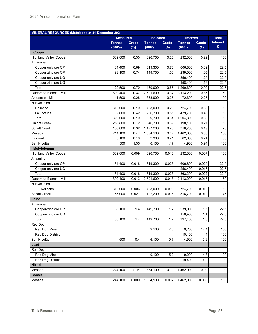| MINERAL RESOURCES (Metals) as at 31 December 2021 <sup>(1)</sup> |                          |                     |                          |              |                          |                     |                           |  |  |
|------------------------------------------------------------------|--------------------------|---------------------|--------------------------|--------------|--------------------------|---------------------|---------------------------|--|--|
|                                                                  | <b>Measured</b>          |                     | <b>Indicated</b>         |              | <b>Inferred</b>          | <b>Teck</b>         |                           |  |  |
|                                                                  | <b>Tonnes</b><br>(000's) | <b>Grade</b><br>(%) | <b>Tonnes</b><br>(000's) | Grade<br>(%) | <b>Tonnes</b><br>(000's) | <b>Grade</b><br>(%) | <b>Interest</b><br>$(\%)$ |  |  |
| Copper                                                           |                          |                     |                          |              |                          |                     |                           |  |  |
| <b>Highland Valley Copper</b>                                    | 582,800                  | 0.30                | 626,700                  | 0.26         | 232,300                  | 0.22                | 100                       |  |  |
| Antamina                                                         |                          |                     |                          |              |                          |                     |                           |  |  |
| Copper only ore OP                                               | 84,400                   | 0.69                | 319,300                  | 0.78         | 606,800                  | 0.82                | 22.5                      |  |  |
| Copper-zinc ore OP                                               | 36,100                   | 0.74                | 149,700                  | 1.00         | 239,000                  | 1.05                | 22.5                      |  |  |
| Copper only ore UG                                               |                          |                     |                          |              | 256,400                  | 1.25                | 22.5                      |  |  |
| Copper-zinc ore UG                                               |                          |                     |                          |              | 158,400                  | 1.16                | 22.5                      |  |  |
| Total                                                            | 120,500                  | 0.70                | 469,000                  | 0.85         | 1,260,600                | 0.99                | 22.5                      |  |  |
| Quebrada Blanca - Mill                                           | 890,400                  | 0.37                | 2,701,600                | 0.37         | 3,113,200                | 0.35                | 60                        |  |  |
| Andacollo - Mill                                                 | 41,500                   | 0.28                | 353,900                  | 0.25         | 72,600                   | 0.25                | 90                        |  |  |
| NuevaUnión                                                       |                          |                     |                          |              |                          |                     |                           |  |  |
| Relincho                                                         | 319,000                  | 0.19                | 463,000                  | 0.26         | 724,700                  | 0.36                | 50                        |  |  |
| La Fortuna                                                       | 9,600                    | 0.42                | 236,700                  | 0.51         | 479,700                  | 0.43                | 50                        |  |  |
| Total                                                            | 328,600                  | 0.19                | 699,700                  | 0.34         | 1,204,300                | 0.39                | 50                        |  |  |
| Galore Creek                                                     | 256,800                  | 0.72                | 846,700                  | 0.39         | 198,100                  | 0.27                | 50                        |  |  |
| <b>Schaft Creek</b>                                              | 166,000                  | 0.32                | 1,127,200                | 0.25         | 316,700                  | 0.19                | 75                        |  |  |
| Mesaba                                                           | 244,100                  | 0.47                | 1,334,100                | 0.42         | 1,462,000                | 0.35                | 100                       |  |  |
| Zafranal                                                         | 5,100                    | 0.19                | 2,300                    | 0.21         | 62,800                   | 0.24                | 80                        |  |  |
| San Nicolás                                                      | 500                      | 1.35                | 6,100                    | 1.17         | 4,900                    | 0.94                | 100                       |  |  |
| Molybdenum                                                       |                          |                     |                          |              |                          |                     |                           |  |  |
| <b>Highland Valley Copper</b>                                    | 582,800                  | 0.009               | 626,700                  | 0.010        | 232,300                  | 0.007               | 100                       |  |  |
| Antamina                                                         |                          |                     |                          |              |                          |                     |                           |  |  |
| Copper only ore OP                                               | 84,400                   | 0.018               | 319,300                  | 0.023        | 606,800                  | 0.025               | 22.5                      |  |  |
| Copper only ore UG                                               |                          |                     |                          |              | 256,400                  | 0.016               | 22.5                      |  |  |
| Total                                                            | 84,400                   | 0.018               | 319,300                  | 0.023        | 863,200                  | 0.022               | 22.5                      |  |  |
| Quebrada Blanca - Mill                                           | 890,400                  | 0.013               | 2,701,600                | 0.018        | 3,113,200                | 0.017               | 60                        |  |  |
| NuevaUnión                                                       |                          |                     |                          |              |                          |                     |                           |  |  |
| Relincho                                                         | 319,000                  | 0.006               | 463,000                  | 0.009        | 724,700                  | 0.012               | 50                        |  |  |
| <b>Schaft Creek</b>                                              | 166,000                  | 0.021               | 1,127,200                | 0.016        | 316,700                  | 0.019               | 75                        |  |  |
| Zinc                                                             |                          |                     |                          |              |                          |                     |                           |  |  |
| Antamina                                                         |                          |                     |                          |              |                          |                     |                           |  |  |
| Copper-zinc ore OP                                               | 36,100                   | 1.4                 | 149,700                  | 1.7          | 239,000                  | 1.5                 | 22.5                      |  |  |
| Copper-zinc ore UG                                               |                          |                     |                          |              | 158,400                  | 1.4                 | 22.5                      |  |  |
| Total                                                            | 36,100                   | $1.4$               | 149,700                  | 1.7          | 397,400                  | $1.5\,$             | 22.5                      |  |  |
| Red Dog                                                          |                          |                     |                          |              |                          |                     |                           |  |  |
| Red Dog Mine                                                     |                          |                     | 9,100                    | 7.5          | 9,200                    | 12.4                | 100                       |  |  |
| Red Dog District                                                 |                          |                     |                          |              | 19,400                   | 14.4                | 100                       |  |  |
| San Nicolás                                                      | 500                      | 0.4                 | 6,100                    | 0.7          | 4,900                    | 0.6                 | 100                       |  |  |
| Lead                                                             |                          |                     |                          |              |                          |                     |                           |  |  |
| Red Dog                                                          |                          |                     |                          |              |                          |                     |                           |  |  |
| Red Dog Mine                                                     |                          |                     | 9,100                    | 5.0          | 9,200                    | 4.3                 | 100                       |  |  |
| Red Dog District                                                 |                          |                     |                          |              | 19,400                   | 4.2                 | 100                       |  |  |
| <b>Nickel</b>                                                    |                          |                     |                          |              |                          |                     |                           |  |  |
| Mesaba                                                           | 244,100                  | 0.11                | 1,334,100                | 0.10         | 1,462,000                | 0.09                | 100                       |  |  |
| <b>Cobalt</b>                                                    |                          |                     |                          |              |                          |                     |                           |  |  |
| Mesaba                                                           | 244,100                  | 0.009               | 1,334,100                | 0.007        | 1,462,000                | 0.006               | 100                       |  |  |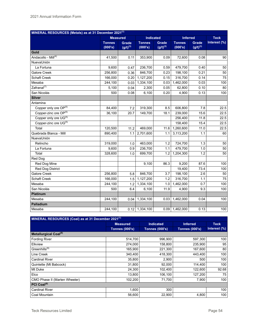| MINERAL RESOURCES (Metals) as at 31 December 2021 <sup>(1)</sup> |                 |               |                    |               |                    |               |              |  |  |  |
|------------------------------------------------------------------|-----------------|---------------|--------------------|---------------|--------------------|---------------|--------------|--|--|--|
|                                                                  | <b>Measured</b> |               | <b>Indicated</b>   |               | <b>Inferred</b>    |               | <b>Teck</b>  |  |  |  |
|                                                                  | <b>Tonnes</b>   | <b>Grade</b>  | <b>Tonnes</b>      | <b>Grade</b>  | <b>Tonnes</b>      | <b>Grade</b>  | Interest (%) |  |  |  |
|                                                                  | (000's)         | $(g/t)^{(3)}$ | (000's)            | $(g/t)^{(3)}$ | (000's)            | $(g/t)^{(3)}$ |              |  |  |  |
| Gold                                                             |                 |               |                    |               |                    |               |              |  |  |  |
| Andacollo - Mill <sup>(4)</sup>                                  | 41,500          | 0.11          | 353,900            | 0.09          | 72,600             | 0.08          | 90           |  |  |  |
| NuevaUnión                                                       |                 |               |                    |               |                    |               |              |  |  |  |
| La Fortuna                                                       | 9,600           | 0.47          | 236,700            | 0.59          | 479,700            | 0.40          | 50           |  |  |  |
| <b>Galore Creek</b>                                              | 256,800         | 0.36          | 846,700            | 0.23          | 198,100            | 0.21          | 50           |  |  |  |
| <b>Schaft Creek</b>                                              | 166,000         | 0.20          | 1,127,200          | 0.15          | 316,700            | 0.14          | 75           |  |  |  |
| Mesaba                                                           | 244,100         | 0.03          | 1,334,100          | 0.03          | 1,462,000          | 0.03          | 100          |  |  |  |
| $Za$ franal <sup>(7)</sup>                                       | 5,100           | 0.04          | 2,300              | 0.05          | 62,800             | 0.10          | 80           |  |  |  |
| San Nicolás                                                      | 500             | 0.08          | 6,100              | 0.20          | 4,900              | 0.13          | 100          |  |  |  |
| <b>Silver</b>                                                    |                 |               |                    |               |                    |               |              |  |  |  |
| Antamina                                                         |                 |               |                    |               |                    |               |              |  |  |  |
| Copper only ore OP(5)                                            | 84,400          | 7.2           | 319,300            | 8.5           | 606,800            | 7.8           | 22.5         |  |  |  |
| Copper-zinc ore OP(5)                                            | 36,100          | 20.7          | 149,700            | 18.1          | 239,000            | 15.6          | 22.5         |  |  |  |
| Copper only ore UG(5)                                            |                 |               |                    |               | 256,400            | 11.8          | 22.5         |  |  |  |
| Copper-zinc ore UG(5)                                            |                 |               |                    |               | 158,400            | 15.4          | 22.5         |  |  |  |
| Total                                                            | 120,500         | 11.2          | 469,000            | 11.6          | 1,260,600          | 11.0          | 22.5         |  |  |  |
| Quebrada Blanca - Mill                                           | 890,400         | 1.1           | 2,701,600          | 1.1           | 3,113,200          | 1.1           | 60           |  |  |  |
| NuevaUnión                                                       |                 |               |                    |               |                    |               |              |  |  |  |
| Relincho                                                         | 319,000         | 1.0           | 463,000            | 1.2           | 724,700            | 1.3           | 50           |  |  |  |
| La Fortuna                                                       | 9,600           | 0.9           | 236,700            | 1.1           | 479,700            | 1.0           | 50           |  |  |  |
| Total                                                            | 328,600         | 1.0           | 699,700            | 1.2           | 1,204,300          | 1.2           | 50           |  |  |  |
| Red Dog                                                          |                 |               |                    |               |                    |               |              |  |  |  |
| Red Dog Mine                                                     |                 |               | 9,100              | 86.3          | 9,200              | 87.6          | 100          |  |  |  |
| <b>Red Dog District</b>                                          |                 |               |                    |               | 19,400             | 73.4          | 100          |  |  |  |
| Galore Creek                                                     | 256,800         | 5.8           | 846,700            | 3.7           | 198,100            | 2.6           | 50           |  |  |  |
| <b>Schaft Creek</b>                                              | 166,000         | 1.5           | 1,127,200          | 1.2           | 316,700            | 1.1           | 75           |  |  |  |
| Mesaba                                                           | 244,100         | 1.2           | 1,334,100          | 1.0           | 1,462,000          | 0.7           | 100          |  |  |  |
| San Nicolás                                                      | 500             | 6.4           | 6,100              | 11.9          | 4,900              | 9.3           | 100          |  |  |  |
| Platinum                                                         |                 |               |                    |               |                    |               |              |  |  |  |
| Mesaba                                                           | 244,100         | 0.04          | 1,334,100          | 0.03          | 1,462,000          | 0.04          | 100          |  |  |  |
| Palladium                                                        |                 |               |                    |               |                    |               |              |  |  |  |
| Mesaba                                                           | 244,100         |               | $0.12$   1,334,100 |               | $0.09$   1,462,000 | 0.13          | 100          |  |  |  |

| MINERAL RESOURCES (Coal) as at 31 December 2021 <sup>(1)</sup> |                       |                       |                       |              |  |  |  |  |  |  |
|----------------------------------------------------------------|-----------------------|-----------------------|-----------------------|--------------|--|--|--|--|--|--|
|                                                                | <b>Measured</b>       | <b>Indicated</b>      | <b>Inferred</b>       | <b>Teck</b>  |  |  |  |  |  |  |
|                                                                | <b>Tonnes (000's)</b> | <b>Tonnes (000's)</b> | <b>Tonnes (000's)</b> | Interest (%) |  |  |  |  |  |  |
| Metallurgical Coal <sup>(8)</sup>                              |                       |                       |                       |              |  |  |  |  |  |  |
| <b>Fording River</b>                                           | 514,700               | 996,900               | 597,300               | 100          |  |  |  |  |  |  |
| Elkview                                                        | 274,000               | 158,800               | 235,900               | 95           |  |  |  |  |  |  |
| Greenhills <sup>(9)</sup>                                      | 165,900               | 221,300               | 167,600               | 80           |  |  |  |  |  |  |
| Line Creek                                                     | 340,400               | 418,300               | 443,400               | 100          |  |  |  |  |  |  |
| <b>Cardinal River</b>                                          | 35,800                | 2,900                 | 500                   | 100          |  |  |  |  |  |  |
| Quintette (Mt Babcock)                                         | 31,800                | 92,000                | 114,400               | 100          |  |  |  |  |  |  |
| Mt Duke                                                        | 24,300                | 102,400               | 122,600               | 92.68        |  |  |  |  |  |  |
| Elco                                                           | 13,800                | 106,100               | 127,200               | 75           |  |  |  |  |  |  |
| CMO Phase II (Marten Wheeler)                                  | 102,200               | 71,700                | 7,900                 | 100          |  |  |  |  |  |  |
| PCI Coal $^{(8)}$                                              |                       |                       |                       |              |  |  |  |  |  |  |
| <b>Cardinal River</b>                                          | 1,600                 | 300                   |                       | 100          |  |  |  |  |  |  |
| Coal Mountain                                                  | 56,600                | 22,900                | 4,800                 | 100          |  |  |  |  |  |  |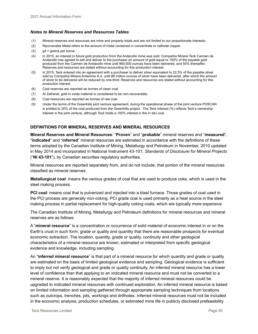#### *Notes to Mineral Reserves and Resources Tables*

- (1) Mineral reserves and resources are mine and property totals and are not limited to our proportionate interests.
- (2) Recoverable Metal refers to the amount of metal contained in concentrate or cathode copper.
- (3)  $g/t = grams$  per tonne.
- (4) In 2015, an interest in future gold production from the Andacollo mine was sold. Compañía Minera Teck Carmen de Andacollo has agreed to sell and deliver to the purchaser an amount of gold equal to 100% of the payable gold produced from the Carmen de Andacollo mine until 900,000 ounces have been delivered, and 50% thereafter. Reserves and resources are stated without accounting for this production interest.
- (5) In 2015, Teck entered into an agreement with a purchaser to deliver silver equivalent to 22.5% of the payable silver sold by Compañía Minera Antamina S.A. until 86 million ounces of silver have been delivered, after which the amount of silver to be delivered will be reduced by one-third. Reserves and resources are stated without accounting for this production interest.
- (6) Coal reserves are reported as tonnes of clean coal.
- (7) At Zafranal, gold in oxide material is considered to be non-recoverable.
- (8) Coal resources are reported as tonnes of raw coal.
- (9) Under the terms of the Greenhills joint venture agreement, during the operational phase of the joint venture POSCAN is entitled to 20% of the coal produced from the Greenhills project. The Teck Interest (%) reflects Teck's ownership interest in the joint venture, although Teck holds a 100% interest in the in situ coal.

#### **DEFINITIONS FOR MINERAL RESERVES AND MINERAL RESOURCES**

**Mineral Reserves and Mineral Resources**: "**Proven**" and "**probable**" mineral reserves and "**measured**", "**indicated**" and "**inferred**" mineral resources are estimated in accordance with the definitions of these terms adopted by the Canadian Institute of Mining, Metallurgy and Petroleum in November, 2010 updated in May 2014 and incorporated in National Instrument 43-101, *Standards of Disclosure for Mineral Projects* ("**NI 43-101**"), by Canadian securities regulatory authorities.

Mineral resources are reported separately from, and do not include, that portion of the mineral resources classified as mineral reserves.

**Metallurgical coal**: means the various grades of coal that are used to produce coke, which is used in the steel making process.

**PCI coal**: means coal that is pulverized and injected into a blast furnace. Those grades of coal used in the PCI process are generally non-coking. PCI grade coal is used primarily as a heat source in the steel making process in partial replacement for high-quality coking coals, which are typically more expensive.

The Canadian Institute of Mining, Metallurgy and Petroleum definitions for mineral resources and mineral reserves are as follows:

A "**mineral resource**" is a concentration or occurrence of solid material of economic interest in or on the Earth's crust in such form, grade or quality and quantity that there are reasonable prospects for eventual economic extraction. The location, quantity, grade or quality, continuity and other geological characteristics of a mineral resource are known, estimated or interpreted from specific geological evidence and knowledge, including sampling.

An "**inferred mineral resource**" is that part of a mineral resource for which quantity and grade or quality are estimated on the basis of limited geological evidence and sampling. Geological evidence is sufficient to imply but not verify geological and grade or quality continuity. An inferred mineral resource has a lower level of confidence than that applying to an indicated mineral resource and must not be converted to a mineral reserve. It is reasonably expected that the majority of inferred mineral resources could be upgraded to indicated mineral resources with continued exploration. An inferred mineral resource is based on limited information and sampling gathered through appropriate sampling techniques from locations such as outcrops, trenches, pits, workings and drillholes. Inferred mineral resources must not be included in the economic analysis, production schedules, or estimated mine life in publicly disclosed prefeasibility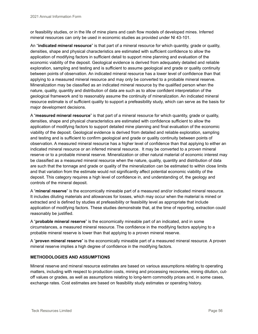or feasibility studies, or in the life of mine plans and cash flow models of developed mines. Inferred mineral resources can only be used in economic studies as provided under NI 43-101.

An "**indicated mineral resource**" is that part of a mineral resource for which quantity, grade or quality, densities, shape and physical characteristics are estimated with sufficient confidence to allow the application of modifying factors in sufficient detail to support mine planning and evaluation of the economic viability of the deposit. Geological evidence is derived from adequately detailed and reliable exploration, sampling and testing and is sufficient to assume geological and grade or quality continuity between points of observation. An indicated mineral resource has a lower level of confidence than that applying to a measured mineral resource and may only be converted to a probable mineral reserve. Mineralization may be classified as an indicated mineral resource by the qualified person when the nature, quality, quantity and distribution of data are such as to allow confident interpretation of the geological framework and to reasonably assume the continuity of mineralization. An indicated mineral resource estimate is of sufficient quality to support a prefeasibility study, which can serve as the basis for major development decisions.

A "**measured mineral resource**" is that part of a mineral resource for which quantity, grade or quality, densities, shape and physical characteristics are estimated with confidence sufficient to allow the application of modifying factors to support detailed mine planning and final evaluation of the economic viability of the deposit. Geological evidence is derived from detailed and reliable exploration, sampling and testing and is sufficient to confirm geological and grade or quality continuity between points of observation. A measured mineral resource has a higher level of confidence than that applying to either an indicated mineral resource or an inferred mineral resource. It may be converted to a proven mineral reserve or to a probable mineral reserve. Mineralization or other natural material of economic interest may be classified as a measured mineral resource when the nature, quality, quantity and distribution of data are such that the tonnage and grade or quality of the mineralization can be estimated to within close limits and that variation from the estimate would not significantly affect potential economic viability of the deposit. This category requires a high level of confidence in, and understanding of, the geology and controls of the mineral deposit.

A "**mineral reserve**" is the economically mineable part of a measured and/or indicated mineral resource. It includes diluting materials and allowances for losses, which may occur when the material is mined or extracted and is defined by studies at prefeasibility or feasibility level as appropriate that include application of modifying factors. These studies demonstrate that, at the time of reporting, extraction could reasonably be justified.

A "**probable mineral reserve**" is the economically mineable part of an indicated, and in some circumstances, a measured mineral resource. The confidence in the modifying factors applying to a probable mineral reserve is lower than that applying to a proven mineral reserve.

A "**proven mineral reserve**" is the economically mineable part of a measured mineral resource. A proven mineral reserve implies a high degree of confidence in the modifying factors.

# **METHODOLOGIES AND ASSUMPTIONS**

Mineral reserve and mineral resource estimates are based on various assumptions relating to operating matters, including with respect to production costs, mining and processing recoveries, mining dilution, cutoff values or grades, as well as assumptions relating to long-term commodity prices and, in some cases, exchange rates. Cost estimates are based on feasibility study estimates or operating history.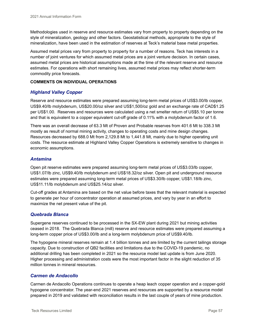Methodologies used in reserve and resource estimates vary from property to property depending on the style of mineralization, geology and other factors. Geostatistical methods, appropriate to the style of mineralization, have been used in the estimation of reserves at Teck's material base metal properties.

Assumed metal prices vary from property to property for a number of reasons. Teck has interests in a number of joint ventures for which assumed metal prices are a joint venture decision. In certain cases, assumed metal prices are historical assumptions made at the time of the relevant reserve and resource estimates. For operations with short remaining lives, assumed metal prices may reflect shorter-term commodity price forecasts.

#### **COMMENTS ON INDIVIDUAL OPERATIONS**

# *Highland Valley Copper*

Reserve and resource estimates were prepared assuming long-term metal prices of US\$3.00/lb copper, US\$9.40/lb molybdenum, US\$20.00/oz silver and US\$1,500/oz gold and an exchange rate of CAD\$1.25 per US\$1.00. Reserves and resources were calculated using a net smelter return of US\$5.10 per tonne and that is equivalent to a copper equivalent cut-off grade of 0.11% with a molybdenum factor of 1.6.

There was an overall decrease of 63.3 Mt of Proven and Probable reserves from 401.6 Mt to 338.3 Mt mostly as result of normal mining activity, changes to operating costs and mine design changes. Resources decreased by 688.0 Mt from 2,129.8 Mt to 1,441.8 Mt, mainly due to higher operating unit costs. The resource estimate at Highland Valley Copper Operations is extremely sensitive to changes in economic assumptions.

# *Antamina*

Open pit reserve estimates were prepared assuming long-term metal prices of US\$3.03/lb copper, US\$1.07/lb zinc, US\$9.40/lb molybdenum and US\$18.32/oz silver. Open pit and underground resource estimates were prepared assuming long-term metal prices of US\$3.30/lb copper, US\$1.18/lb zinc, US\$11.11/lb molybdenum and US\$25.14/oz silver.

Cut-off grades at Antamina are based on the net value before taxes that the relevant material is expected to generate per hour of concentrator operation at assumed prices, and vary by year in an effort to maximize the net present value of the pit.

# *Quebrada Blanca*

Supergene reserves continued to be processed in the SX-EW plant during 2021 but mining activities ceased in 2018. The Quebrada Blanca (mill) reserve and resource estimates were prepared assuming a long-term copper price of US\$3.00/lb and a long-term molybdenum price of US\$9.40/lb.

The hypogene mineral reserves remain at 1.4 billion tonnes and are limited by the current tailings storage capacity. Due to construction of QB2 facilities and limitations due to the COVID-19 pandemic, no additional drilling has been completed in 2021 so the resource model last update is from June 2020. Higher processing and administration costs were the most important factor in the slight reduction of 35 million tonnes in mineral resources.

# *Carmen de Andacollo*

Carmen de Andacollo Operations continues to operate a heap leach copper operation and a copper-gold hypogene concentrator. The year-end 2021 reserves and resources are supported by a resource model prepared in 2019 and validated with reconciliation results in the last couple of years of mine production.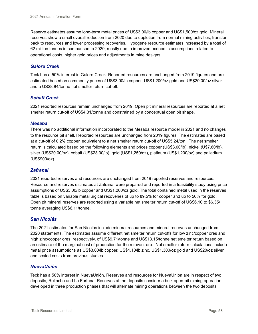Reserve estimates assume long-term metal prices of US\$3.00/lb copper and US\$1,500/oz gold. Mineral reserves show a small overall reduction from 2020 due to depletion from normal mining activities, transfer back to resources and lower processing recoveries. Hypogene resource estimates increased by a total of 62 million tonnes in comparison to 2020, mostly due to improved economic assumptions related to operational costs, higher gold prices and adjustments in mine designs.

# *Galore Creek*

Teck has a 50% interest in Galore Creek. Reported resources are unchanged from 2019 figures and are estimated based on commodity prices of US\$3.00/lb copper, US\$1,200/oz gold and US\$20.00/oz silver and a US\$8.84/tonne net smelter return cut-off.

# *Schaft Creek*

2021 reported resources remain unchanged from 2019. Open pit mineral resources are reported at a net smelter return cut-off of US\$4.31/tonne and constrained by a conceptual open pit shape.

#### *Mesaba*

There was no additional information incorporated to the Mesaba resource model in 2021 and no changes to the resource pit shell. Reported resources are unchanged from 2019 figures. The estimates are based at a cut-off of 0.2% copper, equivalent to a net smelter return cut-off of US\$5.24/ton. The net smelter return is calculated based on the following elements and prices copper (US\$3.00/lb), nickel (U\$7.60/lb), silver (US\$20.00/oz), cobalt (US\$23.00/lb), gold (US\$1,250/oz), platinum (US\$1,200/oz) and palladium (US\$900/oz).

# *Zafranal*

2021 reported reserves and resources are unchanged from 2019 reported reserves and resources. Resource and reserves estimates at Zafranal were prepared and reported in a feasibility study using price assumptions of US\$3.00/lb copper and US\$1,200/oz gold. The total contained metal used in the reserves table is based on variable metallurgical recoveries of up to 89.5% for copper and up to 56% for gold. Open pit mineral reserves are reported using a variable net smelter return cut-off of US\$6.10 to \$6.35/ tonne averaging US\$6.11/tonne.

# *San Nicolás*

The 2021 estimates for San Nicolás include mineral resources and mineral reserves unchanged from 2020 statements. The estimates assume different net smelter return cut-offs for low zinc/copper ores and high zinc/copper ores, respectively, of US\$9.71/tonne and US\$13.15/tonne net smelter return based on an estimate of the marginal cost of production for the relevant ore. Net smelter return calculations include metal price assumptions as US\$3.00/lb copper, US\$1.10/lb zinc, US\$1,300/oz gold and US\$20/oz silver and scaled costs from previous studies.

# *NuevaUnión*

Teck has a 50% interest in NuevaUnión. Reserves and resources for NuevaUnión are in respect of two deposits, Relincho and La Fortuna. Reserves at the deposits consider a bulk open-pit mining operation developed in three production phases that will alternate mining operations between the two deposits.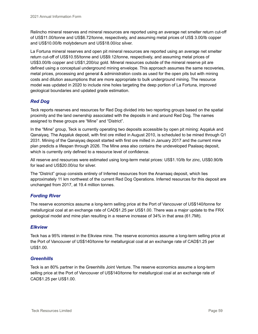Relincho mineral reserves and mineral resources are reported using an average net smelter return cut-off of US\$11.00/tonne and US\$6.72/tonne, respectively, and assuming metal prices of US\$ 3.00/lb copper and US\$10.00/lb molybdenum and US\$18.00/oz silver.

La Fortuna mineral reserves and open pit mineral resources are reported using an average net smelter return cut-off of US\$10.55/tonne and US\$9.12/tonne, respectively, and assuming metal prices of US\$3.00/lb copper and US\$1,200/oz gold. Mineral resources outside of the mineral reserve pit are defined using a conceptual underground mining envelope. This approach assumes the same recoveries, metal prices, processing and general & administration costs as used for the open pits but with mining costs and dilution assumptions that are more appropriate to bulk underground mining. The resource model was updated in 2020 to include nine holes targeting the deep portion of La Fortuna, improved geological boundaries and updated grade estimation.

# *Red Dog*

Teck reports reserves and resources for Red Dog divided into two reporting groups based on the spatial proximity and the land ownership associated with the deposits in and around Red Dog. The names assigned to these groups are "Mine" and "District".

In the "Mine" group, Teck is currently operating two deposits accessible by open pit mining: Aqqaluk and Qanaiyaq. The Aqqaluk deposit, with first ore milled in August 2010, is scheduled to be mined through Q1 2031. Mining of the Qanaiyaq deposit started with first ore milled in January 2017 and the current mine plan predicts a lifespan through 2026. The Mine area also contains the undeveloped Paalaaq deposit, which is currently only defined to a resource level of confidence.

All reserve and resources were estimated using long-term metal prices: US\$1.10/lb for zinc, US\$0.90/lb for lead and US\$20.00/oz for silver.

The "District" group consists entirely of Inferred resources from the Anarraaq deposit, which lies approximately 11 km northwest of the current Red Dog Operations. Inferred resources for this deposit are unchanged from 2017, at 19.4 million tonnes.

# *Fording River*

The reserve economics assume a long-term selling price at the Port of Vancouver of US\$140/tonne for metallurgical coal at an exchange rate of CAD\$1.25 per US\$1.00. There was a major update to the FRX geological model and mine plan resulting in a reserve increase of 34% in that area (61.7Mt).

# *Elkview*

Teck has a 95% interest in the Elkview mine. The reserve economics assume a long-term selling price at the Port of Vancouver of US\$140/tonne for metallurgical coal at an exchange rate of CAD\$1.25 per US\$1.00.

# *Greenhills*

Teck is an 80% partner in the Greenhills Joint Venture. The reserve economics assume a long-term selling price at the Port of Vancouver of US\$140/tonne for metallurgical coal at an exchange rate of CAD\$1.25 per US\$1.00.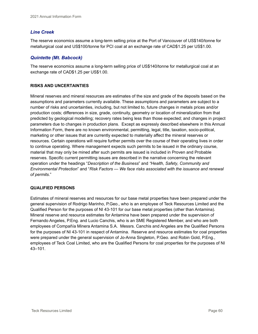# *Line Creek*

The reserve economics assume a long-term selling price at the Port of Vancouver of US\$140/tonne for metallurgical coal and US\$100/tonne for PCI coal at an exchange rate of CAD\$1.25 per US\$1.00.

# *Quintette (Mt. Babcock)*

The reserve economics assume a long-term selling price of US\$140/tonne for metallurgical coal at an exchange rate of CAD\$1.25 per US\$1.00.

#### **RISKS AND UNCERTAINTIES**

Mineral reserves and mineral resources are estimates of the size and grade of the deposits based on the assumptions and parameters currently available. These assumptions and parameters are subject to a number of risks and uncertainties, including, but not limited to, future changes in metals prices and/or production costs; differences in size, grade, continuity, geometry or location of mineralization from that predicted by geological modelling; recovery rates being less than those expected; and changes in project parameters due to changes in production plans. Except as expressly described elsewhere in this Annual Information Form, there are no known environmental, permitting, legal, title, taxation, socio-political, marketing or other issues that are currently expected to materially affect the mineral reserves or resources. Certain operations will require further permits over the course of their operating lives in order to continue operating. Where management expects such permits to be issued in the ordinary course, material that may only be mined after such permits are issued is included in Proven and Probable reserves. Specific current permitting issues are described in the narrative concerning the relevant operation under the headings "*Description of the Business*" and *"Health, Safety, Community and Environmental Protection*" and "*Risk Factors — We face risks associated with the issuance and renewal of permits*."

#### **QUALIFIED PERSONS**

Estimates of mineral reserves and resources for our base metal properties have been prepared under the general supervision of Rodrigo Marinho, P.Geo., who is an employee of Teck Resources Limited and the Qualified Person for the purposes of NI 43-101 for our base metal properties (other than Antamina). Mineral reserve and resource estimates for Antamina have been prepared under the supervision of Fernando Angeles, P.Eng. and Lucio Canchis, who is an SME Registered Member, and who are both employees of Compañía Minera Antamina S.A. Messrs. Canchis and Angeles are the Qualified Persons for the purposes of NI 43-101 in respect of Antamina. Reserve and resource estimates for coal properties were prepared under the general supervision of Jo-Anna Singleton, P.Geo. and Robin Gold, P.Eng., employees of Teck Coal Limited, who are the Qualified Persons for coal properties for the purposes of NI 43–101.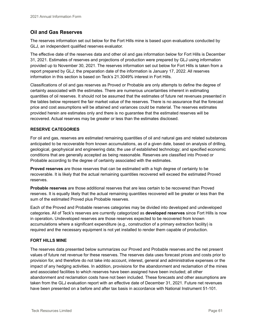# **Oil and Gas Reserves**

The reserves information set out below for the Fort Hills mine is based upon evaluations conducted by GLJ, an independent qualified reserves evaluator.

The effective date of the reserves data and other oil and gas information below for Fort Hills is December 31, 2021. Estimates of reserves and projections of production were prepared by GLJ using information provided up to November 30, 2021. The reserves information set out below for Fort Hills is taken from a report prepared by GLJ; the preparation date of the information is January 17, 2022. All reserves information in this section is based on Teck's 21.3049% interest in Fort Hills.

Classifications of oil and gas reserves as Proved or Probable are only attempts to define the degree of certainty associated with the estimates. There are numerous uncertainties inherent in estimating quantities of oil reserves. It should not be assumed that the estimates of future net revenues presented in the tables below represent the fair market value of the reserves. There is no assurance that the forecast price and cost assumptions will be attained and variances could be material. The reserves estimates provided herein are estimates only and there is no guarantee that the estimated reserves will be recovered. Actual reserves may be greater or less than the estimates disclosed.

# **RESERVE CATEGORIES**

For oil and gas, reserves are estimated remaining quantities of oil and natural gas and related substances anticipated to be recoverable from known accumulations, as of a given date, based on analysis of drilling, geological, geophysical and engineering data; the use of established technology; and specified economic conditions that are generally accepted as being reasonable. Reserves are classified into Proved or Probable according to the degree of certainty associated with the estimates.

**Proved reserves** are those reserves that can be estimated with a high degree of certainty to be recoverable. It is likely that the actual remaining quantities recovered will exceed the estimated Proved reserves.

**Probable reserves** are those additional reserves that are less certain to be recovered than Proved reserves. It is equally likely that the actual remaining quantities recovered will be greater or less than the sum of the estimated Proved plus Probable reserves.

Each of the Proved and Probable reserves categories may be divided into developed and undeveloped categories. All of Teck's reserves are currently categorized as **developed reserves** since Fort Hills is now in operation**.** Undeveloped reserves are those reserves expected to be recovered from known accumulations where a significant expenditure (e.g., construction of a primary extraction facility) is required and the necessary equipment is not yet installed to render them capable of production.

#### **FORT HILLS MINE**

The reserves data presented below summarizes our Proved and Probable reserves and the net present values of future net revenue for these reserves. The reserves data uses forecast prices and costs prior to provision for, and therefore do not take into account, interest, general and administrative expenses or the impact of any hedging activities. In addition, provisions for the abandonment and reclamation of the mines and associated facilities to which reserves have been assigned have been included; all other abandonment and reclamation costs have not been included. These forecasts and other assumptions are taken from the GLJ evaluation report with an effective date of December 31, 2021. Future net revenues have been presented on a before and after tax basis in accordance with National Instrument 51-101.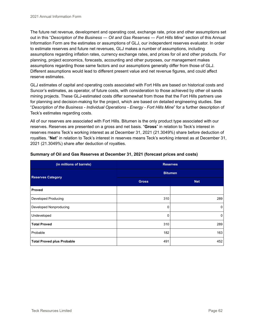The future net revenue, development and operating cost, exchange rate, price and other assumptions set out in this "*Description of the Business ― Oil and Gas Reserves ― Fort Hills Mine*" section of this Annual Information Form are the estimates or assumptions of GLJ, our independent reserves evaluator. In order to estimate reserves and future net revenues, GLJ makes a number of assumptions, including assumptions regarding inflation rates, currency exchange rates, and prices for oil and other products. For planning, project economics, forecasts, accounting and other purposes, our management makes assumptions regarding those same factors and our assumptions generally differ from those of GLJ. Different assumptions would lead to different present value and net revenue figures, and could affect reserve estimates.

GLJ estimates of capital and operating costs associated with Fort Hills are based on historical costs and Suncor's estimates, as operator, of future costs, with consideration to those achieved by other oil sands mining projects. These GLJ-estimated costs differ somewhat from those that the Fort Hills partners use for planning and decision-making for the project, which are based on detailed engineering studies. See "*Description of the Business - Individual Operations - Energy - Fort Hills Mine*" for a further description of Teck's estimates regarding costs.

All of our reserves are associated with Fort Hills. Bitumen is the only product type associated with our reserves. Reserves are presented on a gross and net basis. "**Gross**" in relation to Teck's interest in reserves means Teck's working interest as at December 31, 2021 (21.3049%) share before deduction of royalties. "**Net**" in relation to Teck's interest in reserves means Teck's working interest as at December 31, 2021 (21.3049%) share after deduction of royalties.

| (in millions of barrels)          | <b>Reserves</b> |            |  |  |  |  |
|-----------------------------------|-----------------|------------|--|--|--|--|
| <b>Reserves Category</b>          | <b>Bitumen</b>  |            |  |  |  |  |
|                                   | <b>Gross</b>    | <b>Net</b> |  |  |  |  |
| Proved                            |                 |            |  |  |  |  |
| <b>Developed Producing</b>        | 310             | 289        |  |  |  |  |
| Developed Nonproducing            | $\mathbf{0}$    | 0          |  |  |  |  |
| Undeveloped                       | $\Omega$        | 0          |  |  |  |  |
| <b>Total Proved</b>               | 310             | 289        |  |  |  |  |
| Probable                          | 182             | 163        |  |  |  |  |
| <b>Total Proved plus Probable</b> | 491             | 452        |  |  |  |  |

#### **Summary of Oil and Gas Reserves at December 31, 2021 (forecast prices and costs)**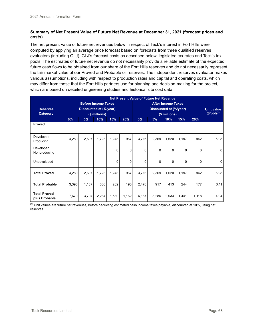# **Summary of Net Present Value of Future Net Revenue at December 31, 2021 (forecast prices and costs)**

The net present value of future net revenues below in respect of Teck's interest in Fort Hills were computed by applying an average price forecast based on forecasts from three qualified reserves evaluators (including GLJ), GLJ's forecast costs as described below, legislated tax rates and Teck's tax pools. The estimates of future net revenue do not necessarily provide a reliable estimate of the expected future cash flows to be obtained from our share of the Fort Hills reserves and do not necessarily represent the fair market value of our Proved and Probable oil reserves. The independent reserves evaluator makes various assumptions, including with respect to production rates and capital and operating costs, which may differ from those that the Fort Hills partners use for planning and decision-making for the project, which are based on detailed engineering studies and historical site cost data.

|                       |       | <b>Net Present Value of Future Net Revenue</b> |               |              |              |          |             |                           |              |          |                   |
|-----------------------|-------|------------------------------------------------|---------------|--------------|--------------|----------|-------------|---------------------------|--------------|----------|-------------------|
|                       |       | <b>Before Income Taxes</b>                     |               |              |              |          |             | <b>After Income Taxes</b> |              |          |                   |
| <b>Reserves</b>       |       | <b>Discounted at (%/year)</b>                  |               |              |              |          |             | Discounted at (%/year)    |              |          | <b>Unit value</b> |
| <b>Category</b>       |       |                                                | (\$ millions) |              |              |          |             | (\$ millions)             |              |          | $($/bbl)^{(1)}$   |
|                       | 0%    | 5%                                             | 10%           | 15%          | 20%          | 0%       | 5%          | 10%                       | 15%          | 20%      |                   |
| Proved                |       |                                                |               |              |              |          |             |                           |              |          |                   |
|                       |       |                                                |               |              |              |          |             |                           |              |          |                   |
| Developed             | 4,280 | 2,607                                          | 1,728         | 1,248        | 967          | 3,716    | 2,369       | 1,620                     | 1,197        | 942      | 5.98              |
| Producing             |       |                                                |               |              |              |          |             |                           |              |          |                   |
| Developed             |       |                                                |               | $\Omega$     | $\mathbf{0}$ | $\Omega$ | $\mathbf 0$ | $\Omega$                  | $\mathbf 0$  | 0        | $\mathbf 0$       |
| Nonproducing          |       |                                                |               |              |              |          |             |                           |              |          |                   |
| Undeveloped           |       |                                                |               | $\mathbf{0}$ | $\mathbf{0}$ | $\Omega$ | $\mathbf 0$ | $\Omega$                  | $\mathbf{0}$ | $\Omega$ | $\mathbf 0$       |
|                       |       |                                                |               |              |              |          |             |                           |              |          |                   |
| <b>Total Proved</b>   | 4,280 | 2,607                                          | 1,728         | 1,248        | 967          | 3,716    | 2,369       | 1,620                     | 1,197        | 942      | 5.98              |
|                       |       |                                                |               |              |              |          |             |                           |              |          |                   |
| <b>Total Probable</b> | 3,390 | 1,187                                          | 506           | 282          | 195          | 2,470    | 917         | 413                       | 244          | 177      | 3.11              |
|                       |       |                                                |               |              |              |          |             |                           |              |          |                   |
| <b>Total Proved</b>   | 7,670 | 3,794                                          | 2,234         | 1,530        | 1,162        | 6,187    | 3,286       | 2,033                     | 1,441        | 1,118    | 4.94              |
| plus Probable         |       |                                                |               |              |              |          |             |                           |              |          |                   |

(1) Unit values are future net revenues, before deducting estimated cash income taxes payable, discounted at 10%, using net reserves.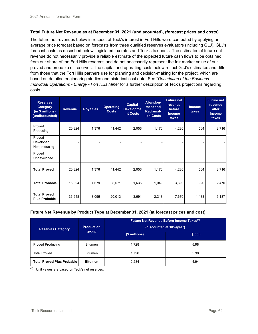#### **Total Future Net Revenue as at December 31, 2021 (undiscounted), (forecast prices and costs)**

The future net revenues below in respect of Teck's interest in Fort Hills were computed by applying an average price forecast based on forecasts from three qualified reserves evaluators (including GLJ), GLJ's forecast costs as described below, legislated tax rates and Teck's tax pools. The estimates of future net revenue do not necessarily provide a reliable estimate of the expected future cash flows to be obtained from our share of the Fort Hills reserves and do not necessarily represent the fair market value of our proved and probable oil reserves. The capital and operating costs below reflect GLJ's estimates and differ from those that the Fort Hills partners use for planning and decision-making for the project, which are based on detailed engineering studies and historical cost data. See "*Description of the Business - Individual Operations - Energy - Fort Hills Mine*" for a further description of Teck's projections regarding costs.

| <b>Reserves</b><br>Category<br>(in \$ millions)<br>(undiscounted) | <b>Revenue</b> | <b>Royalties</b> | <b>Operating</b><br><b>Costs</b> | <b>Capital</b><br><b>Developme</b><br>nt Costs | Abandon-<br>ment and<br>Reclamat-<br>ion Costs | <b>Future net</b><br>revenue<br>before<br><i>income</i><br>taxes | <b>Income</b><br>taxes | <b>Future net</b><br>revenue<br>after<br><b>income</b><br>taxes |
|-------------------------------------------------------------------|----------------|------------------|----------------------------------|------------------------------------------------|------------------------------------------------|------------------------------------------------------------------|------------------------|-----------------------------------------------------------------|
| Proved<br>Producing                                               | 20,324         | 1,376            | 11,442                           | 2,056                                          | 1,170                                          | 4,280                                                            | 564                    | 3,716                                                           |
| Proved<br>Developed<br>Nonproducing                               |                |                  |                                  |                                                |                                                |                                                                  |                        |                                                                 |
| Proved<br>Undeveloped                                             | -              | ۰                | -                                |                                                | $\overline{\phantom{a}}$                       |                                                                  | ٠                      |                                                                 |
| <b>Total Proved</b>                                               | 20,324         | 1,376            | 11,442                           | 2,056                                          | 1,170                                          | 4,280                                                            | 564                    | 3,716                                                           |
| <b>Total Probable</b>                                             | 16,324         | 1,679            | 8,571                            | 1,635                                          | 1,049                                          | 3,390                                                            | 920                    | 2,470                                                           |
| <b>Total Proved</b><br><b>Plus Probable</b>                       | 36,648         | 3,055            | 20,013                           | 3,691                                          | 2,218                                          | 7,670                                                            | 1,483                  | 6,187                                                           |

#### **Future Net Revenue by Product Type at December 31, 2021 (at forecast prices and cost)**

| <b>Reserves Category</b>          | Production     |               | Future Net Revenue Before Income Taxes <sup>(1)</sup><br>(discounted at 10%/year) |
|-----------------------------------|----------------|---------------|-----------------------------------------------------------------------------------|
|                                   | group          | (\$ millions) | (\$/bbl)                                                                          |
| <b>Proved Producing</b>           | <b>Bitumen</b> | 1,728         | 5.98                                                                              |
| <b>Total Proved</b>               | <b>Bitumen</b> | 1,728         | 5.98                                                                              |
| <b>Total Proved Plus Probable</b> | <b>Bitumen</b> | 2,234         | 4.94                                                                              |

 $(1)$  Unit values are based on Teck's net reserves.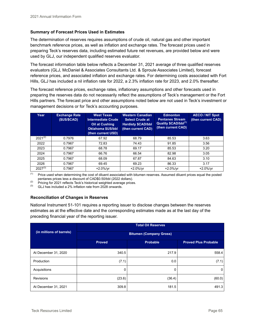#### **Summary of Forecast Prices Used in Estimates**

The determination of reserves requires assumptions of crude oil, natural gas and other important benchmark reference prices, as well as inflation and exchange rates. The forecast prices used in preparing Teck's reserves data, including estimated future net revenues, are provided below and were used by GLJ, our independent qualified reserves evaluator.

The forecast information table below reflects a December 31, 2021 average of three qualified reserves evaluators (GLJ, McDaniel & Associates Consultants Ltd. & Sproule Associates Limited), forecast reference prices, and associated inflation and exchange rates. For determining costs associated with Fort Hills, GLJ has included a nil inflation rate for 2022, a 2.3% inflation rate for 2023, and 2.0% thereafter.

The forecast reference prices, exchange rates, inflationary assumptions and other forecasts used in preparing the reserves data do not necessarily reflect the assumptions of Teck's management or the Fort Hills partners. The forecast price and other assumptions noted below are not used in Teck's investment or management decisions or for Teck's accounting purposes.

| Year         | <b>Exchange Rate</b><br>(SUS/SCAD) | <b>West Texas</b><br>Intermediate Crude<br><b>Oil at Cushing</b><br><b>Oklahoma \$US/bbl</b><br>(then current USD) | <b>Western Canadian</b><br><b>Select Crude at</b><br><b>Hardisty \$CAD/bbl</b><br>(then current CAD) | <b>Edmonton</b><br><b>Pentanes Stream</b><br>Quality \$CAD/bbl <sup>(1)</sup><br>(then current CAD) | <b>AECO / NIT Spot</b><br>(then current CAD) |
|--------------|------------------------------------|--------------------------------------------------------------------------------------------------------------------|------------------------------------------------------------------------------------------------------|-----------------------------------------------------------------------------------------------------|----------------------------------------------|
| $2021^{(2)}$ | 0.7976                             | 67.92                                                                                                              | 68.79                                                                                                | 85.53                                                                                               | 3.63                                         |
| 2022         | 0.7967                             | 72.83                                                                                                              | 74.43                                                                                                | 91.85                                                                                               | 3.56                                         |
| 2023         | 0.7967                             | 68.78                                                                                                              | 69.17                                                                                                | 85.53                                                                                               | 3.20                                         |
| 2024         | 0.7967                             | 66.76                                                                                                              | 66.54                                                                                                | 82.98                                                                                               | 3.05                                         |
| 2025         | 0.7967                             | 68.09                                                                                                              | 67.87                                                                                                | 84.63                                                                                               | 3.10                                         |
| 2026         | 0.7967                             | 69.45                                                                                                              | 69.23                                                                                                | 86.33                                                                                               | 3.17                                         |
| $2027^{(3)}$ | 0.7967                             | $+2.0\%$ /yr                                                                                                       | $+2.0\%$ /yr                                                                                         | $+2.0\%$ /yr                                                                                        | $+2.0\%$ /yr                                 |

(1) Price used when determining the cost of diluent associated with bitumen reserves. Assumed diluent prices equal the posted pentanes prices less a discount of CAD\$0.50/bbl (2022 dollars).

 $(2)$  Pricing for 2021 reflects Teck's historical weighted average prices.

(3) GLJ has included a 2% inflation rate from 2028 onwards.

# **Reconciliation of Changes in Reserves**

National Instrument 51-101 requires a reporting issuer to disclose changes between the reserves estimates as at the effective date and the corresponding estimates made as at the last day of the preceding financial year of the reporting issuer.

|                          | <b>Total Oil Reserves</b><br><b>Bitumen (Company Gross)</b>     |        |        |  |  |  |  |  |
|--------------------------|-----------------------------------------------------------------|--------|--------|--|--|--|--|--|
| (in millions of barrels) |                                                                 |        |        |  |  |  |  |  |
|                          | <b>Proved Plus Probable</b><br><b>Probable</b><br><b>Proved</b> |        |        |  |  |  |  |  |
| At December 31, 2020     | 340.5                                                           | 217.9  | 558.4  |  |  |  |  |  |
| Production               | (7.1)                                                           | 0.0    | (7.1)  |  |  |  |  |  |
| Acquisitions             | 0                                                               | 0      | 0      |  |  |  |  |  |
| Revisions                | (23.6)                                                          | (36.4) | (60.0) |  |  |  |  |  |
| At December 31, 2021     | 309.8                                                           | 181.5  | 491.3  |  |  |  |  |  |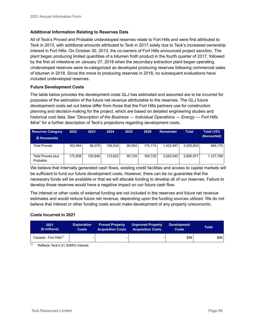#### **Additional Information Relating to Reserves Data**

All of Teck's Proved and Probable undeveloped reserves relate to Fort Hills and were first attributed to Teck in 2013, with additional amounts attributed to Teck in 2017 solely due to Teck's increased ownership interest in Fort Hills. On October 30, 2013, the co-owners of Fort Hills announced project sanction. The plant began producing limited quantities of a bitumen froth product in the fourth quarter of 2017, followed by the first oil milestone on January 27, 2018 when the secondary extraction plant began operating. Undeveloped reserves were re-categorized as developed producing reserves following commercial sales of bitumen in 2018. Since the move to producing reserves in 2018, no subsequent evaluations have included undeveloped reserves.

#### **Future Development Costs**

The table below provides the development costs GLJ has estimated and assumed are to be incurred for purposes of the estimation of the future net revenue attributable to the reserves. The GLJ future development costs set out below differ from those that the Fort Hills partners use for construction planning and decision-making for the project, which are based on detailed engineering studies and historical cost data. See "*Description of the Business ― Individual Operations ― Energy ― Fort Hills Mine*" for a further description of Teck's projections regarding development costs.

| <b>Reserves Category</b><br>(\$ thousands) | 2022    | 2023    | 2024    | 2025   | 2026    | <b>Remainder</b> | <b>Total</b> | <b>Total (10%</b><br>discounted) |
|--------------------------------------------|---------|---------|---------|--------|---------|------------------|--------------|----------------------------------|
| Total Proved                               | 163,594 | 98.079  | 106.534 | 90.554 | 174.174 | 1.422.897        | 2,055,832    | 946,175                          |
| Total Proved plus<br>Probable              | 173.508 | 103.848 | 112.622 | 95.729 | 184.730 | 3.020.540        | 3,690,977    | 1,127,768                        |

We believe that internally generated cash flows, existing credit facilities and access to capital markets will be sufficient to fund our future development costs. However, there can be no guarantee that the necessary funds will be available or that we will allocate funding to develop all of our reserves. Failure to develop those reserves would have a negative impact on our future cash flow.

The interest or other costs of external funding are not included in the reserves and future net revenue estimates and would reduce future net revenue, depending upon the funding sources utilized. We do not believe that interest or other funding costs would make development of any property uneconomic.

#### **Costs Incurred in 2021**

| 2021                               | <b>Exploration</b> | <b>Proved Property</b>   | <b>Unproved Property</b> | <b>Development</b> | <b>Total</b> |
|------------------------------------|--------------------|--------------------------|--------------------------|--------------------|--------------|
| (\$ millions)                      | <b>Costs</b>       | <b>Acquisition Costs</b> | <b>Acquisition Costs</b> | <b>Costs</b>       |              |
| Canada - Fort Hills <sup>(1)</sup> | -                  | -                        |                          | \$98               | \$98         |

(1) Reflects Teck's 21.3049% interest.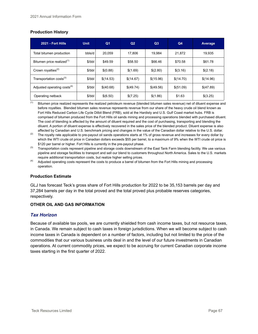# **Production History**

| 2021 - Fort Hills                           | <b>Unit</b> | Q <sub>1</sub> | Q2        | Q3        | Q <sub>4</sub> | Average   |
|---------------------------------------------|-------------|----------------|-----------|-----------|----------------|-----------|
| Total bitumen production                    | bbls/d      | 20.059         | 17.806    | 19.984    | 21.872         | 19.935    |
| Bitumen price realized <sup>(1)</sup>       | \$/bbI      | \$49.59        | \$58.50   | \$66.46   | \$70.58        | \$61.78   |
| Crown royalties <sup><math>(2)</math></sup> | \$/bbI      | \$(0.88)       | \$(1.69)  | \$(2.80)  | \$(3.16)       | \$(2.18)  |
| Transportation costs <sup>(3)</sup>         | \$/bbI      | \$(14.53)      | \$(14.67) | \$(15.96) | \$(14.70)      | \$(14.96) |
| Adjusted operating costs <sup>(4)</sup>     | \$/bbI      | \$(40.68)      | \$(49.74) | \$(49.56) | \$(51.09)      | \$(47.89) |
| Operating netback                           | \$/bbl      | \$(6.50)       | \$(7.25)  | \$(1.86)  | \$1.63         | \$(3.25)  |

(1) Bitumen price realized represents the realized petroleum revenue (blended bitumen sales revenue) net of diluent expense and before royalties. Blended bitumen sales revenue represents revenue from our share of the heavy crude oil blend known as Fort Hills Reduced Carbon Life Cycle Dilbit Blend (FRB), sold at the Hardisty and U.S. Gulf Coast market hubs. FRB is comprised of bitumen produced from the Fort Hills oil sands mining and processing operations blended with purchased diluent. The cost of blending is affected by the amount of diluent required and the cost of purchasing, transporting and blending the diluent. A portion of diluent expense is effectively recovered in the sales price of the blended product. Diluent expense is also affected by Canadian and U.S. benchmark pricing and changes in the value of the Canadian dollar relative to the U.S. dollar.

- $(2)$  The royalty rate applicable to pre-payout oil sands operations starts at 1% of gross revenue and increases for every dollar by which the WTI crude oil price in Canadian dollars exceeds \$55 per barrel, to a maximum of 9% when the WTI crude oil price is \$120 per barrel or higher. Fort Hills is currently in the pre-payout phase.
- <sup>(3)</sup> Transportation costs represent pipeline and storage costs downstream of the East Tank Farm blending facility. We use various pipeline and storage facilities to transport and sell our blend to customers throughout North America. Sales to the U.S. markets require additional transportation costs, but realize higher selling prices.
- <sup>(4)</sup> Adjusted operating costs represent the costs to produce a barrel of bitumen from the Fort Hills mining and processing operation.

# **Production Estimate**

GLJ has forecast Teck's gross share of Fort Hills production for 2022 to be 35,153 barrels per day and 37,284 barrels per day in the total proved and the total proved plus probable reserves categories, respectively.

# **OTHER OIL AND GAS INFORMATION**

# *Tax Horizon*

Because of available tax pools, we are currently shielded from cash income taxes, but not resource taxes, in Canada. We remain subject to cash taxes in foreign jurisdictions. When we will become subject to cash income taxes in Canada is dependent on a number of factors, including but not limited to the price of the commodities that our various business units deal in and the level of our future investments in Canadian operations. At current commodity prices, we expect to be accruing for current Canadian corporate income taxes starting in the first quarter of 2022.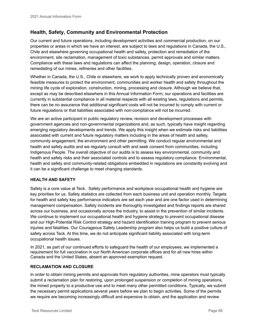# **Health, Safety, Community and Environmental Protection**

Our current and future operations, including development activities and commercial production, on our properties or areas in which we have an interest, are subject to laws and regulations in Canada, the U.S., Chile and elsewhere governing occupational health and safety, protection and remediation of the environment, site reclamation, management of toxic substances, permit approvals and similar matters. Compliance with these laws and regulations can affect the planning, design, operation, closure and remediating of our mines, refineries and other facilities.

Whether in Canada, the U.S., Chile or elsewhere, we work to apply technically proven and economically feasible measures to protect the environment, communities and worker health and safety throughout the mining life cycle of exploration, construction, mining, processing and closure. Although we believe that, except as may be described elsewhere in this Annual Information Form, our operations and facilities are currently in substantial compliance in all material respects with all existing laws, regulations and permits, there can be no assurance that additional significant costs will not be incurred to comply with current or future regulations or that liabilities associated with non-compliance will not be incurred.

We are an active participant in public regulatory review, revision and development processes with government agencies and non-governmental organizations and, as such, typically have insight regarding emerging regulatory developments and trends. We apply this insight when we estimate risks and liabilities associated with current and future regulatory matters including in the areas of health and safety, community engagement, the environment and other permitting. We conduct regular environmental and health and safety audits and we regularly consult with and seek consent from communities, including Indigenous People. The overall objective of our audits is to assess key environmental, community and health and safety risks and their associated controls and to assess regulatory compliance. Environmental, health and safety and community-related obligations embedded in regulations are constantly evolving and it can be a significant challenge to meet changing standards.

# **HEALTH AND SAFETY**

Safety is a core value at Teck. Safety performance and workplace occupational health and hygiene are key priorities for us. Safety statistics are collected from each business unit and operation monthly. Targets for health and safety key performance indicators are set each year and are one factor used in determining management compensation. Safety incidents are thoroughly investigated and findings reports are shared across our business, and occasionally across the industry, to assist in the prevention of similar incidents. We continue to implement our occupational health and hygiene strategy to prevent occupational disease and our High-Potential Risk Control strategy and hazard identification training program to prevent serious injuries and fatalities. Our Courageous Safety Leadership program also helps us build a positive culture of safety across Teck. At this time, we do not anticipate significant liability associated with long-term occupational health issues.

In 2021, as part of our continued efforts to safeguard the health of our employees, we implemented a requirement for full vaccination in our North American corporate offices and for all new hires within Canada and the United States, absent an approved exemption request.

# **RECLAMATION AND CLOSURE**

In order to obtain mining permits and approvals from regulatory authorities, mine operators must typically submit a reclamation plan for restoring, upon prolonged suspension or completion of mining operations, the mined property to a productive use and to meet many other permitted conditions. Typically, we submit the necessary permit applications several years before we plan to begin activities. Some of the permits we require are becoming increasingly difficult and expensive to obtain, and the application and review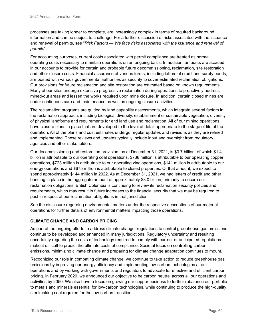processes are taking longer to complete, are increasingly complex in terms of required background information and can be subject to challenge. For a further discussion of risks associated with the issuance and renewal of permits, see "*Risk Factors — We face risks associated with the issuance and renewal of permits*".

For accounting purposes, current costs associated with permit compliance are treated as normal operating costs necessary to maintain operations on an ongoing basis. In addition, amounts are accrued in our accounts to provide for certain and probable future decommissioning, reclamation, site restoration and other closure costs. Financial assurance of various forms, including letters of credit and surety bonds, are posted with various governmental authorities as security to cover estimated reclamation obligations. Our provisions for future reclamation and site restoration are estimated based on known requirements. Many of our sites undergo extensive progressive reclamation during operations to proactively address mined-out areas and lessen the works required upon mine closure. In addition, certain closed mines are under continuous care and maintenance as well as ongoing closure activities.

The reclamation programs are guided by land capability assessments, which integrate several factors in the reclamation approach, including biological diversity, establishment of sustainable vegetation, diversity of physical landforms and requirements for end land use and reclamation. All of our mining operations have closure plans in place that are developed to the level of detail appropriate to the stage of life of the operation. All of the plans and cost estimates undergo regular updates and revisions as they are refined and implemented. These reviews and updates typically include input and oversight from regulatory agencies and other stakeholders.

Our decommissioning and restoration provision, as at December 31, 2021, is \$3.7 billion, of which \$1.4 billion is attributable to our operating coal operations, \$738 million is attributable to our operating copper operations, \$723 million is attributable to our operating zinc operations, \$141 million is attributable to our energy operations and \$675 million is attributable to closed properties. Of that amount, we expect to spend approximately \$144 million in 2022. As at December 31, 2021, we had letters of credit and other bonding in place in the aggregate amount of approximately \$3.0 billion, primarily to secure our reclamation obligations. British Columbia is continuing to review its reclamation security policies and requirements, which may result in future increases to the financial security that we may be required to post in respect of our reclamation obligations in that jurisdiction.

See the disclosure regarding environmental matters under the respective descriptions of our material operations for further details of environmental matters impacting those operations.

# **CLIMATE CHANGE AND CARBON PRICING**

As part of the ongoing efforts to address climate change, regulations to control greenhouse gas emissions continue to be developed and enhanced in many jurisdictions. Regulatory uncertainty and resulting uncertainty regarding the costs of technology required to comply with current or anticipated regulations make it difficult to predict the ultimate costs of compliance. Societal focus on controlling carbon emissions, minimizing climate change and preparing for climate change adaptation continues to mount.

Recognizing our role in combating climate change, we continue to take action to reduce greenhouse gas emissions by improving our energy efficiency and implementing low-carbon technologies at our operations and by working with governments and regulators to advocate for effective and efficient carbon pricing. In February 2020, we announced our objective to be carbon neutral across all our operations and activities by 2050. We also have a focus on growing our copper business to further rebalance our portfolio to metals and minerals essential for low-carbon technologies, while continuing to produce the high-quality steelmaking coal required for the low-carbon transition.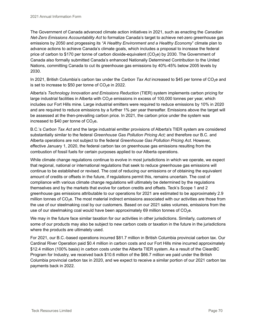The Government of Canada advanced climate action initiatives in 2021, such as enacting the *Canadian Net-Zero Emissions Accountability Act* to formalize Canada's target to achieve net-zero greenhouse gas emissions by 2050 and progessing its *"A Healthy Environment and a Healthy Economy*" climate plan to advance actions to achieve Canada's climate goals, which includes a proposal to increase the federal price of carbon to \$170 per tonne of carbon dioxide-equivalent (CO2e) by 2030. The Government of Canada also formally submitted Canada's enhanced Nationally Determined Contribution to the United Nations, committing Canada to cut its greenhouse gas emissions by 40%-45% below 2005 levels by 2030.

In 2021, British Columbia's carbon tax under the *Carbon Tax Act* increased to \$45 per tonne of CO<sub>2</sub>e and is set to increase to \$50 per tonne of  $CO<sub>2</sub>e$  in 2022.

Alberta's *Technology Innovation and Emissions Reduction* (TIER) system implements carbon pricing for large industrial facilities in Alberta with  $CO<sub>2</sub>e$  emissions in excess of 100,000 tonnes per year, which includes our Fort Hills mine. Large industrial emitters were required to reduce emissions by 10% in 2020 and are required to reduce emissions by a further 1% per year thereafter. Emissions above the target will be assessed at the then-prevailing carbon price. In 2021, the carbon price under the system was increased to \$40 per tonne of CO<sub>2</sub>e.

B.C.'s *Carbon Tax Act* and the large industrial emitter provisions of Alberta's TIER system are considered substantially similar to the federal *Greenhouse Gas Pollution Pricing Act;* and therefore our B.C. and Alberta operations are not subject to the federal *Greenhouse Gas Pollution Pricing Act*. However, effective January 1, 2020, the federal carbon tax on greenhouse gas emissions resulting from the combustion of fossil fuels for certain purposes applied to our Alberta operations.

While climate change regulations continue to evolve in most jurisdictions in which we operate, we expect that regional, national or international regulations that seek to reduce greenhouse gas emissions will continue to be established or revised. The cost of reducing our emissions or of obtaining the equivalent amount of credits or offsets in the future, if regulations permit this, remains uncertain. The cost of compliance with various climate change regulations will ultimately be determined by the regulations themselves and by the markets that evolve for carbon credits and offsets. Teck's Scope 1 and 2 greenhouse gas emissions attributable to our operations for 2021 are estimated to be approximately 2.9 million tonnes of  $CO<sub>2</sub>e$ . The most material indirect emissions associated with our activities are those from the use of our steelmaking coal by our customers. Based on our 2021 sales volumes, emissions from the use of our steelmaking coal would have been approximately 69 million tonnes of  $CO<sub>2</sub>e$ .

We may in the future face similar taxation for our activities in other jurisdictions. Similarly, customers of some of our products may also be subject to new carbon costs or taxation in the future in the jurisdictions where the products are ultimately used.

For 2021, our B.C.-based operations incurred \$81.7 million in British Columbia provincial carbon tax. Our Cardinal River Operation paid \$0.4 million in carbon costs and our Fort Hills mine incurred approximately \$12.4 million (100% basis) in carbon costs under the Alberta TIER system. As a result of the CleanBC Program for Industry, we received back \$10.6 million of the \$66.7 million we paid under the British Columbia provincial carbon tax in 2020, and we expect to receive a similar portion of our 2021 carbon tax payments back in 2022.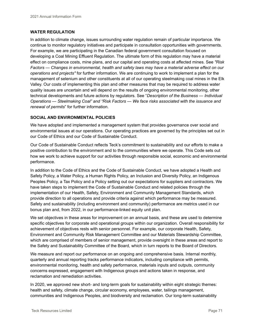#### **WATER REGULATION**

In addition to climate change, issues surrounding water regulation remain of particular importance. We continue to monitor regulatory initiatives and participate in consultation opportunities with governments. For example, we are participating in the Canadian federal government consultation focused on developing a Coal Mining Effluent Regulation. The ultimate form of this regulation may have a material effect on compliance costs, mine plans, and our capital and operating costs at affected mines. See *"Risk Factors — Changes in environmental, health and safety laws may have a material adverse effect on our operations and projects"* for further information. We are continuing to work to implement a plan for the management of selenium and other constituents at all of our operating steelmaking coal mines in the Elk Valley. Our costs of implementing this plan and other measures that may be required to address water quality issues are uncertain and will depend on the results of ongoing environmental monitoring, other technical developments and future actions by regulators. See "*Description of the Business — Individual Operations — Steelmaking Coal" and "Risk Factors — We face risks associated with the issuance and renewal of permits*" for further information.

#### **SOCIAL AND ENVIRONMENTAL POLICIES**

We have adopted and implemented a management system that provides governance over social and environmental issues at our operations. Our operating practices are governed by the principles set out in our Code of Ethics and our Code of Sustainable Conduct.

Our Code of Sustainable Conduct reflects Teck's commitment to sustainability and our efforts to make a positive contribution to the environment and to the communities where we operate. This Code sets out how we work to achieve support for our activities through responsible social, economic and environmental performance.

In addition to the Code of Ethics and the Code of Sustainable Conduct, we have adopted a Health and Safety Policy, a Water Policy, a Human Rights Policy, an Inclusion and Diversity Policy, an Indigenous Peoples Policy, a Tax Policy and a Policy setting out our expectations for suppliers and contractors. We have taken steps to implement the Code of Sustainable Conduct and related policies through the implementation of our Health, Safety, Environment and Community Management Standards, which provide direction to all operations and provide criteria against which performance may be measured. Safety and sustainability (including environment and community) performance are metrics used in our bonus plan and, from 2022, in our performance-linked equity unit plan.

We set objectives in these areas for improvement on an annual basis, and these are used to determine specific objectives for corporate and operational groups within our organization. Overall responsibility for achievement of objectives rests with senior personnel. For example, our corporate Health, Safety, Environment and Community Risk Management Committee and our Materials Stewardship Committee, which are comprised of members of senior management, provide oversight in these areas and report to the Safety and Sustainability Committee of the Board, which in turn reports to the Board of Directors.

We measure and report our performance on an ongoing and comprehensive basis. Internal monthly, quarterly and annual reporting tracks performance indicators, including compliance with permits, environmental monitoring, health and safety performance, materials inputs and outputs, community concerns expressed, engagement with Indigenous groups and actions taken in response, and reclamation and remediation activities.

In 2020, we approved new short- and long-term goals for sustainability within eight strategic themes: health and safety, climate change, circular economy, employees, water, tailings management, communities and Indigenous Peoples, and biodiversity and reclamation. Our long-term sustainability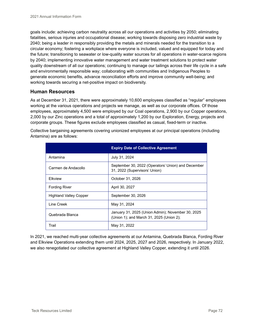goals include: achieving carbon neutrality across all our operations and activities by 2050; eliminating fatalities, serious injuries and occupational disease; working towards disposing zero industrial waste by 2040; being a leader in responsibly providing the metals and minerals needed for the transition to a circular economy; fostering a workplace where everyone is included, valued and equipped for today and the future; transitioning to seawater or low-quality water sources for all operations in water-scarce regions by 2040; implementing innovative water management and water treatment solutions to protect water quality downstream of all our operations; continuing to manage our tailings across their life cycle in a safe and environmentally responsible way; collaborating with communities and Indigenous Peoples to generate economic benefits, advance reconciliation efforts and improve community well-being; and working towards securing a net-positive impact on biodiversity.

## **Human Resources**

As at December 31, 2021, there were approximately 10,600 employees classified as "regular" employees working at the various operations and projects we manage, as well as our corporate offices. Of those employees, approximately 4,500 were employed by our Coal operations, 2,900 by our Copper operations, 2,000 by our Zinc operations and a total of approximately 1,200 by our Exploration, Energy, projects and corporate groups. These figures exclude employees classified as casual, fixed-term or inactive.

Collective bargaining agreements covering unionized employees at our principal operations (including Antamina) are as follows:

|                               | <b>Expiry Date of Collective Agreement</b>                                                    |
|-------------------------------|-----------------------------------------------------------------------------------------------|
| Antamina                      | July 31, 2024                                                                                 |
| Carmen de Andacollo           | September 30, 2022 (Operators' Union) and December<br>31, 2022 (Supervisors' Union)           |
| <b>Flkview</b>                | October 31, 2026                                                                              |
| <b>Fording River</b>          | April 30, 2027                                                                                |
| <b>Highland Valley Copper</b> | September 30, 2026                                                                            |
| Line Creek                    | May 31, 2024                                                                                  |
| Quebrada Blanca               | January 31, 2025 (Union Admin); November 30, 2025<br>(Union 1); and March 31, 2025 (Union 2); |
| Trail                         | May 31, 2022                                                                                  |

In 2021, we reached multi-year collective agreements at our Antamina, Quebrada Blanca, Fording River and Elkview Operations extending them until 2024, 2025, 2027 and 2026, respectively. In January 2022, we also renegotiated our collective agreement at Highland Valley Copper, extending it until 2026.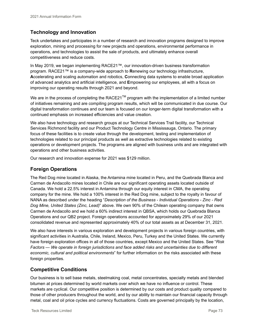# **Technology and Innovation**

Teck undertakes and participates in a number of research and innovation programs designed to improve exploration, mining and processing for new projects and operations, environmental performance in operations, and technologies to assist the sale of products, and ultimately enhance overall competitiveness and reduce costs.

In May 2019, we began implementing RACE21™, our innovation-driven business transformation program. RACE21™ is a company-wide approach to **R**enewing our technology infrastructure, **A**ccelerating and scaling automation and robotics, **C**onnecting data systems to enable broad application of advanced analytics and artificial intelligence, and **E**mpowering our employees, all with a focus on improving our operating results through 2021 and beyond.

We are in the process of completing the RACE21™ program with the implementation of a limited number of initiatives remaining and are compiling program results, which will be communicated in due course. Our digital transformation continues and our team is focused on our longer-term digital transformation with a continued emphasis on increased efficiencies and value creation.

We also have technology and research groups at our Technical Services Trail facility, our Technical Services Richmond facility and our Product Technology Centre in Mississauga, Ontario. The primary focus of these facilities is to create value through the development, testing and implementation of technologies related to our principal products as well as extractive technologies related to existing operations or development projects. The programs are aligned with business units and are integrated with operations and other business activities.

Our research and innovation expense for 2021 was \$129 million.

# **Foreign Operations**

The Red Dog mine located in Alaska, the Antamina mine located in Peru, and the Quebrada Blanca and Carmen de Andacollo mines located in Chile are our significant operating assets located outside of Canada. We hold a 22.5% interest in Antamina through our equity interest in CMA, the operating company for the mine. We hold a 100% interest in the Red Dog mine, subject to the royalty in favour of NANA as described under the heading "*Description of the Business - Individual Operations - Zinc - Red Dog Mine, United States (Zinc, Lead)*" above. We own 90% of the Chilean operating company that owns Carmen de Andacollo and we hold a 60% indirect interest in QBSA, which holds our Quebrada Blanca Operations and our QB2 project. Foreign operations accounted for approximately 29% of our 2021 consolidated revenue and represented approximately 40% of our total assets as at December 31, 2021.

We also have interests in various exploration and development projects in various foreign countries, with significant activities in Australia, Chile, Ireland, Mexico, Peru, Turkey and the United States. We currently have foreign exploration offices in all of those countries, except Mexico and the United States. See "*Risk Factors — We operate in foreign jurisdictions and face added risks and uncertainties due to different economic, cultural and political environments*" for further information on the risks associated with these foreign properties.

# **Competitive Conditions**

Our business is to sell base metals, steelmaking coal, metal concentrates, specialty metals and blended bitumen at prices determined by world markets over which we have no influence or control. These markets are cyclical. Our competitive position is determined by our costs and product quality compared to those of other producers throughout the world, and by our ability to maintain our financial capacity through metal, coal and oil price cycles and currency fluctuations. Costs are governed principally by the location,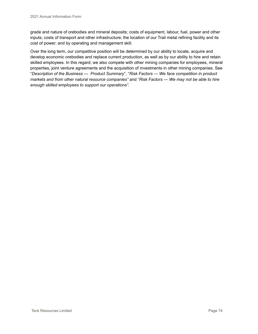grade and nature of orebodies and mineral deposits; costs of equipment, labour, fuel, power and other inputs; costs of transport and other infrastructure; the location of our Trail metal refining facility and its cost of power; and by operating and management skill.

Over the long term, our competitive position will be determined by our ability to locate, acquire and develop economic orebodies and replace current production, as well as by our ability to hire and retain skilled employees. In this regard, we also compete with other mining companies for employees, mineral properties, joint venture agreements and the acquisition of investments in other mining companies. See "*Description of the Business — Product Summary*", "*Risk Factors — We face competition in product markets and from other natural resource companies"* and "*Risk Factors — We may not be able to hire enough skilled employees to support our operations".*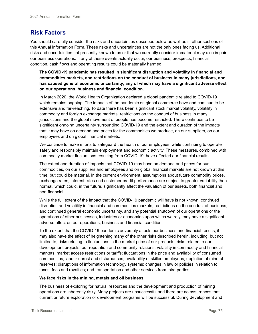# **Risk Factors**

You should carefully consider the risks and uncertainties described below as well as in other sections of this Annual Information Form. These risks and uncertainties are not the only ones facing us. Additional risks and uncertainties not presently known to us or that we currently consider immaterial may also impair our business operations. If any of these events actually occur, our business, prospects, financial condition, cash flows and operating results could be materially harmed.

**The COVID-19 pandemic has resulted in significant disruption and volatility in financial and commodities markets, and restrictions on the conduct of business in many jurisdictions, and has caused general economic uncertainty, any of which may have a significant adverse effect on our operations, business and financial condition.**

In March 2020, the World Health Organization declared a global pandemic related to COVID-19 which remains ongoing. The impacts of the pandemic on global commerce have and continue to be extensive and far-reaching. To date there has been significant stock market volatility, volatility in commodity and foreign exchange markets, restrictions on the conduct of business in many jurisdictions and the global movement of people has become restricted. There continues to be significant ongoing uncertainty surrounding COVID-19 and the extent and duration of the impacts that it may have on demand and prices for the commodities we produce, on our suppliers, on our employees and on global financial markets.

We continue to make efforts to safeguard the health of our employees, while continuing to operate safely and responsibly maintain employment and economic activity. These measures, combined with commodity market fluctuations resulting from COVID-19, have affected our financial results.

The extent and duration of impacts that COVID-19 may have on demand and prices for our commodities, on our suppliers and employees and on global financial markets are not known at this time, but could be material. In the current environment, assumptions about future commodity prices, exchange rates, interest rates and customer credit performance are subject to greater variability than normal, which could, in the future, significantly affect the valuation of our assets, both financial and non-financial.

While the full extent of the impact that the COVID-19 pandemic will have is not known, continued disruption and volatility in financial and commodities markets, restrictions on the conduct of business, and continued general economic uncertainty, and any potential shutdown of our operations or the operations of other businesses, industries or economies upon which we rely, may have a significant adverse effect on our operations, business and financial condition.

To the extent that the COVID-19 pandemic adversely affects our business and financial results, it may also have the effect of heightening many of the other risks described herein, including, but not limited to, risks relating to fluctuations in the market price of our products; risks related to our development projects; our reputation and community relations; volatility in commodity and financial markets; market access restrictions or tariffs; fluctuations in the price and availability of consumed commodities; labour unrest and disturbances; availability of skilled employees; depletion of mineral reserves; disruptions of information technology systems; changes in law or policies in relation to taxes; fees and royalties; and transportation and other services from third parties.

## **We face risks in the mining, metals and oil business.**

The business of exploring for natural resources and the development and production of mining operations are inherently risky. Many projects are unsuccessful and there are no assurances that current or future exploration or development programs will be successful. During development and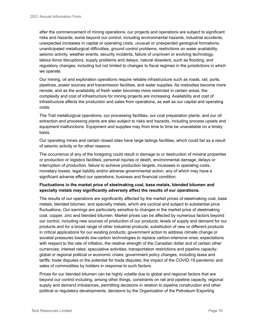after the commencement of mining operations, our projects and operations are subject to significant risks and hazards, some beyond our control, including environmental hazards, industrial accidents, unexpected increases in capital or operating costs, unusual or unexpected geological formations, unanticipated metallurgical difficulties, ground control problems, restrictions on water availability, seismic activity, weather events, security incidents, failure of unproven or evolving technology, labour-force disruptions, supply problems and delays, natural disasters, such as flooding, and regulatory changes, including but not limited to changes to fiscal regimes in the jurisdictions in which we operate.

Our mining, oil and exploration operations require reliable infrastructure such as roads, rail, ports, pipelines, power sources and transmission facilities, and water supplies. As orebodies become more remote, and as the availability of fresh water becomes more restricted in certain areas, the complexity and cost of infrastructure for mining projects are increasing. Availability and cost of infrastructure affects the production and sales from operations, as well as our capital and operating costs.

The Trail metallurgical operations, our processing facilities, our coal preparation plants, and our oil extraction and processing plants are also subject to risks and hazards, including process upsets and equipment malfunctions. Equipment and supplies may from time to time be unavailable on a timely basis.

Our operating mines and certain closed sites have large tailings facilities, which could fail as a result of seismic activity or for other reasons.

The occurrence of any of the foregoing could result in damage to or destruction of mineral properties or production or logistics facilities, personal injuries or death, environmental damage, delays or interruption of production, failure to achieve production targets, increases in operating costs, monetary losses, legal liability and/or adverse governmental action, any of which may have a significant adverse effect our operations, business and financial condition.

## **Fluctuations in the market price of steelmaking coal, base metals, blended bitumen and specialty metals may significantly adversely affect the results of our operations.**

The results of our operations are significantly affected by the market prices of steelmaking coal, base metals, blended bitumen, and specialty metals, which are cyclical and subject to substantial price fluctuations. Our earnings are particularly sensitive to changes in the market price of steelmaking coal, copper, zinc and blended bitumen. Market prices can be affected by numerous factors beyond our control, including new sources of production of our products; levels of supply and demand for our products and for a broad range of other industrial products; substitution of new or different products in critical applications for our existing products; government action to address climate change or societal pressures towards low-carbon technologies to replace carbon-intensive ones; expectations with respect to the rate of inflation, the relative strength of the Canadian dollar and of certain other currencies; interest rates; speculative activities; transportation restrictions and pipeline capacity; global or regional political or economic crises; government policy changes, including taxes and tariffs; trade disputes or the potential for trade disputes; the impact of the COVID-19 pandemic and sales of commodities by holders in response to such factors.

Prices for our blended bitumen can be highly volatile due to global and regional factors that are beyond our control including, among other things, constraints on rail and pipeline capacity, regional supply and demand imbalances, permitting decisions in relation to pipeline construction and other political or regulatory developments, decisions by the Organization of the Petroleum Exporting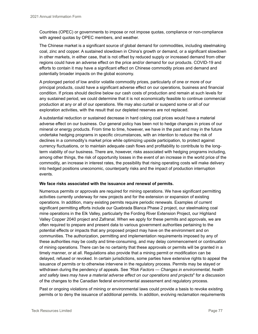Countries (OPEC) or governments to impose or not impose quotas, compliance or non-compliance with agreed quotas by OPEC members, and weather.

The Chinese market is a significant source of global demand for commodities, including steelmaking coal, zinc and copper. A sustained slowdown in China's growth or demand, or a significant slowdown in other markets, in either case, that is not offset by reduced supply or increased demand from other regions could have an adverse effect on the price and/or demand for our products. COVID-19 and efforts to contain it may have a significant effect on Chinese commodity prices and demand and potentially broader impacts on the global economy.

A prolonged period of low and/or volatile commodity prices, particularly of one or more of our principal products, could have a significant adverse effect on our operations, business and financial condition. If prices should decline below our cash costs of production and remain at such levels for any sustained period, we could determine that it is not economically feasible to continue commercial production at any or all of our operations. We may also curtail or suspend some or all of our exploration activities, with the result that our depleted reserves are not replaced.

A substantial reduction or sustained decrease in hard coking coal prices would have a material adverse effect on our business. Our general policy has been not to hedge changes in prices of our mineral or energy products. From time to time, however, we have in the past and may in the future undertake hedging programs in specific circumstances, with an intention to reduce the risk of declines in a commodity's market price while optimizing upside participation, to protect against currency fluctuations, or to maintain adequate cash flows and profitability to contribute to the longterm viability of our business. There are, however, risks associated with hedging programs including, among other things, the risk of opportunity losses in the event of an increase in the world price of the commodity, an increase in interest rates, the possibility that rising operating costs will make delivery into hedged positions uneconomic, counterparty risks and the impact of production interruption events.

#### **We face risks associated with the issuance and renewal of permits.**

Numerous permits or approvals are required for mining operations. We have significant permitting activities currently underway for new projects and for the extension or expansion of existing operations. In addition, many existing permits require periodic renewals. Examples of current significant permitting efforts include our Quebrada Blanca Phase 2 project, our steelmaking coal mine operations in the Elk Valley, particularly the Fording River Extension Project, our Highland Valley Copper 2040 project and Zafranal. When we apply for these permits and approvals, we are often required to prepare and present data to various government authorities pertaining to the potential effects or impacts that any proposed project may have on the environment and on communities. The authorization, permitting and implementation requirements imposed by any of these authorities may be costly and time-consuming, and may delay commencement or continuation of mining operations. There can be no certainty that these approvals or permits will be granted in a timely manner, or at all. Regulations also provide that a mining permit or modification can be delayed, refused or revoked. In certain jurisdictions, some parties have extensive rights to appeal the issuance of permits or to otherwise intervene in the regulatory process. Permits may be stayed or withdrawn during the pendency of appeals. See *"Risk Factors — Changes in environmental, health and safety laws may have a material adverse effect on our operations and projects*" for a discussion of the changes to the Canadian federal environmental assessment and regulatory process.

Past or ongoing violations of mining or environmental laws could provide a basis to revoke existing permits or to deny the issuance of additional permits. In addition, evolving reclamation requirements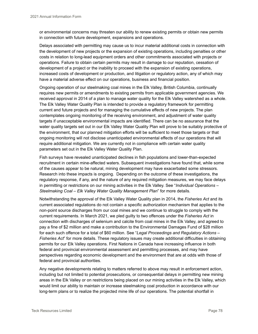or environmental concerns may threaten our ability to renew existing permits or obtain new permits in connection with future development, expansions and operations.

Delays associated with permitting may cause us to incur material additional costs in connection with the development of new projects or the expansion of existing operations, including penalties or other costs in relation to long-lead equipment orders and other commitments associated with projects or operations. Failure to obtain certain permits may result in damage to our reputation, cessation of development of a project or the inability to proceed with the expansion of existing operations, increased costs of development or production, and litigation or regulatory action, any of which may have a material adverse effect on our operations, business and financial position.

Ongoing operation of our steelmaking coal mines in the Elk Valley, British Columbia, continually requires new permits or amendments to existing permits from applicable government agencies. We received approval in 2014 of a plan to manage water quality for the Elk Valley watershed as a whole. The Elk Valley Water Quality Plan is intended to provide a regulatory framework for permitting current and future projects and for managing the cumulative effects of new projects. The plan contemplates ongoing monitoring of the receiving environment, and adjustment of water quality targets if unacceptable environmental impacts are identified. There can be no assurance that the water quality targets set out in our Elk Valley Water Quality Plan will prove to be suitably protective of the environment, that our planned mitigation efforts will be sufficient to meet those targets or that ongoing monitoring will not disclose unanticipated environmental effects of our operations that will require additional mitigation. We are currently not in compliance with certain water quality parameters set out in the Elk Valley Water Quality Plan.

Fish surveys have revealed unanticipated declines in fish populations and lower-than-expected recruitment in certain mine-affected waters. Subsequent investigations have found that, while some of the causes appear to be natural, mining development may have exacerbated some stressors. Research into these impacts is ongoing. Depending on the outcome of these investigations, the regulatory response, if any, and the nature of any required mitigation measures, we may face delays in permitting or restrictions on our mining activities in the Elk Valley. See "*Individual Operations – Steelmaking Coal – Elk Valley Water Quality Management Plan*" for more details.

Notwithstanding the approval of the Elk Valley Water Quality plan in 2014, the *Fisheries Act* and its current associated regulations do not contain a specific authorization mechanism that applies to the non-point source discharges from our coal mines and we continue to struggle to comply with the current requirements. In March 2021, we pled guilty to two offences under the *Fisheries Act* in connection with discharges of selenium and calcite from coal mines in the Elk Valley, and agreed to pay a fine of \$2 million and make a contribution to the Environmental Damages Fund of \$28 million for each such offence for a total of \$60 million. See "*Legal Proceedings and Regulatory Actions – Fisheries Act*" for more details. These regulatory issues may create additional difficulties in obtaining permits for our Elk Valley operations. First Nations in Canada have increasing influence in both federal and provincial environmental assessment and permitting processes, and may have perspectives regarding economic development and the environment that are at odds with those of federal and provincial authorities.

Any negative developments relating to matters referred to above may result in enforcement action, including but not limited to potential prosecutions, or consequential delays in permitting new mining areas in the Elk Valley or on restrictions being placed on our mining activities in the Elk Valley, which would limit our ability to maintain or increase steelmaking coal production in accordance with our long-term plans or to realize the projected mine life of our operations. The potential shortfall in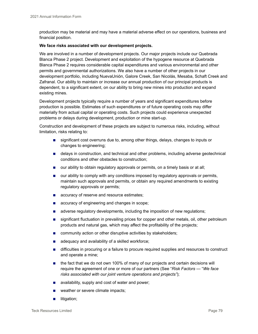production may be material and may have a material adverse effect on our operations, business and financial position.

#### **We face risks associated with our development projects.**

We are involved in a number of development projects. Our major projects include our Quebrada Blanca Phase 2 project. Development and exploitation of the hypogene resource at Quebrada Blanca Phase 2 requires considerable capital expenditures and various environmental and other permits and governmental authorizations. We also have a number of other projects in our development portfolio, including NuevaUnión, Galore Creek, San Nicolás, Mesaba, Schaft Creek and Zafranal. Our ability to maintain or increase our annual production of our principal products is dependent, to a significant extent, on our ability to bring new mines into production and expand existing mines.

Development projects typically require a number of years and significant expenditures before production is possible. Estimates of such expenditures or of future operating costs may differ materially from actual capital or operating costs. Such projects could experience unexpected problems or delays during development, production or mine start-up.

Construction and development of these projects are subject to numerous risks, including, without limitation, risks relating to:

- significant cost overruns due to, among other things, delays, changes to inputs or changes to engineering;
- delays in construction, and technical and other problems, including adverse geotechnical conditions and other obstacles to construction;
- our ability to obtain regulatory approvals or permits, on a timely basis or at all;
- our ability to comply with any conditions imposed by regulatory approvals or permits, maintain such approvals and permits, or obtain any required amendments to existing regulatory approvals or permits;
- accuracy of reserve and resource estimates;
- accuracy of engineering and changes in scope;
- adverse regulatory developments, including the imposition of new regulations;
- significant fluctuation in prevailing prices for copper and other metals, oil, other petroleum products and natural gas, which may affect the profitability of the projects;
- community action or other disruptive activities by stakeholders;
- adequacy and availability of a skilled workforce;
- difficulties in procuring or a failure to procure required supplies and resources to construct and operate a mine;
- the fact that we do not own 100% of many of our projects and certain decisions will require the agreement of one or more of our partners (See "*Risk Factors —* "*We face risks associated with our joint venture operations and projects"*);
- availability, supply and cost of water and power;
- weather or severe climate impacts;
- litigation;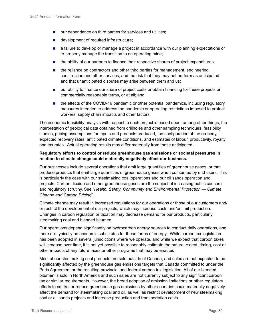- our dependence on third parties for services and utilities;
- development of required infrastructure;
- a failure to develop or manage a project in accordance with our planning expectations or to properly manage the transition to an operating mine;
- the ability of our partners to finance their respective shares of project expenditures;
- the reliance on contractors and other third parties for management, engineering, construction and other services, and the risk that they may not perform as anticipated and that unanticipated disputes may arise between them and us;
- our ability to finance our share of project costs or obtain financing for these projects on commercially reasonable terms, or at all; and
- the effects of the COVID-19 pandemic or other potential pandemics, including regulatory measures intended to address the pandemic or operating restrictions imposed to protect workers, supply chain impacts and other factors.

The economic feasibility analysis with respect to each project is based upon, among other things, the interpretation of geological data obtained from drillholes and other sampling techniques, feasibility studies, pricing assumptions for inputs and products produced, the configuration of the orebody, expected recovery rates, anticipated climate conditions, and estimates of labour, productivity, royalty and tax rates. Actual operating results may differ materially from those anticipated.

#### **Regulatory efforts to control or reduce greenhouse gas emissions or societal pressures in relation to climate change could materially negatively affect our business.**

Our businesses include several operations that emit large quantities of greenhouse gases, or that produce products that emit large quantities of greenhouse gases when consumed by end users. This is particularly the case with our steelmaking coal operations and our oil sands operation and projects. Carbon dioxide and other greenhouse gases are the subject of increasing public concern and regulatory scrutiny. See "*Health, Safety, Community and Environmental Protection* — *Climate Change and Carbon Pricing*".

Climate change may result in increased regulations for our operations or those of our customers and/ or restrict the development of our projects, which may increase costs and/or limit production. Changes in carbon regulation or taxation may decrease demand for our products, particularly steelmaking coal and blended bitumen.

Our operations depend significantly on hydrocarbon energy sources to conduct daily operations, and there are typically no economic substitutes for these forms of energy. While carbon tax legislation has been adopted in several jurisdictions where we operate, and while we expect that carbon taxes will increase over time, it is not yet possible to reasonably estimate the nature, extent, timing, cost or other impacts of any future taxes or other programs that may be enacted.

Most of our steelmaking coal products are sold outside of Canada, and sales are not expected to be significantly affected by the greenhouse gas emissions targets that Canada committed to under the Paris Agreement or the resulting provincial and federal carbon tax legislation. All of our blended bitumen is sold in North America and such sales are not currently subject to any significant carbon tax or similar requirements. However, the broad adoption of emission limitations or other regulatory efforts to control or reduce greenhouse gas emissions by other countries could materially negatively affect the demand for steelmaking coal and oil, as well as restrict development of new steelmaking coal or oil sands projects and increase production and transportation costs.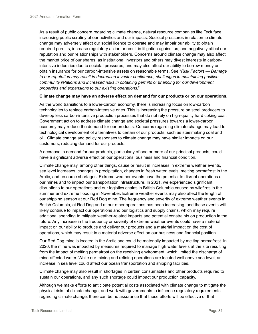As a result of public concern regarding climate change, natural resource companies like Teck face increasing public scrutiny of our activities and our impacts. Societal pressures in relation to climate change may adversely affect our social licence to operate and may impair our ability to obtain required permits, increase regulatory action or result in litigation against us, and negatively affect our reputation and our relationships with stakeholders. Concerns around climate change may also affect the market price of our shares, as institutional investors and others may divest interests in carbonintensive industries due to societal pressures, and may also affect our ability to borrow money or obtain insurance for our carbon-intensive assets on reasonable terms. See "*Risk Factors — Damage to our reputation may result in decreased investor confidence, challenges in maintaining positive community relations and increased risks in obtaining permits or financing for our development properties and expansions to our existing operations.*"

#### **Climate change may have an adverse effect on demand for our products or on our operations.**

As the world transitions to a lower-carbon economy, there is increasing focus on low-carbon technologies to replace carbon-intensive ones. This is increasing the pressure on steel producers to develop less carbon-intensive production processes that do not rely on high-quality hard coking coal. Government action to address climate change and societal pressures towards a lower-carbon economy may reduce the demand for our products. Concerns regarding climate change may lead to technological development of alternatives to certain of our products, such as steelmaking coal and oil. Climate change and policy responses to climate change may have similar impacts on our customers, reducing demand for our products.

A decrease in demand for our products, particularly of one or more of our principal products, could have a significant adverse effect on our operations, business and financial condition.

Climate change may, among other things, cause or result in increases in extreme weather events, sea level increases, changes in precipitation, changes in fresh water levels, melting permafrost in the Arctic, and resource shortages. Extreme weather events have the potential to disrupt operations at our mines and to impact our transportation infrastructure. In 2021, we experienced significant disruptions to our operations and our logistics chains in British Columbia caused by wildfires in the summer and extreme flooding in November. Extreme weather events may also affect the length of our shipping season at our Red Dog mine. The frequency and severity of extreme weather events in British Columbia, at Red Dog and at our other operations has been increasing, and these events will likely continue to impact our operations and our logistics and supply chains, which may require additional spending to mitigate weather-related impacts and potential constraints on production in the future. Any increase in the frequency or severity of extreme weather events could have a material impact on our ability to produce and deliver our products and a material impact on the cost of operations, which may result in a material adverse effect on our business and financial position.

Our Red Dog mine is located in the Arctic and could be materially impacted by melting permafrost. In 2020, the mine was impacted by measures required to manage high water levels at the site resulting from the impact of melting permafrost on the receiving environment, which limited the discharge of mine-affected water. While our mining and refining operations are located well above sea level, an increase in sea level could affect our ocean transportation and shipping facilities.

Climate change may also result in shortages in certain consumables and other products required to sustain our operations, and any such shortage could impact our production capacity.

Although we make efforts to anticipate potential costs associated with climate change to mitigate the physical risks of climate change, and work with governments to influence regulatory requirements regarding climate change, there can be no assurance that these efforts will be effective or that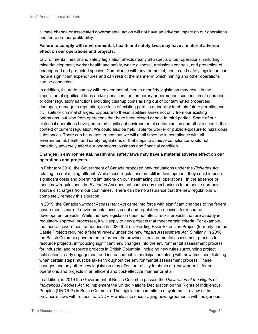climate change or associated governmental action will not have an adverse impact on our operations and therefore our profitability.

## **Failure to comply with environmental, health and safety laws may have a material adverse effect on our operations and projects.**

Environmental, health and safety legislation affects nearly all aspects of our operations, including mine development, worker health and safety, waste disposal, emissions controls, and protection of endangered and protected species. Compliance with environmental, health and safety legislation can require significant expenditures and can restrict the manner in which mining and other operations can be conducted.

In addition, failure to comply with environmental, health or safety legislation may result in the imposition of significant fines and/or penalties; the temporary or permanent suspension of operations or other regulatory sanctions including cleanup costs arising out of contaminated properties; damages; damage to reputation; the loss of existing permits or inability to obtain future permits; and civil suits or criminal charges. Exposure to these liabilities arises not only from our existing operations, but also from operations that have been closed or sold to third parties. Some of our historical operations have generated significant environmental contamination and other issues in the context of current regulation. We could also be held liable for worker or public exposure to hazardous substances. There can be no assurance that we will at all times be in compliance with all environmental, health and safety regulations or that steps to achieve compliance would not materially adversely affect our operations, business and financial condition.

## **Changes in environmental, health and safety laws may have a material adverse effect on our operations and projects.**

In February 2018, the Government of Canada proposed new regulations under the *Fisheries Act* relating to coal mining effluent. While these regulations are still in development, they could impose significant costs and operating limitations on our steelmaking coal operations. In the absence of these new regulations, the *Fisheries Act* does not contain any mechanisms to authorize non-point source discharges from our coal mines. There can be no assurance that the new regulations will completely remedy this situation.

In 2019, the Canadian *Impact Assessment Act* came into force with significant changes to the federal government's current environmental assessment and regulatory processes for resource development projects. While the new legislation does not affect Teck's projects that are already in regulatory approval processes, it will apply to new projects that meet certain criteria. For example, the federal government announced in 2020 that our Fording River Extension Project (formerly named Castle Project) required a federal review under the new *Impact Assessment Act*. Similarly, in 2018, the British Columbia government reformed the province's environmental assessment process for resource projects, introducing significant new changes into the environmental assessment process for industrial and resource projects in British Columbia, including new rules surrounding project notifications, early engagement and increased public participation, along with new timelines dictating when certain steps must be taken throughout the environmental assessment process. These changes and any other new legislation may affect our ability to obtain or renew permits for our operations and projects in an efficient and cost-effective manner or at all.

In addition, in 2019 the Government of British Columbia passed the *Declaration of the Rights of Indigenous Peoples Act*, to implement the United Nations Declaration on the Rights of Indigenous Peoples (UNDRIP) in British Columbia. The legislation commits to a systematic review of the province's laws with respect to UNDRIP while also encouraging new agreements with Indigenous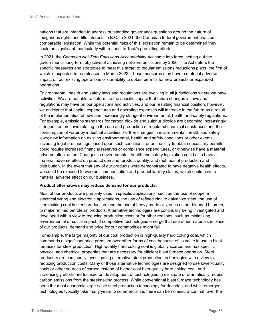nations that are intended to address outstanding governance questions around the nature of Indigenous rights and title interests in B.C. In 2021, the Canadian federal government enacted comparable legislation. While the potential risks of this legislation remain to be determined they could be significant, particularly with respect to Teck's permitting efforts.

In 2021, the *Canadian Net-Zero Emissions Accountability Act* came into force, setting out the government's long-term objective of achieving net-zero emissions by 2050. The Act defers the specific measures and strategies to meet this target to regular emissions reductions plans, the first of which is expected to be released in March 2022. These measures may have a material adverse impact on our existing operations or our ability to obtain permits for new projects or expanded operations.

Environmental, health and safety laws and regulations are evolving in all jurisdictions where we have activities. We are not able to determine the specific impact that future changes in laws and regulations may have on our operations and activities, and our resulting financial position; however, we anticipate that capital expenditures and operating expenses will increase in the future as a result of the implementation of new and increasingly stringent environmental, health and safety regulations. For example, emissions standards for carbon dioxide and sulphur dioxide are becoming increasingly stringent, as are laws relating to the use and production of regulated chemical substances and the consumption of water by industrial activities. Further changes in environmental, health and safety laws; new information on existing environmental, health and safety conditions or other events, including legal proceedings based upon such conditions; or an inability to obtain necessary permits, could require increased financial reserves or compliance expenditures, or otherwise have a material adverse effect on us. Changes in environmental, health and safety legislation could also have a material adverse effect on product demand, product quality, and methods of production and distribution. In the event that any of our products were demonstrated to have negative health effects, we could be exposed to workers' compensation and product liability claims, which could have a material adverse effect on our business.

#### **Product alternatives may reduce demand for our products.**

Most of our products are primarily used in specific applications, such as the use of copper in electrical wiring and electronic applications, the use of refined zinc to galvanize steel, the use of steelmaking coal in steel production, and the use of heavy crude oils, such as our blended bitumen, to make refined petroleum products. Alternative technologies are continually being investigated and developed with a view to reducing production costs or for other reasons, such as minimizing environmental or social impact. If competitive technologies emerge that use other materials in place of our products, demand and price for our commodities might fall.

For example, the large majority of our coal production is high-quality hard coking coal, which commands a significant price premium over other forms of coal because of its value in use in blast furnaces for steel production. High-quality hard coking coal is globally scarce, and has specific physical and chemical properties that are necessary for efficient blast furnace operation. Steel producers are continually investigating alternative steel production technologies with a view to reducing production costs. Many of those alternative technologies are designed to use lower-quality coals or other sources of carbon instead of higher-cost high-quality hard coking coal, and increasingly efforts are focused on development of technologies to eliminate or dramatically reduce carbon emissions from the steelmaking process. While conventional blast furnace technology has been the most economic large-scale steel production technology for decades, and while emergent technologies typically take many years to commercialize, there can be no assurance that, over the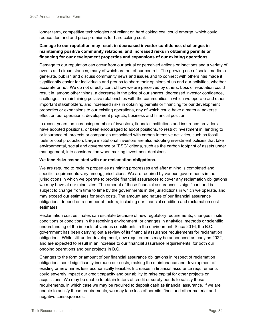longer term, competitive technologies not reliant on hard coking coal could emerge, which could reduce demand and price premiums for hard coking coal.

## **Damage to our reputation may result in decreased investor confidence, challenges in maintaining positive community relations, and increased risks in obtaining permits or financing for our development properties and expansions of our existing operations.**

Damage to our reputation can occur from our actual or perceived actions or inactions and a variety of events and circumstances, many of which are out of our control. The growing use of social media to generate, publish and discuss community news and issues and to connect with others has made it significantly easier for individuals and groups to share their opinions of us and our activities, whether accurate or not. We do not directly control how we are perceived by others. Loss of reputation could result in, among other things, a decrease in the price of our shares, decreased investor confidence, challenges in maintaining positive relationships with the communities in which we operate and other important stakeholders, and increased risks in obtaining permits or financing for our development properties or expansions to our existing operations, any of which could have a material adverse effect on our operations, development projects, business and financial position.

In recent years, an increasing number of investors, financial institutions and insurance providers have adopted positions, or been encouraged to adopt positions, to restrict investment in, lending to or insurance of, projects or companies associated with carbon-intensive activities, such as fossil fuels or coal production. Large institutional investors are also adopting investment policies that take environmental, social and governance or "ESG" criteria, such as the carbon footprint of assets under management, into consideration when making investment decisions.

#### **We face risks associated with our reclamation obligations.**

We are required to reclaim properties as mining progresses and after mining is completed and specific requirements vary among jurisdictions. We are required by various governments in the jurisdictions in which we operate to provide financial assurances to cover any reclamation obligations we may have at our mine sites. The amount of these financial assurances is significant and is subject to change from time to time by the governments in the jurisdictions in which we operate, and may exceed our estimates for such costs. The amount and nature of our financial assurance obligations depend on a number of factors, including our financial condition and reclamation cost estimates.

Reclamation cost estimates can escalate because of new regulatory requirements, changes in site conditions or conditions in the receiving environment, or changes in analytical methods or scientific understanding of the impacts of various constituents in the environment. Since 2016, the B.C. government has been carrying out a review of its financial assurance requirements for reclamation obligations. While still under development, new requirements may be announced as early as 2022, and are expected to result in an increase to our financial assurance requirements, for both our ongoing operations and our projects in B.C.

Changes to the form or amount of our financial assurance obligations in respect of reclamation obligations could significantly increase our costs, making the maintenance and development of existing or new mines less economically feasible. Increases in financial assurance requirements could severely impact our credit capacity and our ability to raise capital for other projects or acquisitions. We may be unable to obtain letters of credit or surety bonds to satisfy these requirements, in which case we may be required to deposit cash as financial assurance. If we are unable to satisfy these requirements, we may face loss of permits, fines and other material and negative consequences.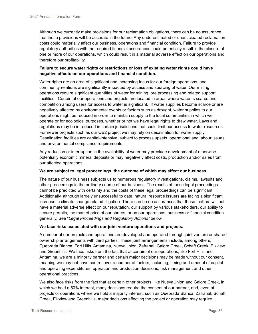Although we currently make provisions for our reclamation obligations, there can be no assurance that these provisions will be accurate in the future. Any underestimated or unanticipated reclamation costs could materially affect our business, operations and financial condition. Failure to provide regulatory authorities with the required financial assurances could potentially result in the closure of one or more of our operations, which could result in a material adverse effect on our operations and therefore our profitability.

## **Failure to secure water rights or restrictions or loss of existing water rights could have negative effects on our operations and financial condition.**

Water rights are an area of significant and increasing focus for our foreign operations, and community relations are significantly impacted by access and sourcing of water. Our mining operations require significant quantities of water for mining, ore processing and related support facilities. Certain of our operations and projects are located in areas where water is scarce and competition among users for access to water is significant. If water supplies become scarce or are negatively affected by environmental events or factors such as drought, water supplies to our operations might be reduced in order to maintain supply to the local communities in which we operate or for ecological purposes, whether or not we have legal rights to draw water. Laws and regulations may be introduced in certain jurisdictions that could limit our access to water resources. For newer projects such as our QB2 project we may rely on desalination for water supply. Desalination facilities are capital-intensive, subject to process upsets, operational and labour issues, and environmental compliance requirements.

Any reduction or interruption in the availability of water may preclude development of otherwise potentially economic mineral deposits or may negatively affect costs, production and/or sales from our affected operations.

#### **We are subject to legal proceedings, the outcome of which may affect our business.**

The nature of our business subjects us to numerous regulatory investigations, claims, lawsuits and other proceedings in the ordinary course of our business. The results of these legal proceedings cannot be predicted with certainty and the costs of these legal proceedings can be significant. Additionally, although largely unsuccessful to date, natural resource issuers are facing a significant increase in climate change related litigation. There can be no assurances that these matters will not have a material adverse effect on our reputation, our support by various stakeholders, our ability to secure permits, the market price of our shares, or on our operations, business or financial condition generally. See "*Legal Proceedings and Regulatory Actions"* below.

#### **We face risks associated with our joint venture operations and projects.**

A number of our projects and operations are developed and operated through joint venture or shared ownership arrangements with third parties. These joint arrangements include, among others, Quebrada Blanca, Fort Hills, Antamina, NuevaUnión, Zafranal, Galore Creek, Schaft Creek, Elkview and Greenhills. We face risks from the fact that at certain of our operations, like Fort Hills and Antamina, we are a minority partner and certain major decisions may be made without our consent, meaning we may not have control over a number of factors, including, timing and amount of capital and operating expenditures, operation and production decisions, risk management and other operational practices.

We also face risks from the fact that at certain other projects, like NuevaUnión and Galore Creek, in which we hold a 50% interest, many decisions require the consent of our partner, and, even at projects or operations where we hold a majority interest, such as Quebrada Blanca, Zafranal, Schaft Creek, Elkview and Greenhills, major decisions affecting the project or operation may require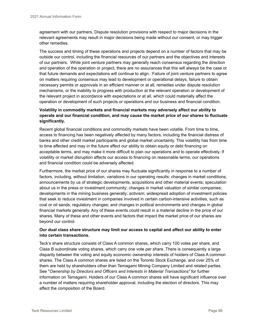agreement with our partners. Dispute resolution provisions with respect to major decisions in the relevant agreements may result in major decisions being made without our consent, or may trigger other remedies.

The success and timing of these operations and projects depend on a number of factors that may be outside our control, including the financial resources of our partners and the objectives and interests of our partners. While joint venture partners may generally reach consensus regarding the direction and operation of the operation or project, there are no assurances that this will always be the case or that future demands and expectations will continue to align. Failure of joint venture partners to agree on matters requiring consensus may lead to development or operational delays, failure to obtain necessary permits or approvals in an efficient manner or at all, remedies under dispute resolution mechanisms, or the inability to progress with production at the relevant operation or development of the relevant project in accordance with expectations or at all, which could materially affect the operation or development of such projects or operations and our business and financial condition.

## **Volatility in commodity markets and financial markets may adversely affect our ability to operate and our financial condition, and may cause the market price of our shares to fluctuate significantly.**

Recent global financial conditions and commodity markets have been volatile. From time to time, access to financing has been negatively affected by many factors, including the financial distress of banks and other credit market participants and global market uncertainty. This volatility has from time to time affected and may in the future affect our ability to obtain equity or debt financing on acceptable terms, and may make it more difficult to plan our operations and to operate effectively. If volatility or market disruption affects our access to financing on reasonable terms, our operations and financial condition could be adversely affected.

Furthermore, the market price of our shares may fluctuate significantly in response to a number of factors, including, without limitation, variations in our operating results; changes in market conditions; announcements by us of strategic developments, acquisitions and other material events; speculation about us in the press or investment community; changes in market valuation of similar companies; developments in the mining business generally; activism; widespread adoption of investment policies that seek to reduce investment in companies involved in certain carbon-intensive activities, such as coal or oil sands; regulatory changes; and changes in political environments and changes in global financial markets generally. Any of these events could result in a material decline in the price of our shares. Many of these and other events and factors that impact the market price of our shares are beyond our control.

## **Our dual class share structure may limit our access to capital and affect our ability to enter into certain transactions.**

Teck's share structure consists of Class A common shares, which carry 100 votes per share, and Class B subordinate voting shares, which carry one vote per share. There is consequently a large disparity between the voting and equity economic ownership interests of holders of Class A common shares. The Class A common shares are listed on the Toronto Stock Exchange, and over 25% of them are held by shareholders other than Temagami Mining Company Limited and related parties. See "*Ownership by Directors and Officers and Interests in Material Transactions"* for further information on Temagami. Holders of our Class A common shares will have significant influence over a number of matters requiring shareholder approval, including the election of directors. This may affect the composition of the Board.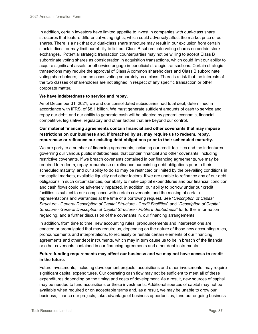In addition, certain investors have limited appetite to invest in companies with dual-class share structures that feature differential voting rights, which could adversely affect the market price of our shares. There is a risk that our dual-class share structure may result in our exclusion from certain stock indices, or may limit our ability to list our Class B subordinate voting shares on certain stock exchanges. Potential strategic transaction counterparties may not be willing to accept Class B subordinate voting shares as consideration in acquisition transactions, which could limit our ability to acquire significant assets or otherwise engage in beneficial strategic transactions. Certain strategic transactions may require the approval of Class A common shareholders and Class B subordinate voting shareholders, in some cases voting separately as a class. There is a risk that the interests of the two classes of shareholders are not aligned in respect of any specific transaction or other corporate matter.

#### **We have indebtedness to service and repay.**

As of December 31, 2021, we and our consolidated subsidiaries had total debt, determined in accordance with IFRS, of \$8.1 billion. We must generate sufficient amounts of cash to service and repay our debt, and our ability to generate cash will be affected by general economic, financial, competitive, legislative, regulatory and other factors that are beyond our control.

## **Our material financing agreements contain financial and other covenants that may impose restrictions on our business and, if breached by us, may require us to redeem, repay, repurchase or refinance our existing debt obligations prior to their scheduled maturity.**

We are party to a number of financing agreements, including our credit facilities and the indentures governing our various public indebtedness, that contain financial and other covenants, including restrictive covenants. If we breach covenants contained in our financing agreements, we may be required to redeem, repay, repurchase or refinance our existing debt obligations prior to their scheduled maturity, and our ability to do so may be restricted or limited by the prevailing conditions in the capital markets, available liquidity and other factors. If we are unable to refinance any of our debt obligations in such circumstances, our ability to make capital expenditures and our financial condition and cash flows could be adversely impacted. In addition, our ability to borrow under our credit facilities is subject to our compliance with certain covenants, and the making of certain representations and warranties at the time of a borrowing request. See "*Description of Capital Structure - General Description of Capital Structure - Credit Facilities*" and "*Description of Capital Structure - General Description of Capital Structure - Public Indebtedness*" for further information regarding, and a further discussion of the covenants in, our financing arrangements.

In addition, from time to time, new accounting rules, pronouncements and interpretations are enacted or promulgated that may require us, depending on the nature of those new accounting rules, pronouncements and interpretations, to reclassify or restate certain elements of our financing agreements and other debt instruments, which may in turn cause us to be in breach of the financial or other covenants contained in our financing agreements and other debt instruments.

## **Future funding requirements may affect our business and we may not have access to credit in the future.**

Future investments, including development projects, acquisitions and other investments, may require significant capital expenditures. Our operating cash flow may not be sufficient to meet all of these expenditures depending on the timing and costs of development. As a result, new sources of capital may be needed to fund acquisitions or these investments. Additional sources of capital may not be available when required or on acceptable terms and, as a result, we may be unable to grow our business, finance our projects, take advantage of business opportunities, fund our ongoing business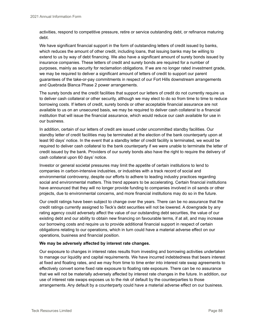activities, respond to competitive pressure, retire or service outstanding debt, or refinance maturing debt.

We have significant financial support in the form of outstanding letters of credit issued by banks, which reduces the amount of other credit, including loans, that issuing banks may be willing to extend to us by way of debt financing. We also have a significant amount of surety bonds issued by insurance companies. These letters of credit and surety bonds are required for a number of purposes, mainly as security for reclamation obligations. If we are no longer rated investment grade, we may be required to deliver a significant amount of letters of credit to support our parent guarantees of the take-or-pay commitments in respect of our Fort Hills downstream arrangements and Quebrada Blanca Phase 2 power arrangements.

The surety bonds and the credit facilities that support our letters of credit do not currently require us to deliver cash collateral or other security, although we may elect to do so from time to time to reduce borrowing costs. If letters of credit, surety bonds or other acceptable financial assurance are not available to us on an unsecured basis, we may be required to deliver cash collateral to a financial institution that will issue the financial assurance, which would reduce our cash available for use in our business.

In addition, certain of our letters of credit are issued under uncommitted standby facilities. Our standby letter of credit facilities may be terminated at the election of the bank counterparty upon at least 90 days' notice. In the event that a standby letter of credit facility is terminated, we would be required to deliver cash collateral to the bank counterparty if we were unable to terminate the letter of credit issued by the bank. Providers of our surety bonds also have the right to require the delivery of cash collateral upon 60 days' notice.

Investor or general societal pressures may limit the appetite of certain institutions to lend to companies in carbon-intensive industries, or industries with a track record of social and environmental controversy, despite our efforts to adhere to leading industry practices regarding social and environmental matters. This trend appears to be accelerating. Certain financial institutions have announced that they will no longer provide funding to companies involved in oil sands or other projects, due to environmental concerns, and more financial institutions may do so in the future.

Our credit ratings have been subject to change over the years. There can be no assurance that the credit ratings currently assigned to Teck's debt securities will not be lowered. A downgrade by any rating agency could adversely affect the value of our outstanding debt securities, the value of our existing debt and our ability to obtain new financing on favourable terms, if at all, and may increase our borrowing costs and require us to provide additional financial support in respect of certain obligations relating to our operations, which in turn could have a material adverse effect on our operations, business and financial position.

#### **We may be adversely affected by interest rate changes.**

Our exposure to changes in interest rates results from investing and borrowing activities undertaken to manage our liquidity and capital requirements. We have incurred indebtedness that bears interest at fixed and floating rates, and we may from time to time enter into interest rate swap agreements to effectively convert some fixed rate exposure to floating rate exposure. There can be no assurance that we will not be materially adversely affected by interest rate changes in the future. In addition, our use of interest rate swaps exposes us to the risk of default by the counterparties to those arrangements. Any default by a counterparty could have a material adverse effect on our business.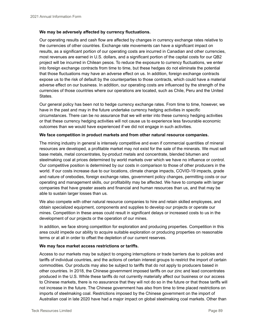#### **We may be adversely affected by currency fluctuations.**

Our operating results and cash flow are affected by changes in currency exchange rates relative to the currencies of other countries. Exchange rate movements can have a significant impact on results, as a significant portion of our operating costs are incurred in Canadian and other currencies, most revenues are earned in U.S. dollars, and a significant portion of the capital costs for our QB2 project will be incurred in Chilean pesos. To reduce the exposure to currency fluctuations, we enter into foreign exchange contracts from time to time, but these hedges do not eliminate the potential that those fluctuations may have an adverse effect on us. In addition, foreign exchange contracts expose us to the risk of default by the counterparties to those contracts, which could have a material adverse effect on our business. In addition, our operating costs are influenced by the strength of the currencies of those countries where our operations are located, such as Chile, Peru and the United States.

Our general policy has been not to hedge currency exchange rates. From time to time, however, we have in the past and may in the future undertake currency hedging activities in specific circumstances. There can be no assurance that we will enter into these currency hedging activities or that these currency hedging activities will not cause us to experience less favourable economic outcomes than we would have experienced if we did not engage in such activities.

#### **We face competition in product markets and from other natural resource companies.**

The mining industry in general is intensely competitive and even if commercial quantities of mineral resources are developed, a profitable market may not exist for the sale of the minerals. We must sell base metals, metal concentrates, by-product metals and concentrate, blended bitumen and steelmaking coal at prices determined by world markets over which we have no influence or control. Our competitive position is determined by our costs in comparison to those of other producers in the world. If our costs increase due to our locations, climate change impacts, COVID-19 impacts, grade and nature of orebodies, foreign exchange rates, government policy changes, permitting costs or our operating and management skills, our profitability may be affected. We have to compete with larger companies that have greater assets and financial and human resources than us, and that may be able to sustain larger losses than us.

We also compete with other natural resource companies to hire and retain skilled employees, and obtain specialized equipment, components and supplies to develop our projects or operate our mines. Competition in these areas could result in significant delays or increased costs to us in the development of our projects or the operation of our mines.

In addition, we face strong competition for exploration and producing properties. Competition in this area could impede our ability to acquire suitable exploration or producing properties on reasonable terms or at all in order to offset the depletion of our current reserves.

#### **We may face market access restrictions or tariffs.**

Access to our markets may be subject to ongoing interruptions or trade barriers due to policies and tariffs of individual countries, and the actions of certain interest groups to restrict the import of certain commodities. Our products may also be subject to tariffs that do not apply to producers based in other countries. In 2018, the Chinese government imposed tariffs on our zinc and lead concentrates produced in the U.S. While these tariffs do not currently materially affect our business or our access to Chinese markets, there is no assurance that they will not do so in the future or that those tariffs will not increase in the future. The Chinese government has also from time to time placed restrictions on imports of steelmaking coal. Restrictions imposed by the Chinese government on the import of Australian coal in late 2020 have had a major impact on global steelmaking coal markets. Other than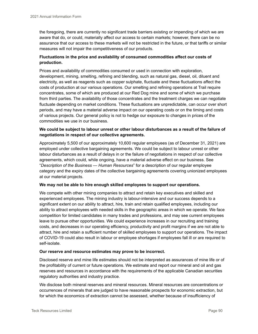the foregoing, there are currently no significant trade barriers existing or impending of which we are aware that do, or could, materially affect our access to certain markets; however, there can be no assurance that our access to these markets will not be restricted in the future, or that tariffs or similar measures will not impair the competitiveness of our products.

## **Fluctuations in the price and availability of consumed commodities affect our costs of production.**

Prices and availability of commodities consumed or used in connection with exploration, development, mining, smelting, refining and blending, such as natural gas, diesel, oil, diluent and electricity, as well as reagents such as copper sulphate, fluctuate and these fluctuations affect the costs of production at our various operations. Our smelting and refining operations at Trail require concentrates, some of which are produced at our Red Dog mine and some of which we purchase from third parties. The availability of those concentrates and the treatment charges we can negotiate fluctuate depending on market conditions. These fluctuations are unpredictable, can occur over short periods, and may have a material adverse impact on our operating costs or on the timing and costs of various projects. Our general policy is not to hedge our exposure to changes in prices of the commodities we use in our business.

## **We could be subject to labour unrest or other labour disturbances as a result of the failure of negotiations in respect of our collective agreements.**

Approximately 5,500 of our approximately 10,600 regular employees (as of December 31, 2021) are employed under collective bargaining agreements. We could be subject to labour unrest or other labour disturbances as a result of delays in or the failure of negotiations in respect of our collective agreements, which could, while ongoing, have a material adverse effect on our business. See "*Description of the Business — Human Resources*" for a description of our regular employee category and the expiry dates of the collective bargaining agreements covering unionized employees at our material projects.

#### **We may not be able to hire enough skilled employees to support our operations.**

We compete with other mining companies to attract and retain key executives and skilled and experienced employees. The mining industry is labour-intensive and our success depends to a significant extent on our ability to attract, hire, train and retain qualified employees, including our ability to attract employees with needed skills in the geographic areas in which we operate. We face competition for limited candidates in many trades and professions, and may see current employees leave to pursue other opportunities. We could experience increases in our recruiting and training costs, and decreases in our operating efficiency, productivity and profit margins if we are not able to attract, hire and retain a sufficient number of skilled employees to support our operations. The impact of COVID-19 could also result in labour or employee shortages if employees fall ill or are required to self-isolate.

#### **Our reserve and resource estimates may prove to be incorrect.**

Disclosed reserve and mine life estimates should not be interpreted as assurances of mine life or of the profitability of current or future operations. We estimate and report our mineral and oil and gas reserves and resources in accordance with the requirements of the applicable Canadian securities regulatory authorities and industry practice.

We disclose both mineral reserves and mineral resources. Mineral resources are concentrations or occurrences of minerals that are judged to have reasonable prospects for economic extraction, but for which the economics of extraction cannot be assessed, whether because of insufficiency of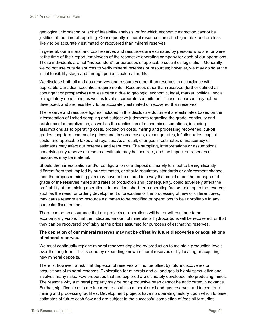geological information or lack of feasibility analysis, or for which economic extraction cannot be justified at the time of reporting. Consequently, mineral resources are of a higher risk and are less likely to be accurately estimated or recovered than mineral reserves.

In general, our mineral and coal reserves and resources are estimated by persons who are, or were at the time of their report, employees of the respective operating company for each of our operations. These individuals are not "independent" for purposes of applicable securities legislation. Generally, we do not use outside sources to verify mineral reserves or resources; however, we may do so at the initial feasibility stage and through periodic external audits.

We disclose both oil and gas reserves and resources other than reserves in accordance with applicable Canadian securities requirements. Resources other than reserves (further defined as contingent or prospective) are less certain due to geologic, economic, legal, market, political, social or regulatory conditions, as well as level of corporate commitment. These resources may not be developed, and are less likely to be accurately estimated or recovered than reserves.

The reserve and resource figures included in this disclosure document are estimates based on the interpretation of limited sampling and subjective judgments regarding the grade, continuity and existence of mineralization, as well as the application of economic assumptions, including assumptions as to operating costs, production costs, mining and processing recoveries, cut-off grades, long-term commodity prices and, in some cases, exchange rates, inflation rates, capital costs, and applicable taxes and royalties. As a result, changes in estimates or inaccuracy of estimates may affect our reserves and resources. The sampling, interpretations or assumptions underlying any reserve or resource estimate may be incorrect, and the impact on reserves or resources may be material.

Should the mineralization and/or configuration of a deposit ultimately turn out to be significantly different from that implied by our estimates, or should regulatory standards or enforcement change, then the proposed mining plan may have to be altered in a way that could affect the tonnage and grade of the reserves mined and rates of production and, consequently, could adversely affect the profitability of the mining operations. In addition, short-term operating factors relating to the reserves, such as the need for orderly development of orebodies or the processing of new or different ores, may cause reserve and resource estimates to be modified or operations to be unprofitable in any particular fiscal period.

There can be no assurance that our projects or operations will be, or will continue to be, economically viable, that the indicated amount of minerals or hydrocarbons will be recovered, or that they can be recovered profitably at the prices assumed for purposes of estimating reserves.

## **The depletion of our mineral reserves may not be offset by future discoveries or acquisitions of mineral reserves.**

We must continually replace mineral reserves depleted by production to maintain production levels over the long term. This is done by expanding known mineral reserves or by locating or acquiring new mineral deposits.

There is, however, a risk that depletion of reserves will not be offset by future discoveries or acquisitions of mineral reserves. Exploration for minerals and oil and gas is highly speculative and involves many risks. Few properties that are explored are ultimately developed into producing mines. The reasons why a mineral property may be non-productive often cannot be anticipated in advance. Further, significant costs are incurred to establish mineral or oil and gas reserves and to construct mining and processing facilities. Development projects have no operating history upon which to base estimates of future cash flow and are subject to the successful completion of feasibility studies,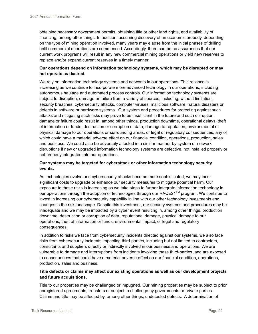obtaining necessary government permits, obtaining title or other land rights, and availability of financing, among other things. In addition, assuming discovery of an economic orebody, depending on the type of mining operation involved, many years may elapse from the initial phases of drilling until commercial operations are commenced. Accordingly, there can be no assurances that our current work programs will result in any new commercial mining operations or yield new reserves to replace and/or expand current reserves in a timely manner.

## **Our operations depend on information technology systems, which may be disrupted or may not operate as desired.**

We rely on information technology systems and networks in our operations. This reliance is increasing as we continue to incorporate more advanced technology in our operations, including autonomous haulage and automated process controls. Our information technology systems are subject to disruption, damage or failure from a variety of sources, including, without limitation, security breaches, cybersecurity attacks, computer viruses, malicious software, natural disasters or defects in software or hardware systems. Our system and procedures for protecting against such attacks and mitigating such risks may prove to be insufficient in the future and such disruption, damage or failure could result in, among other things, production downtime, operational delays, theft of information or funds, destruction or corruption of data, damage to reputation, environmental or physical damage to our operations or surrounding areas, or legal or regulatory consequences, any of which could have a material adverse effect on our financial condition, operations, production, sales and business. We could also be adversely affected in a similar manner by system or network disruptions if new or upgraded information technology systems are defective, not installed properly or not properly integrated into our operations.

## **Our systems may be targeted for cyberattack or other information technology security events.**

As technologies evolve and cybersecurity attacks become more sophisticated, we may incur significant costs to upgrade or enhance our security measures to mitigate potential harm. Our exposure to these risks is increasing as we take steps to further integrate information technology in our operations through the adoption of technologies through our RACE21™ program. We continue to invest in increasing our cybersecurity capability in line with our other technology investments and changes in the risk landscape. Despite this investment, our security systems and procedures may be inadequate and we may be impacted by a cyber event resulting in, among other things, production downtime, destruction or corruption of data, reputational damage, physical damage to our operations, theft of information or funds, environmental impact, or legal and regulatory consequences.

In addition to risks we face from cybersecurity incidents directed against our systems, we also face risks from cybersecurity incidents impacting third-parties, including but not limited to contractors, consultants and suppliers directly or indirectly involved in our business and operations. We are vulnerable to damage and interruptions from incidents involving these third-parties, and are exposed to consequences that could have a material adverse effect on our financial condition, operations, production, sales and business.

## **Title defects or claims may affect our existing operations as well as our development projects and future acquisitions.**

Title to our properties may be challenged or impugned. Our mining properties may be subject to prior unregistered agreements, transfers or subject to challenge by governments or private parties. Claims and title may be affected by, among other things, undetected defects. A determination of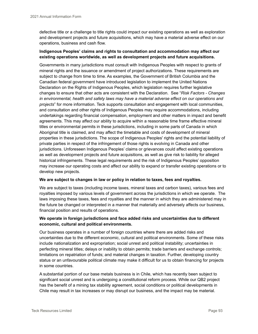defective title or a challenge to title rights could impact our existing operations as well as exploration and development projects and future acquisitions, which may have a material adverse effect on our operations, business and cash flow.

## **Indigenous Peoples' claims and rights to consultation and accommodation may affect our existing operations worldwide, as well as development projects and future acquisitions.**

Governments in many jurisdictions must consult with Indigenous Peoples with respect to grants of mineral rights and the issuance or amendment of project authorizations. These requirements are subject to change from time to time. As examples, the Government of British Columbia and the Canadian federal government have introduced legislation to implement the United Nations Declaration on the Rights of Indigenous Peoples, which legislation requires further legislative changes to ensure that other acts are consistent with the Declaration. See "*Risk Factors - Changes in environmental, health and safety laws may have a material adverse effect on our operations and projects*" for more information. Teck supports consultation and engagement with local communities, and consultation and other rights of Indigenous Peoples may require accommodations, including undertakings regarding financial compensation, employment and other matters in impact and benefit agreements. This may affect our ability to acquire within a reasonable time frame effective mineral titles or environmental permits in these jurisdictions, including in some parts of Canada in which Aboriginal title is claimed, and may affect the timetable and costs of development of mineral properties in these jurisdictions. The scope of Indigenous Peoples' rights and the potential liability of private parties in respect of the infringement of those rights is evolving in Canada and other jurisdictions. Unforeseen Indigenous Peoples' claims or grievances could affect existing operations as well as development projects and future acquisitions, as well as give risk to liability for alleged historical infringements. These legal requirements and the risk of Indigenous Peoples' opposition may increase our operating costs and affect our ability to expand or transfer existing operations or to develop new projects.

#### **We are subject to changes in law or policy in relation to taxes, fees and royalties.**

We are subject to taxes (including income taxes, mineral taxes and carbon taxes), various fees and royalties imposed by various levels of government across the jurisdictions in which we operate. The laws imposing these taxes, fees and royalties and the manner in which they are administered may in the future be changed or interpreted in a manner that materially and adversely affects our business, financial position and results of operations.

## **We operate in foreign jurisdictions and face added risks and uncertainties due to different economic, cultural and political environments.**

Our business operates in a number of foreign countries where there are added risks and uncertainties due to the different economic, cultural and political environments. Some of these risks include nationalization and expropriation; social unrest and political instability; uncertainties in perfecting mineral titles; delays or inability to obtain permits; trade barriers and exchange controls; limitations on repatriation of funds; and material changes in taxation. Further, developing country status or an unfavourable political climate may make it difficult for us to obtain financing for projects in some countries.

A substantial portion of our base metals business is in Chile, which has recently been subject to significant social unrest and is undergoing a constitutional reform process. While our QB2 project has the benefit of a mining tax stability agreement, social conditions or political developments in Chile may result in tax increases or may disrupt our business, and the impact may be material.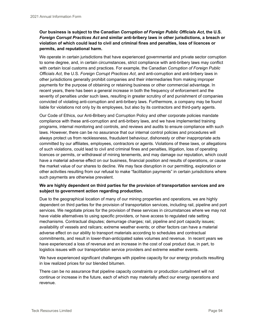## **Our business is subject to the Canadian** *Corruption of Foreign Public Officials Act***, the U.S.** *Foreign Corrupt Practices Act* **and similar anti-bribery laws in other jurisdictions, a breach or violation of which could lead to civil and criminal fines and penalties, loss of licences or permits, and reputational harm.**

We operate in certain jurisdictions that have experienced governmental and private sector corruption to some degree, and, in certain circumstances, strict compliance with anti-bribery laws may conflict with certain local customs and practices. For example, the Canadian *Corruption of Foreign Public Officials Act*, the U.S. *Foreign Corrupt Practices Act*, and anti-corruption and anti-bribery laws in other jurisdictions generally prohibit companies and their intermediaries from making improper payments for the purpose of obtaining or retaining business or other commercial advantage. In recent years, there has been a general increase in both the frequency of enforcement and the severity of penalties under such laws, resulting in greater scrutiny of and punishment of companies convicted of violating anti-corruption and anti-bribery laws. Furthermore, a company may be found liable for violations not only by its employees, but also by its contractors and third-party agents.

Our Code of Ethics, our Anti-Bribery and Corruption Policy and other corporate policies mandate compliance with these anti-corruption and anti-bribery laws, and we have implemented training programs, internal monitoring and controls, and reviews and audits to ensure compliance with such laws. However, there can be no assurance that our internal control policies and procedures will always protect us from recklessness, fraudulent behaviour, dishonesty or other inappropriate acts committed by our affiliates, employees, contractors or agents. Violations of these laws, or allegations of such violations, could lead to civil and criminal fines and penalties, litigation, loss of operating licences or permits, or withdrawal of mining tenements, and may damage our reputation, which could have a material adverse effect on our business, financial position and results of operations, or cause the market value of our shares to decline. We may face disruption in our permitting, exploration or other activities resulting from our refusal to make "facilitation payments" in certain jurisdictions where such payments are otherwise prevalent.

## **We are highly dependent on third parties for the provision of transportation services and are subject to government action regarding production.**

Due to the geographical location of many of our mining properties and operations, we are highly dependent on third parties for the provision of transportation services, including rail, pipeline and port services. We negotiate prices for the provision of these services in circumstances where we may not have viable alternatives to using specific providers, or have access to regulated rate setting mechanisms. Contractual disputes; demurrage charges; rail, pipeline and port capacity issues; availability of vessels and railcars; extreme weather events; or other factors can have a material adverse effect on our ability to transport materials according to schedules and contractual commitments, and result in lower-than-anticipated sales volumes and revenue. In recent years we have experienced a loss of revenue and an increase in the cost of coal product due, in part, to logistics issues with our transportation service providers and extreme weather events.

We have experienced significant challenges with pipeline capacity for our energy products resulting in low realized prices for our blended bitumen.

There can be no assurance that pipeline capacity constraints or production curtailment will not continue or increase in the future, each of which may materially affect our energy operations and revenue.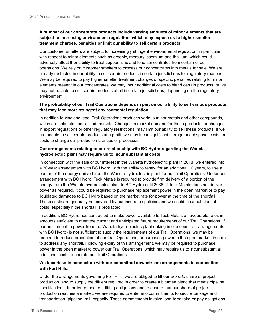## **A number of our concentrate products include varying amounts of minor elements that are subject to increasing environment regulation, which may expose us to higher smelter treatment charges, penalties or limit our ability to sell certain products.**

Our customer smelters are subject to increasingly stringent environmental regulation, in particular with respect to minor elements such as arsenic, mercury, cadmium and thallium, which could adversely affect their ability to treat copper, zinc and lead concentrates from certain of our operations. We rely on customer smelters to process our concentrates into metals for sale. We are already restricted in our ability to sell certain products in certain jurisdictions for regulatory reasons. We may be required to pay higher smelter treatment charges or specific penalties relating to minor elements present in our concentrates, we may incur additional costs to blend certain products, or we may not be able to sell certain products at all in certain jurisdictions, depending on the regulatory environment.

#### **The profitability of our Trail Operations depends in part on our ability to sell various products that may face more stringent environmental regulation.**

In addition to zinc and lead, Trail Operations produces various minor metals and other compounds, which are sold into specialized markets. Changes in market demand for these products, or changes in export regulations or other regulatory restrictions, may limit our ability to sell these products. If we are unable to sell certain products at a profit, we may incur significant storage and disposal costs, or costs to change our production facilities or processes.

## **Our arrangements relating to our relationship with BC Hydro regarding the Waneta hydroelectric plant may require us to incur substantial costs.**

In connection with the sale of our interest in the Waneta hydroelectric plant in 2018, we entered into a 20-year arrangement with BC Hydro, with the ability to renew for an additional 10 years, to use a portion of the energy derived from the Waneta hydroelectric plant for our Trail Operations. Under our arrangement with BC Hydro, Teck Metals is required to provide firm delivery of a portion of the energy from the Waneta hydroelectric plant to BC Hydro until 2036. If Teck Metals does not deliver power as required, it could be required to purchase replacement power in the open market or to pay liquidated damages to BC Hydro based on the market rate for power at the time of the shortfall. These costs are generally not covered by our insurance policies and we could incur substantial costs, especially if the shortfall is protracted.

In addition, BC Hydro has contracted to make power available to Teck Metals at favourable rates in amounts sufficient to meet the current and anticipated future requirements of our Trail Operations. If our entitlement to power from the Waneta hydroelectric plant (taking into account our arrangements with BC Hydro) is not sufficient to supply the requirements of our Trail Operations, we may be required to reduce production at our Trail Operations, or purchase power in the open market, in order to address any shortfall. Following expiry of this arrangement, we may be required to purchase power in the open market to power our Trail Operations, which may require us to incur substantial additional costs to operate our Trail Operations.

## **We face risks in connection with our committed downstream arrangements in connection with Fort Hills.**

Under the arrangements governing Fort Hills, we are obliged to lift our *pro rata* share of project production, and to supply the diluent required in order to create a bitumen blend that meets pipeline specifications. In order to meet our lifting obligations and to ensure that our share of project production reaches a market, we are required to enter into commitments to secure tankage and transportation (pipeline, rail) capacity. These commitments involve long-term take-or-pay obligations.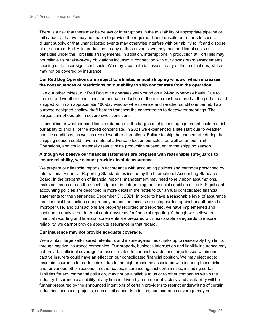There is a risk that there may be delays or interruptions in the availability of appropriate pipeline or rail capacity, that we may be unable to provide the required diluent despite our efforts to secure diluent supply, or that unanticipated events may otherwise interfere with our ability to lift and dispose of our share of Fort Hills production. In any of these events, we may face additional costs or penalties under the Fort Hills arrangements. In addition, interruptions in production at Fort Hills may not relieve us of take-or-pay obligations incurred in connection with our downstream arrangements, causing us to incur significant costs. We may face material losses in any of these situations, which may not be covered by insurance.

#### **Our Red Dog Operations are subject to a limited annual shipping window, which increases the consequences of restrictions on our ability to ship concentrate from the operation.**

Like our other mines, our Red Dog mine operates year-round on a 24-hour-per-day basis. Due to sea ice and weather conditions, the annual production of the mine must be stored at the port site and shipped within an approximate 100-day window when sea ice and weather conditions permit. Two purpose-designed shallow draft barges transport the concentrates to deepwater moorings. The barges cannot operate in severe swell conditions.

Unusual ice or weather conditions, or damage to the barges or ship loading equipment could restrict our ability to ship all of the stored concentrate. In 2021 we experienced a late start due to weather and ice conditions, as well as record weather disruptions. Failure to ship the concentrate during the shipping season could have a material adverse effect on our sales, as well as on our Trail Operations, and could materially restrict mine production subsequent to the shipping season.

#### **Although we believe our financial statements are prepared with reasonable safeguards to ensure reliability, we cannot provide absolute assurance.**

We prepare our financial reports in accordance with accounting policies and methods prescribed by International Financial Reporting Standards as issued by the International Accounting Standards Board. In the preparation of financial reports, management may need to rely upon assumptions, make estimates or use their best judgment in determining the financial condition of Teck. Significant accounting policies are described in more detail in the notes to our annual consolidated financial statements for the year ended December 31, 2021. In order to have a reasonable level of assurance that financial transactions are properly authorized, assets are safeguarded against unauthorized or improper use, and transactions are properly recorded and reported, we have implemented and continue to analyze our internal control systems for financial reporting. Although we believe our financial reporting and financial statements are prepared with reasonable safeguards to ensure reliability, we cannot provide absolute assurance in that regard.

#### **Our insurance may not provide adequate coverage.**

We maintain large self-insured retentions and insure against most risks up to reasonably high limits through captive insurance companies. Our property, business interruption and liability insurance may not provide sufficient coverage for losses related to certain hazards, and large losses within our captive insurers could have an effect on our consolidated financial position. We may elect not to maintain insurance for certain risks due to the high premiums associated with insuring those risks and for various other reasons. In other cases, insurance against certain risks, including certain liabilities for environmental pollution, may not be available to us or to other companies within the industry. Insurance availability at any time is driven by a number of factors, and availability will be further pressured by the announced intentions of certain providers to restrict underwriting of certain industries, assets or projects, such as oil sands. In addition, our insurance coverage may not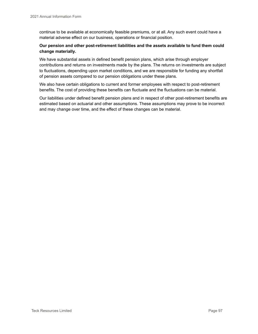continue to be available at economically feasible premiums, or at all. Any such event could have a material adverse effect on our business, operations or financial position.

#### **Our pension and other post-retirement liabilities and the assets available to fund them could change materially.**

We have substantial assets in defined benefit pension plans, which arise through employer contributions and returns on investments made by the plans. The returns on investments are subject to fluctuations, depending upon market conditions, and we are responsible for funding any shortfall of pension assets compared to our pension obligations under these plans.

We also have certain obligations to current and former employees with respect to post-retirement benefits. The cost of providing these benefits can fluctuate and the fluctuations can be material.

Our liabilities under defined benefit pension plans and in respect of other post-retirement benefits are estimated based on actuarial and other assumptions. These assumptions may prove to be incorrect and may change over time, and the effect of these changes can be material.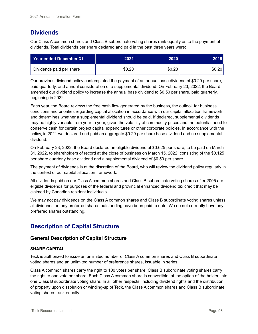# **Dividends**

Our Class A common shares and Class B subordinate voting shares rank equally as to the payment of dividends. Total dividends per share declared and paid in the past three years were:

| <b>Year ended December 31</b> | 2021   | 2020   | 2019   |
|-------------------------------|--------|--------|--------|
| Dividends paid per share      | \$0.20 | \$0.20 | \$0.20 |

Our previous dividend policy contemplated the payment of an annual base dividend of \$0.20 per share, paid quarterly, and annual consideration of a supplemental dividend. On February 23, 2022, the Board amended our dividend policy to increase the annual base dividend to \$0.50 per share, paid quarterly, beginning in 2022.

Each year, the Board reviews the free cash flow generated by the business, the outlook for business conditions and priorities regarding capital allocation in accordance with our capital allocation framework, and determines whether a supplemental dividend should be paid. If declared, supplemental dividends may be highly variable from year to year, given the volatility of commodity prices and the potential need to conserve cash for certain project capital expenditures or other corporate policies. In accordance with the policy, in 2021 we declared and paid an aggregate \$0.20 per share base dividend and no supplemental dividend.

On February 23, 2022, the Board declared an eligible dividend of \$0.625 per share, to be paid on March 31, 2022, to shareholders of record at the close of business on March 15, 2022, consisting of the \$0.125 per share quarterly base dividend and a supplemental dividend of \$0.50 per share.

The payment of dividends is at the discretion of the Board, who will review the dividend policy regularly in the context of our capital allocation framework.

All dividends paid on our Class A common shares and Class B subordinate voting shares after 2005 are eligible dividends for purposes of the federal and provincial enhanced dividend tax credit that may be claimed by Canadian resident individuals.

We may not pay dividends on the Class A common shares and Class B subordinate voting shares unless all dividends on any preferred shares outstanding have been paid to date. We do not currently have any preferred shares outstanding.

# **Description of Capital Structure**

## **General Description of Capital Structure**

## **SHARE CAPITAL**

Teck is authorized to issue an unlimited number of Class A common shares and Class B subordinate voting shares and an unlimited number of preference shares, issuable in series.

Class A common shares carry the right to 100 votes per share. Class B subordinate voting shares carry the right to one vote per share. Each Class A common share is convertible, at the option of the holder, into one Class B subordinate voting share. In all other respects, including dividend rights and the distribution of property upon dissolution or winding-up of Teck, the Class A common shares and Class B subordinate voting shares rank equally.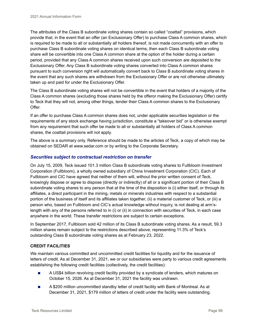The attributes of the Class B subordinate voting shares contain so called "coattail" provisions, which provide that, in the event that an offer (an Exclusionary Offer) to purchase Class A common shares, which is required to be made to all or substantially all holders thereof, is not made concurrently with an offer to purchase Class B subordinate voting shares on identical terms, then each Class B subordinate voting share will be convertible into one Class A common share at the option of the holder during a certain period, provided that any Class A common shares received upon such conversion are deposited to the Exclusionary Offer. Any Class B subordinate voting shares converted into Class A common shares pursuant to such conversion right will automatically convert back to Class B subordinate voting shares in the event that any such shares are withdrawn from the Exclusionary Offer or are not otherwise ultimately taken up and paid for under the Exclusionary Offer.

The Class B subordinate voting shares will not be convertible in the event that holders of a majority of the Class A common shares (excluding those shares held by the offeror making the Exclusionary Offer) certify to Teck that they will not, among other things, tender their Class A common shares to the Exclusionary Offer.

If an offer to purchase Class A common shares does not, under applicable securities legislation or the requirements of any stock exchange having jurisdiction, constitute a "takeover bid" or is otherwise exempt from any requirement that such offer be made to all or substantially all holders of Class A common shares, the coattail provisions will not apply.

The above is a summary only. Reference should be made to the articles of Teck, a copy of which may be obtained on SEDAR at www.sedar.com or by writing to the Corporate Secretary.

## *Securities subject to contractual restriction on transfer*

On July 15, 2009, Teck issued 101.3 million Class B subordinate voting shares to Fullbloom Investment Corporation (Fullbloom), a wholly owned subsidiary of China Investment Corporation (CIC). Each of Fullbloom and CIC have agreed that neither of them will, without the prior written consent of Teck, knowingly dispose or agree to dispose (directly or indirectly) of all or a significant portion of their Class B subordinate voting shares to any person that at the time of the disposition is (i) either itself, or through its affiliates, a direct participant in the mining, metals or minerals industries with respect to a substantial portion of the business of itself and its affiliates taken together, (ii) a material customer of Teck, or (iii) a person who, based on Fullbloom and CIC's actual knowledge without inquiry, is not dealing at arm'slength with any of the persons referred to in (i) or (ii) in connection with securities of Teck, in each case anywhere in the world. These transfer restrictions are subject to certain exceptions.

In September 2017, Fullbloom sold 42 million of its Class B subordinate voting shares. As a result, 59.3 million shares remain subject to the restrictions described above, representing 11.3% of Teck's outstanding Class B subordinate voting shares as at February 23, 2022.

## **CREDIT FACILITIES**

We maintain various committed and uncommitted credit facilities for liquidity and for the issuance of letters of credit. As at December 31, 2021, we or our subsidiaries were party to various credit agreements establishing the following credit facilities (collectively, the credit facilities):

- A US\$4 billion revolving credit facility provided by a syndicate of lenders, which matures on October 15, 2026. As at December 31, 2021 the facility was undrawn.
- A \$200 million uncommitted standby letter of credit facility with Bank of Montreal. As at December 31, 2021, \$179 million of letters of credit under the facility were outstanding.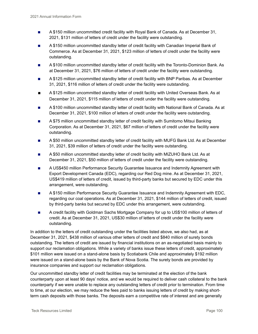- A \$150 million uncommitted credit facility with Royal Bank of Canada. As at December 31, 2021, \$131 million of letters of credit under the facility were outstanding.
- A \$150 million uncommitted standby letter of credit facility with Canadian Imperial Bank of Commerce. As at December 31, 2021, \$123 million of letters of credit under the facility were outstanding.
- A \$100 million uncommitted standby letter of credit facility with the Toronto-Dominion Bank. As at December 31, 2021, \$76 million of letters of credit under the facility were outstanding.
- A \$125 million uncommitted standby letter of credit facility with BNP Paribas. As at December 31, 2021, \$116 million of letters of credit under the facility were outstanding.
- A \$125 million uncommitted standby letter of credit facility with United Overseas Bank. As at December 31, 2021, \$115 million of letters of credit under the facility were outstanding.
- A \$100 million uncommitted standby letter of credit facility with National Bank of Canada. As at December 31, 2021, \$100 million of letters of credit under the facility were outstanding.
- A \$75 million uncommitted standby letter of credit facility with Sumitomo Mitsui Banking Corporation. As at December 31, 2021, \$67 million of letters of credit under the facility were outstanding.
- A \$50 million uncommitted standby letter of credit facility with MUFG Bank Ltd. As at December 31, 2021, \$39 million of letters of credit under the facility were outstanding.
- A \$50 million uncommitted standby letter of credit facility with MIZUHO Bank Ltd. As at December 31, 2021, \$50 million of letters of credit under the facility were outstanding.
- A US\$450 million Performance Security Guarantee Issuance and Indemnity Agreement with Export Development Canada (EDC), regarding our Red Dog mine. As at December 31, 2021, US\$419 million of letters of credit, issued by third-party banks but secured by EDC under this arrangement, were outstanding.
- A \$150 million Performance Security Guarantee Issuance and Indemnity Agreement with EDC, regarding our coal operations. As at December 31, 2021, \$144 million of letters of credit, issued by third-party banks but secured by EDC under this arrangement, were outstanding.
- A credit facility with Goldman Sachs Mortgage Company for up to US\$100 million of letters of credit. As at December 31, 2021, US\$30 million of letters of credit under the facility were outstanding.

In addition to the letters of credit outstanding under the facilities listed above, we also had, as at December 31, 2021, \$438 million of various other letters of credit and \$840 million of surety bonds outstanding. The letters of credit are issued by financial institutions on an as-negotiated basis mainly to support our reclamation obligations. While a variety of banks issue these letters of credit, approximately \$101 million were issued on a stand-alone basis by Scotiabank Chile and approximately \$192 million were issued on a stand-alone basis by the Bank of Nova Scotia. The surety bonds are provided by insurance companies and support our reclamation obligations.

Our uncommitted standby letter of credit facilities may be terminated at the election of the bank counterparty upon at least 90 days' notice, and we would be required to deliver cash collateral to the bank counterparty if we were unable to replace any outstanding letters of credit prior to termination. From time to time, at our election, we may reduce the fees paid to banks issuing letters of credit by making shortterm cash deposits with those banks. The deposits earn a competitive rate of interest and are generally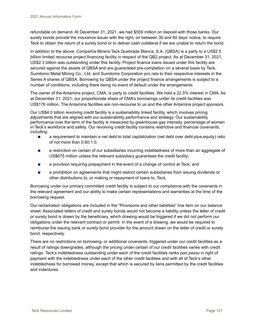refundable on demand. At December 31, 2021, we had \$559 million on deposit with those banks. Our surety bonds provide the insurance issuer with the right, on between 30 and 60 days' notice, to require Teck to obtain the return of a surety bond or to deliver cash collateral if we are unable to return the bond.

In addition to the above, Compañía Minera Teck Quebrada Blanca, S.A. (QBSA) is a party to a US\$2.5 billion limited recourse project financing facility in respect of the QB2 project. As at December 31, 2021, US\$2.3 billion was outstanding under this facility. Project finance loans issued under this facility are secured against the assets of QBSA and are guaranteed pre-completion on a several basis by Teck, Sumitomo Metal Mining Co., Ltd. and Sumitomo Corporation *pro rata* to their respective interests in the Series A shares of QBSA. Borrowing by QBSA under the project finance arrangements is subject to a number of conditions, including there being no event of default under the arrangements.

The owner of the Antamina project, CMA, is party to credit facilities. We hold a 22.5% interest in CMA. As at December 31, 2021, our proportionate share of CMA's borrowings under its credit facilities was US\$176 million. The Antamina facilities are non-recourse to us and the other Antamina project sponsors.

Our US\$4.0 billion revolving credit facility is a sustainability linked facility, which involves pricing adjustments that are aligned with our sustainability performance and strategy. Our sustainability performance over the term of the facility is measured by greenhouse gas intensity, percentage of women in Teck's workforce and safety. Our revolving credit facility contains restrictive and financial covenants, including:

- a requirement to maintain a net debt to total capitalization (net debt over debt-plus-equity) ratio of not more than 0.60:1.0;
- a restriction on certain of our subsidiaries incurring indebtedness of more than an aggregate of US\$675 million unless the relevant subsidiary guarantees the credit facility;
- a provision requiring prepayment in the event of a change of control at Teck; and
- a prohibition on agreements that might restrict certain subsidiaries from issuing dividends or other distributions to, or making or repayment of loans to, Teck.

Borrowing under our primary committed credit facility is subject to our compliance with the covenants in the relevant agreement and our ability to make certain representations and warranties at the time of the borrowing request.

Our reclamation obligations are included in the "Provisions and other liabilities" line item on our balance sheet. Associated letters of credit and surety bonds would not become a liability unless the letter of credit or surety bond is drawn by the beneficiary, which drawing would be triggered if we did not perform our obligations under the relevant contract or permit. In the event of a drawing, we would be required to reimburse the issuing bank or surety bond provider for the amount drawn on the letter of credit or surety bond, respectively.

There are no restrictions on borrowing, or additional covenants, triggered under our credit facilities as a result of ratings downgrades, although the pricing under certain of our credit facilities varies with credit ratings. Teck's indebtedness outstanding under each of the credit facilities ranks *pari passu* in right of payment with the indebtedness under each of the other credit facilities and with all of Teck's other indebtedness for borrowed money, except that which is secured by liens permitted by the credit facilities and indentures.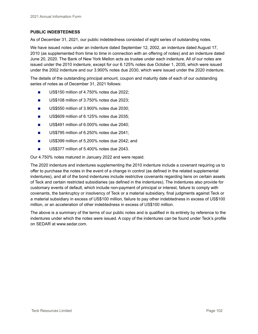#### **PUBLIC INDEBTEDNESS**

As of December 31, 2021, our public indebtedness consisted of eight series of outstanding notes.

We have issued notes under an indenture dated September 12, 2002, an indenture dated August 17, 2010 (as supplemented from time to time in connection with an offering of notes) and an indenture dated June 20, 2020. The Bank of New York Mellon acts as trustee under each indenture. All of our notes are issued under the 2010 indenture, except for our 6.125% notes due October 1, 2035, which were issued under the 2002 indenture and our 3.900% notes due 2030, which were issued under the 2020 indenture.

The details of the outstanding principal amount, coupon and maturity date of each of our outstanding series of notes as of December 31, 2021 follows:

- US\$150 million of 4.750% notes due 2022;
- US\$108 million of 3.750% notes due 2023;
- US\$550 million of 3.900% notes due 2030;
- US\$609 million of 6.125% notes due 2035;
- US\$491 million of 6.000% notes due 2040;
- US\$795 million of 6.250% notes due 2041;
- US\$399 million of 5.200% notes due 2042; and
- US\$377 million of 5.400% notes due 2043.

Our 4.750% notes matured in January 2022 and were repaid.

The 2020 indenture and indentures supplementing the 2010 indenture include a covenant requiring us to offer to purchase the notes in the event of a change in control (as defined in the related supplemental indentures), and all of the bond indentures include restrictive covenants regarding liens on certain assets of Teck and certain restricted subsidiaries (as defined in the indentures). The indentures also provide for customary events of default, which include non-payment of principal or interest, failure to comply with covenants, the bankruptcy or insolvency of Teck or a material subsidiary, final judgments against Teck or a material subsidiary in excess of US\$100 million, failure to pay other indebtedness in excess of US\$100 million, or an acceleration of other indebtedness in excess of US\$100 million.

The above is a summary of the terms of our public notes and is qualified in its entirety by reference to the indentures under which the notes were issued. A copy of the indentures can be found under Teck's profile on SEDAR at www.sedar.com.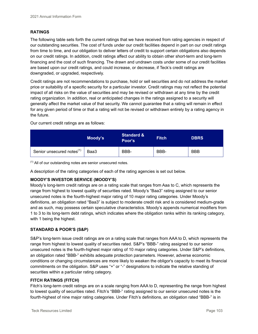#### **RATINGS**

The following table sets forth the current ratings that we have received from rating agencies in respect of our outstanding securities. The cost of funds under our credit facilities depend in part on our credit ratings from time to time, and our obligation to deliver letters of credit to support certain obligations also depends on our credit ratings. In addition, credit ratings affect our ability to obtain other short-term and long-term financing and the cost of such financing. The drawn and undrawn costs under some of our credit facilities are based upon our credit ratings, and could increase, or decrease, if Teck's credit ratings are downgraded, or upgraded, respectively.

Credit ratings are not recommendations to purchase, hold or sell securities and do not address the market price or suitability of a specific security for a particular investor. Credit ratings may not reflect the potential impact of all risks on the value of securities and may be revised or withdrawn at any time by the credit rating organization. In addition, real or anticipated changes in the ratings assigned to a security will generally affect the market value of that security. We cannot guarantee that a rating will remain in effect for any given period of time or that a rating will not be revised or withdrawn entirely by a rating agency in the future.

Our current credit ratings are as follows:

|                                       | Moody's | <b>Standard &amp;</b><br>Poor's | <b>Fitch</b> | <b>DBRS</b> |
|---------------------------------------|---------|---------------------------------|--------------|-------------|
| Senior unsecured notes <sup>(1)</sup> | Baa3    | BBB-                            | BBB-         | <b>BBB</b>  |

 $<sup>(1)</sup>$  All of our outstanding notes are senior unsecured notes.</sup>

A description of the rating categories of each of the rating agencies is set out below.

#### **MOODY'S INVESTOR SERVICE (MOODY'S)**

Moody's long-term credit ratings are on a rating scale that ranges from Aaa to C, which represents the range from highest to lowest quality of securities rated. Moody's "Baa3" rating assigned to our senior unsecured notes is the fourth-highest major rating of 10 major rating categories. Under Moody's definitions, an obligation rated "Baa3" is subject to moderate credit risk and is considered medium-grade and as such, may possess certain speculative characteristics. Moody's appends numerical modifiers from 1 to 3 to its long-term debt ratings, which indicates where the obligation ranks within its ranking category, with 1 being the highest.

#### **STANDARD & POOR'S (S&P)**

S&P's long-term issue credit ratings are on a rating scale that ranges from AAA to D, which represents the range from highest to lowest quality of securities rated. S&P's "BBB-" rating assigned to our senior unsecured notes is the fourth-highest major rating of 10 major rating categories. Under S&P's definitions, an obligation rated "BBB-" exhibits adequate protection parameters. However, adverse economic conditions or changing circumstances are more likely to weaken the obligor's capacity to meet its financial commitments on the obligation. S&P uses "+" or "-" designations to indicate the relative standing of securities within a particular rating category.

#### **FITCH RATINGS (FITCH)**

Fitch's long-term credit ratings are on a scale ranging from AAA to D, representing the range from highest to lowest quality of securities rated. Fitch's "BBB-" rating assigned to our senior unsecured notes is the fourth-highest of nine major rating categories. Under Fitch's definitions, an obligation rated "BBB-" is in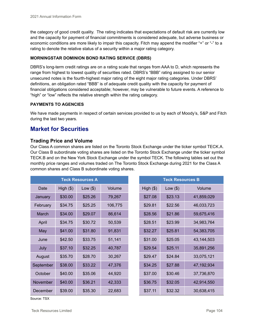the category of good credit quality. The rating indicates that expectations of default risk are currently low and the capacity for payment of financial commitments is considered adequate, but adverse business or economic conditions are more likely to impair this capacity. Fitch may append the modifier "+" or "-" to a rating to denote the relative status of a security within a major rating category.

## **MORNINGSTAR DOMINION BOND RATING SERVICE (DBRS)**

DBRS's long-term credit ratings are on a rating scale that ranges from AAA to D, which represents the range from highest to lowest quality of securities rated. DBRS's "BBB" rating assigned to our senior unsecured notes is the fourth-highest major rating of the eight major rating categories. Under DBRS' definitions, an obligation rated "BBB" is of adequate credit quality with the capacity for payment of financial obligations considered acceptable; however, may be vulnerable to future events. A reference to "high" or "low" reflects the relative strength within the rating category.

#### **PAYMENTS TO AGENCIES**

We have made payments in respect of certain services provided to us by each of Moody's, S&P and Fitch during the last two years.

# **Market for Securities**

## **Trading Price and Volume**

Our Class A common shares are listed on the Toronto Stock Exchange under the ticker symbol TECK.A. Our Class B subordinate voting shares are listed on the Toronto Stock Exchange under the ticker symbol TECK.B and on the New York Stock Exchange under the symbol TECK. The following tables set out the monthly price ranges and volumes traded on The Toronto Stock Exchange during 2021 for the Class A common shares and Class B subordinate voting shares.

|                 |           | <b>Teck Resources A</b> |         | <b>Teck Resources B</b> |            |            |
|-----------------|-----------|-------------------------|---------|-------------------------|------------|------------|
| Date            | High (\$) | Low $(\$)$              | Volume  | High (\$)               | Low $(\$)$ | Volume     |
| January         | \$30.00   | \$25.26                 | 79,267  | \$27.08                 | \$23.13    | 41,859,029 |
| February        | \$34.75   | \$25.25                 | 106,775 | \$29.81                 | \$22.56    | 46,033,723 |
| March           | \$34.00   | \$29.07                 | 86,614  | \$28.56                 | \$21.86    | 59,675,416 |
| April           | \$34.75   | \$30.72                 | 50,539  | \$28.51                 | \$23.99    | 34,983,764 |
| May             | \$41.00   | \$31.80                 | 91,831  | \$32.27                 | \$25.81    | 54,383,705 |
| June            | \$42.50   | \$33.75                 | 51,141  | \$31.00                 | \$25.05    | 43,144,503 |
| July            | \$37.10   | \$32.25                 | 40,787  | \$29.54                 | \$25.11    | 35,891,256 |
| August          | \$35.70   | \$28.70                 | 30,267  | \$29.47                 | \$24.84    | 33,075,121 |
| September       | \$38.00   | \$33.22                 | 47,376  | \$34.25                 | \$27.88    | 47,192,934 |
| October         | \$40.00   | \$35.06                 | 44,920  | \$37.00                 | \$30.46    | 37,736,870 |
| <b>November</b> | \$40.00   | \$36.21                 | 42,333  | \$36.75                 | \$32.05    | 42,914,550 |
| December        | \$39.00   | \$35.30                 | 22,683  | \$37.11                 | \$32.32    | 30,638,415 |

Source: TSX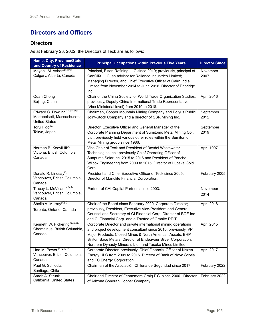# **Directors and Officers**

## **Directors**

As at February 23, 2022, the Directors of Teck are as follows:

| Name, City, Province/State<br>and Country of Residence | <b>Principal Occupations within Previous Five Years</b>            | <b>Director Since</b> |
|--------------------------------------------------------|--------------------------------------------------------------------|-----------------------|
| Mayank M. Ashar <sup>(2)(3)(6)</sup>                   | Principal, Bison Refining LLC since 2019; previously, principal of | November              |
| Calgary, Alberta, Canada                               | CanOilX LLC; an advisor for Reliance Industries Limited;           | 2007                  |
|                                                        | Managing Director, and Chief Executive Officer of Cairn India      |                       |
|                                                        | Limited from November 2014 to June 2016. Director of Enbridge      |                       |
|                                                        | Inc.                                                               |                       |
| Quan Chong                                             | Chair of the China Society for World Trade Organization Studies;   | April 2016            |
| Beijing, China                                         | previously, Deputy China International Trade Representative        |                       |
|                                                        | (Vice-Ministerial level) from 2010 to 2018.                        |                       |
| Edward C. Dowling <sup>(1)(3)(4)(6)</sup>              | Chairman, Copper Mountain Mining Company and Polyus Public         | September             |
| Mattapoisett, Massachusetts,                           | Joint-Stock Company and a director of SSR Mining Inc.              | 2012                  |
| <b>United States</b>                                   |                                                                    |                       |
| Toru Higo <sup>(5)</sup>                               | Director, Executive Officer and General Manager of the             | September             |
| Tokyo, Japan                                           | Corporate Planning Department of Sumitomo Metal Mining Co.,        | 2019                  |
|                                                        | Ltd.; previously held various other roles within the Sumitomo      |                       |
|                                                        | Metal Mining group since 1986.                                     |                       |
| Norman B. Keevil III <sup>(1)</sup>                    | Vice Chair of Teck and President of Boydel Wastewater              | April 1997            |
| Victoria, British Columbia,<br>Canada                  | Technologies Inc.; previously Chief Operating Officer of           |                       |
|                                                        | Sunpump Solar Inc. 2015 to 2016 and President of Poncho            |                       |
|                                                        | Wilcox Engineering from 2009 to 2015. Director of Lupaka Gold      |                       |
| Donald R. Lindsay <sup>(1)</sup>                       | Corp.<br>President and Chief Executive Officer of Teck since 2005. | February 2005         |
| Vancouver, British Columbia,                           | Director of Manulife Financial Corporation.                        |                       |
| Canada                                                 |                                                                    |                       |
| Tracey L. McVicar <sup>(1)(2)(5)</sup>                 | Partner of CAI Capital Partners since 2003.                        | November              |
| Vancouver, British Columbia,                           |                                                                    | 2014                  |
| Canada                                                 |                                                                    |                       |
| Sheila A. Murray <sup>(1)(4)</sup>                     | Chair of the Board since February 2020. Corporate Director;        | April 2018            |
| Toronto, Ontario, Canada                               | previously, President, Executive Vice-President and General        |                       |
|                                                        | Counsel and Secretary of CI Financial Corp. Director of BCE Inc.   |                       |
|                                                        | and CI Financial Corp. and a Trustee of Granite REIT.              |                       |
| Kenneth W. Pickering <sup>(3)(5)(6)</sup>              | Corporate Director and private international mining operations     | April 2015            |
| Chemainus, British Columbia,                           | and project development consultant since 2010; previously, VP      |                       |
| Canada                                                 | Major Products, Closed Mines & North American Assets, BHP          |                       |
|                                                        | Billiton Base Metals; Director of Endeavour Silver Corporation,    |                       |
|                                                        | Northern Dynasty Minerals Ltd., and Taseko Mines Limited.          |                       |
| Una M. Power (1)(2)(3)(4)                              | Corporate Director; previously, Chief Financial Officer of Nexen   | April 2017            |
| Vancouver, British Columbia,                           | Energy ULC from 2009 to 2016. Director of Bank of Nova Scotia      |                       |
| Canada                                                 | and TC Energy Corporation.                                         |                       |
| Paul G. Schiodtz                                       | Chairman of the Asociación Chilena de Seguridad since 2017         | February 2022         |
| Santiago, Chile                                        |                                                                    |                       |
| Sarah A. Strunk                                        | Chair and Director of Fennemore Craig P.C. since 2000. Director    | February 2022         |
| California, United States                              | of Arizona Sonoran Copper Company.                                 |                       |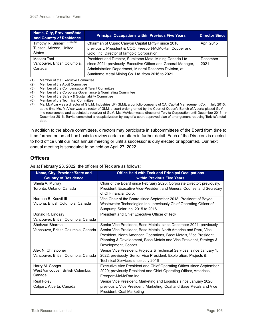| Name, City, Province/State<br>and Country of Residence | <b>Principal Occupations within Previous Five Years</b>        | <b>Director Since</b> |
|--------------------------------------------------------|----------------------------------------------------------------|-----------------------|
| Timothy R. Snider $(1)(4)(5)(6)$                       | Chairman of Cupric Canyon Capital LP/GP since 2010;            | <b>April 2015</b>     |
| Tucson, Arizona, United                                | previously, President & COO, Freeport-McMoRan Copper and       |                       |
| <b>States</b>                                          | Gold, Inc. Director of lamgold Corporation.                    |                       |
| Masaru Tani                                            | President and Director, Sumitomo Metal Mining Canada Ltd.      | December              |
| Vancouver, British Columbia.                           | since 2021; previously, Executive Officer and General Manager, | 2021                  |
| Canada                                                 | Administration Department, Mineral Reserves Division, at       |                       |
|                                                        | Sumitomo Metal Mining Co. Ltd. from 2016 to 2021.              |                       |

(1) Member of the Executive Committee

(2) Member of the Audit Committee

(3) Member of the Compensation & Talent Committee

(4) Member of the Corporate Governance & Nominating Committee

(5) Member of the Safety & Sustainability Committee

(6) Member of the Technical Committee

(7) Ms. McVicar was a director of G.L.M. Industries LP (GLM), a portfolio company of CAI Capital Management Co. In July 2015, at the time Ms. McVicar was a director of GLM, a court order granted by the Court of Queen's Bench of Alberta placed GLM into receivership and appointed a receiver of GLM. Ms. McVicar was a director of Tervita Corporation until December 2016. In December 2016, Tervita completed a recapitalization by way of a court-approved plan of arrangement reducing Terivita's total debt.

In addition to the above committees, directors may participate in subcommittees of the Board from time to time formed on an ad hoc basis to review certain matters in further detail. Each of the Directors is elected to hold office until our next annual meeting or until a successor is duly elected or appointed. Our next annual meeting is scheduled to be held on April 27, 2022.

## **Officers**

| Name, City, Province/State and      | <b>Office Held with Teck and Principal Occupations</b>                  |
|-------------------------------------|-------------------------------------------------------------------------|
| <b>Country of Residence</b>         | within Previous Five Years                                              |
| Sheila A. Murray                    | Chair of the Board since February 2020; Corporate Director; previously, |
| Toronto, Ontario, Canada            | President, Executive Vice-President and General Counsel and Secretary   |
|                                     | of CI Financial Corp.                                                   |
| Norman B. Keevil III                | Vice Chair of the Board since September 2018; President of Boydel       |
| Victoria, British Columbia, Canada  | Wastewater Technologies Inc.; previously Chief Operating Officer of     |
|                                     | Sunpump Solar Inc. 2015 to 2016                                         |
| Donald R. Lindsay                   | President and Chief Executive Officer of Teck                           |
| Vancouver, British Columbia, Canada |                                                                         |
| Shehzad Bharmal                     | Senior Vice President, Base Metals, since December 2021; previously     |
| Vancouver, British Columbia, Canada | Senior Vice President, Base Metals, North America and Peru, Vice        |
|                                     | President, North American Operations, Base Metals, Vice President,      |
|                                     | Planning & Development, Base Metals and Vice President, Strategy &      |
|                                     | Development, Copper                                                     |
| Alex N. Christopher                 | Senior Vice President, Projects & Technical Services, since January 1,  |
| Vancouver, British Columbia, Canada | 2022; previously, Senior Vice President, Exploration, Projects &        |
|                                     | Technical Services since July 2016                                      |
| Harry M. Conger                     | Executive Vice President and Chief Operating Officer since September    |
| West Vancouver, British Columbia,   | 2020; previously President and Chief Operating Officer, Americas,       |
| Canada                              | Freeport-McMoRan Inc.                                                   |
| Réal Foley                          | Senior Vice President, Marketing and Logistics since January 2020;      |
| Calgary, Alberta, Canada            | previously, Vice President, Marketing, Coal and Base Metals and Vice    |
|                                     | President, Coal Marketing                                               |

As at February 23, 2022, the officers of Teck are as follows: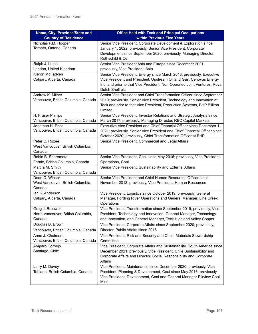| Name, City, Province/State and              | <b>Office Held with Teck and Principal Occupations</b>                                                                                 |  |  |
|---------------------------------------------|----------------------------------------------------------------------------------------------------------------------------------------|--|--|
| <b>Country of Residence</b>                 | within Previous Five Years                                                                                                             |  |  |
| Nicholas P.M. Hooper                        | Senior Vice President, Corporate Development & Exploration since                                                                       |  |  |
| Toronto, Ontario, Canada                    | January 1, 2022; previously, Senior Vice President, Corporate                                                                          |  |  |
|                                             | Development since September 2020; previously, Managing Director,                                                                       |  |  |
|                                             | Rothschild & Co.                                                                                                                       |  |  |
| Ralph J. Lutes                              | Senior Vice President Asia and Europe since December 2021;                                                                             |  |  |
| London, United Kingdom                      | previously, Vice President, Asia                                                                                                       |  |  |
| Kieron McFadyen                             | Senior Vice President, Energy since March 2018; previously, Executive                                                                  |  |  |
| Calgary, Alberta, Canada                    | Vice President and President, Upstream Oil and Gas, Cenovus Energy                                                                     |  |  |
|                                             | Inc. and prior to that Vice President, Non-Operated Joint Ventures, Royal                                                              |  |  |
|                                             | Dutch Shell plc                                                                                                                        |  |  |
| Andrew K. Milner                            | Senior Vice President and Chief Transformation Officer since September                                                                 |  |  |
| Vancouver, British Columbia, Canada         | 2019; previously, Senior Vice President, Technology and Innovation at                                                                  |  |  |
|                                             | Teck and prior to that Vice President, Production Systems, BHP Billiton                                                                |  |  |
|                                             | Limited.                                                                                                                               |  |  |
| H. Fraser Phillips                          | Senior Vice President, Investor Relations and Strategic Analysis since                                                                 |  |  |
| Vancouver, British Columbia, Canada         | March 2017; previously, Managing Director, RBC Capital Markets                                                                         |  |  |
| Jonathan H. Price                           | Executive Vice President and Chief Financial Officer since December 1,                                                                 |  |  |
| Vancouver, British Columbia, Canada         | 2021; previously, Senior Vice President and Chief Financial Officer since                                                              |  |  |
|                                             | October 2020; previously, Chief Transformation Officer at BHP                                                                          |  |  |
| Peter C. Rozee                              | Senior Vice President, Commercial and Legal Affairs                                                                                    |  |  |
| West Vancouver, British Columbia,           |                                                                                                                                        |  |  |
| Canada                                      |                                                                                                                                        |  |  |
| Robin B. Sheremeta                          | Senior Vice President, Coal since May 2016; previously, Vice President,                                                                |  |  |
| Fernie, British Columbia, Canada            | Operations, Coal                                                                                                                       |  |  |
| Marcia M. Smith                             | Senior Vice President, Sustainability and External Affairs                                                                             |  |  |
| Vancouver, British Columbia, Canada         |                                                                                                                                        |  |  |
| Dean C. Winsor                              | Senior Vice President and Chief Human Resources Officer since                                                                          |  |  |
| West Vancouver, British Columbia,<br>Canada | November 2018; previously, Vice President, Human Resources                                                                             |  |  |
| lan K. Anderson                             |                                                                                                                                        |  |  |
| Calgary, Alberta, Canada                    | Vice President, Logistics since October 2019; previously, General<br>Manager, Fording River Operations and General Manager, Line Creek |  |  |
|                                             | Operations                                                                                                                             |  |  |
| Greg J. Brouwer                             | Vice President, Transformation since September 2019; previously, Vice                                                                  |  |  |
| North Vancouver, British Columbia,          | President, Technology and Innovation, General Manager, Technology                                                                      |  |  |
| Canada                                      | and Innovation, and General Manager, Teck Highland Valley Copper                                                                       |  |  |
| Douglas B. Brown                            | Vice President, Corporate Affairs since September 2020; previously,                                                                    |  |  |
| Vancouver, British Columbia, Canada         | Director, Public Affairs since 2016                                                                                                    |  |  |
| Anne J. Chalmers                            | Vice President, Risk and Security and Chair, Materials Stewardship                                                                     |  |  |
| Vancouver, British Columbia, Canada         | Committee                                                                                                                              |  |  |
| Amparo Cornejo                              | Vice President, Corporate Affairs and Sustainability, South America since                                                              |  |  |
| Santiago, Chile                             | December 2021; previously, Vice President, Chile Sustainability and                                                                    |  |  |
|                                             | Corporate Affairs and Director, Social Responsibility and Corporate                                                                    |  |  |
|                                             | Affairs                                                                                                                                |  |  |
| Larry M. Davey                              | Vice President, Maintenance since December 2020; previously, Vice                                                                      |  |  |
| Tobiano, British Columbia, Canada           | President, Planning & Development, Coal since May 2016; previously                                                                     |  |  |
|                                             | Vice President, Development, Coal and General Manager Elkview Coal                                                                     |  |  |
|                                             | Mine                                                                                                                                   |  |  |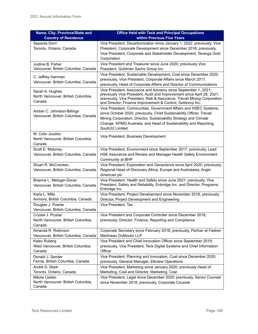| Name, City, Province/State and               | <b>Office Held with Teck and Principal Occupations</b>                                                                                  |  |  |
|----------------------------------------------|-----------------------------------------------------------------------------------------------------------------------------------------|--|--|
| <b>Country of Residence</b>                  | within Previous Five Years                                                                                                              |  |  |
| Sepanta Dorri                                | Vice President, Decarbonization since January 1, 2022; previously, Vice                                                                 |  |  |
| Toronto, Ontario, Canada                     | President, Corporate Development since December 2018; previously,                                                                       |  |  |
|                                              | Vice President, Corporate and Stakeholder Development, Teranga Gold                                                                     |  |  |
|                                              | Corporation                                                                                                                             |  |  |
| Justine B. Fisher                            | Vice President and Treasurer since June 2020; previously Vice                                                                           |  |  |
| Vancouver, British Columbia, Canada          | President, Goldman Sachs Group Inc.                                                                                                     |  |  |
| C. Jeffrey Hanman                            | Vice President, Sustainable Development, Coal since December 2020;                                                                      |  |  |
| Vancouver, British Columbia, Canada          | previously, Vice President, Corporate Affairs since March 2017;<br>previously, Head of Corporate Affairs and Director of Communications |  |  |
|                                              | Vice President, Assurance and Advisory since September 1, 2021;                                                                         |  |  |
| Sarah A. Hughes                              | previously Vice President, Audit and Improvement since April 28, 2021;                                                                  |  |  |
| North Vancouver, British Columbia,           | previously, Vice President, Risk & Assurance, Trevali Mining Corporation                                                                |  |  |
| Canada                                       | and Director, Finance Improvement & Control, Goldcorp Inc.                                                                              |  |  |
| Amber C. Johnston-Billings                   | Vice President, Communities, Government Affairs and HSEC Systems;                                                                       |  |  |
| Vancouver, British Columbia, Canada          | since October 2020; previously, Chief Sustainability Officer, Trevali                                                                   |  |  |
|                                              | Mining Corporation, Director, Sustainability Strategy and Climate                                                                       |  |  |
|                                              | Change, KPMG Australia, and Head of Sustainability and Reporting,                                                                       |  |  |
| M. Colin Joudrie                             | South32 Limited                                                                                                                         |  |  |
| North Vancouver, British Columbia,           | Vice President, Business Development                                                                                                    |  |  |
| Canada                                       |                                                                                                                                         |  |  |
| Scott E. Maloney                             | Vice President, Environment since September 2017; previously, Lead                                                                      |  |  |
| Vancouver, British Columbia, Canada          | HSE Assurance and Review and Manager Health Safety Environment                                                                          |  |  |
|                                              | Community at BHP                                                                                                                        |  |  |
| Stuart R. McCracken,                         | Vice President, Exploration and Geoscience since April 2020; previously,                                                                |  |  |
| Vancouver, British Columbia, Canada          | Regional Head of Discovery Africa, Europe and Australasia, Anglo                                                                        |  |  |
|                                              | American plc                                                                                                                            |  |  |
| Brianne L. Metzger-Doran                     | Vice President, Health and Safety since June 2021; previously, Vice                                                                     |  |  |
| Vancouver, British Columbia, Canada          | President, Safety and Reliability, Enbridge Inc. and Director, Programs,                                                                |  |  |
| Karla L. Mills                               | Enbridge Inc.                                                                                                                           |  |  |
| Anmore, British Columbia, Canada             | Vice President, Project Development since November 2018; previously,<br>Director, Project Development and Engineering                   |  |  |
| Douglas J. Powrie                            | Vice President, Tax                                                                                                                     |  |  |
| Vancouver, British Columbia, Canada          |                                                                                                                                         |  |  |
| Crystal J. Prystai                           | Vice President and Corporate Controller since December 2018;                                                                            |  |  |
| North Vancouver, British Columbia,           | previously, Director, Finance, Reporting and Compliance                                                                                 |  |  |
| Canada                                       |                                                                                                                                         |  |  |
| Amanda R. Robinson                           | Corporate Secretary since February 2018; previously, Partner at Fasken                                                                  |  |  |
| Vancouver, British Columbia, Canada          | Martineau DuMoulin LLP                                                                                                                  |  |  |
| Kalev Ruberg                                 | Vice President and Chief Innovation Officer since September 2019;                                                                       |  |  |
| West Vancouver, British Columbia,            | previously, Vice President, Teck Digital Systems and Chief Information                                                                  |  |  |
| Canada                                       | Officer                                                                                                                                 |  |  |
| Donald J. Sander                             | Vice President, Planning and Innovation, Coal since December 2020;                                                                      |  |  |
| Fernie, British Columbia, Canada             | previously, General Manager, Elkview Operations                                                                                         |  |  |
| André D. Stark                               | Vice President, Marketing since January 2020; previously Head of                                                                        |  |  |
| Toronto, Ontario, Canada                     | Marketing, Coal and Director, Marketing, Coal                                                                                           |  |  |
| Nikola Uzelac                                | Vice President, Legal since December 2020; previously, Senior Counsel                                                                   |  |  |
| North Vancouver, British Columbia,<br>Canada | since November 2018; previously, Corporate Counsel                                                                                      |  |  |
|                                              |                                                                                                                                         |  |  |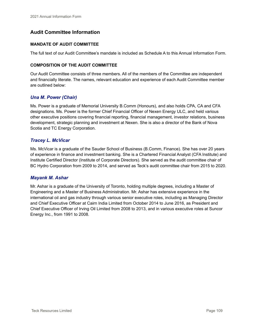## **Audit Committee Information**

### **MANDATE OF AUDIT COMMITTEE**

The full text of our Audit Committee's mandate is included as Schedule A to this Annual Information Form.

### **COMPOSITION OF THE AUDIT COMMITTEE**

Our Audit Committee consists of three members. All of the members of the Committee are independent and financially literate. The names, relevant education and experience of each Audit Committee member are outlined below:

## *Una M. Power (Chair)*

Ms. Power is a graduate of Memorial University B.Comm (Honours), and also holds CPA, CA and CFA designations. Ms. Power is the former Chief Financial Officer of Nexen Energy ULC, and held various other executive positions covering financial reporting, financial management, investor relations, business development, strategic planning and investment at Nexen. She is also a director of the Bank of Nova Scotia and TC Energy Corporation.

## *Tracey L. McVicar*

Ms. McVicar is a graduate of the Sauder School of Business (B.Comm, Finance). She has over 20 years of experience in finance and investment banking. She is a Chartered Financial Analyst (CFA Institute) and Institute Certified Director (Institute of Corporate Directors). She served as the audit committee chair of BC Hydro Corporation from 2009 to 2014, and served as Teck's audit committee chair from 2015 to 2020.

### *Mayank M. Ashar*

Mr. Ashar is a graduate of the University of Toronto, holding multiple degrees, including a Master of Engineering and a Master of Business Administration. Mr. Ashar has extensive experience in the international oil and gas industry through various senior executive roles, including as Managing Director and Chief Executive Officer at Cairn India Limited from October 2014 to June 2016, as President and Chief Executive Officer of Irving Oil Limited from 2008 to 2013, and in various executive roles at Suncor Energy Inc., from 1991 to 2008.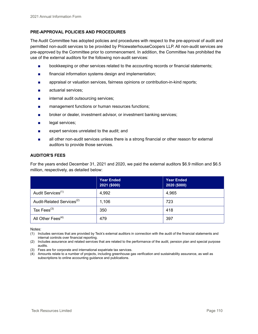### **PRE-APPROVAL POLICIES AND PROCEDURES**

The Audit Committee has adopted policies and procedures with respect to the pre-approval of audit and permitted non-audit services to be provided by PricewaterhouseCoopers LLP. All non-audit services are pre-approved by the Committee prior to commencement. In addition, the Committee has prohibited the use of the external auditors for the following non-audit services:

- bookkeeping or other services related to the accounting records or financial statements;
- financial information systems design and implementation;
- appraisal or valuation services, fairness opinions or contribution-in-kind reports;
- actuarial services:
- internal audit outsourcing services;
- management functions or human resources functions;
- broker or dealer, investment advisor, or investment banking services;
- legal services;
- expert services unrelated to the audit; and
- all other non-audit services unless there is a strong financial or other reason for external auditors to provide those services.

### **AUDITOR'S FEES**

For the years ended December 31, 2021 and 2020, we paid the external auditors \$6.9 million and \$6.5 million, respectively, as detailed below:

|                                       | <b>Year Ended</b><br>2021 (\$000) | <b>Year Ended</b><br>2020 (\$000) |
|---------------------------------------|-----------------------------------|-----------------------------------|
| Audit Services <sup>(1)</sup>         | 4,992                             | 4,965                             |
| Audit-Related Services <sup>(2)</sup> | 1,106                             | 723                               |
| Tax Fees $^{(3)}$                     | 350                               | 418                               |
| All Other Fees <sup>(4)</sup>         | 479                               | 397                               |

Notes:

(1) Includes services that are provided by Teck's external auditors in connection with the audit of the financial statements and internal controls over financial reporting.

(2) Includes assurance and related services that are related to the performance of the audit, pension plan and special purpose audits.

(3) Fees are for corporate and international expatriate tax services.

(4) Amounts relate to a number of projects, including greenhouse gas verification and sustainability assurance, as well as subscriptions to online accounting guidance and publications.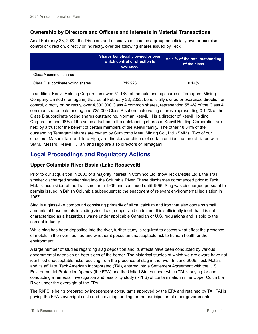## **Ownership by Directors and Officers and Interests in Material Transactions**

As at February 23, 2022, the Directors and executive officers as a group beneficially own or exercise control or direction, directly or indirectly, over the following shares issued by Teck:

|                                   | Shares beneficially owned or over<br>which control or direction is<br>exercised | As a % of the total outstanding<br>of the class |
|-----------------------------------|---------------------------------------------------------------------------------|-------------------------------------------------|
| Class A common shares             | $\overline{\phantom{0}}$                                                        |                                                 |
| Class B subordinate voting shares | 712.926                                                                         | 0.14%                                           |

In addition, Keevil Holding Corporation owns 51.16% of the outstanding shares of Temagami Mining Company Limited (Temagami) that, as at February 23, 2022, beneficially owned or exercised direction or control, directly or indirectly, over 4,300,000 Class A common shares, representing 55.4% of the Class A common shares outstanding and 725,000 Class B subordinate voting shares, representing 0.14% of the Class B subordinate voting shares outstanding. Norman Keevil, III is a director of Keevil Holding Corporation and 98% of the votes attached to the outstanding shares of Keevil Holding Corporation are held by a trust for the benefit of certain members of the Keevil family. The other 48.84% of the outstanding Temagami shares are owned by Sumitomo Metal Mining Co., Ltd. (SMM). Two of our directors, Masaru Tani and Toru Higo, are directors or officers of certain entities that are affiliated with SMM. Messrs. Keevil III, Tani and Higo are also directors of Temagami.

# **Legal Proceedings and Regulatory Actions**

## **Upper Columbia River Basin (Lake Roosevelt)**

Prior to our acquisition in 2000 of a majority interest in Cominco Ltd. (now Teck Metals Ltd.), the Trail smelter discharged smelter slag into the Columbia River. These discharges commenced prior to Teck Metals' acquisition of the Trail smelter in 1906 and continued until 1996. Slag was discharged pursuant to permits issued in British Columbia subsequent to the enactment of relevant environmental legislation in 1967.

Slag is a glass-like compound consisting primarily of silica, calcium and iron that also contains small amounts of base metals including zinc, lead, copper and cadmium. It is sufficiently inert that it is not characterized as a hazardous waste under applicable Canadian or U.S. regulations and is sold to the cement industry.

While slag has been deposited into the river, further study is required to assess what effect the presence of metals in the river has had and whether it poses an unacceptable risk to human health or the environment.

A large number of studies regarding slag deposition and its effects have been conducted by various governmental agencies on both sides of the border. The historical studies of which we are aware have not identified unacceptable risks resulting from the presence of slag in the river. In June 2006, Teck Metals and its affiliate, Teck American Incorporated (TAI), entered into a Settlement Agreement with the U.S. Environmental Protection Agency (the EPA) and the United States under which TAI is paying for and conducting a remedial investigation and feasibility study (RI/FS) of contamination in the Upper Columbia River under the oversight of the EPA.

The RI/FS is being prepared by independent consultants approved by the EPA and retained by TAI. TAI is paying the EPA's oversight costs and providing funding for the participation of other governmental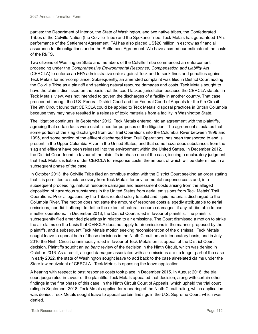parties: the Department of Interior, the State of Washington, and two native tribes, the Confederated Tribes of the Colville Nation (the Colville Tribe) and the Spokane Tribe. Teck Metals has guaranteed TAI's performance of the Settlement Agreement. TAI has also placed US\$20 million in escrow as financial assurance for its obligations under the Settlement Agreement. We have accrued our estimate of the costs of the RI/FS.

Two citizens of Washington State and members of the Colville Tribe commenced an enforcement proceeding under the *Comprehensive Environmental Response, Compensation and Liability Act* (CERCLA) to enforce an EPA administrative order against Teck and to seek fines and penalties against Teck Metals for non-compliance. Subsequently, an amended complaint was filed in District Court adding the Colville Tribe as a plaintiff and seeking natural resource damages and costs. Teck Metals sought to have the claims dismissed on the basis that the court lacked jurisdiction because the CERCLA statute, in Teck Metals' view, was not intended to govern the discharges of a facility in another country. That case proceeded through the U.S. Federal District Court and the Federal Court of Appeals for the 9th Circuit. The 9th Circuit found that CERCLA could be applied to Teck Metals' disposal practices in British Columbia because they may have resulted in a release of toxic materials from a facility in Washington State.

The litigation continues. In September 2012, Teck Metals entered into an agreement with the plaintiffs, agreeing that certain facts were established for purposes of the litigation. The agreement stipulates that some portion of the slag discharged from our Trail Operations into the Columbia River between 1896 and 1995, and some portion of the effluent discharged from Trail Operations, has been transported to and is present in the Upper Columbia River in the United States, and that some hazardous substances from the slag and effluent have been released into the environment within the United States. In December 2012, the District Court found in favour of the plaintiffs in phase one of the case, issuing a declaratory judgment that Teck Metals is liable under CERCLA for response costs, the amount of which will be determined in a subsequent phase of the case.

In October 2013, the Colville Tribe filed an omnibus motion with the District Court seeking an order stating that it is permitted to seek recovery from Teck Metals for environmental response costs and, in a subsequent proceeding, natural resource damages and assessment costs arising from the alleged deposition of hazardous substances in the United States from aerial emissions from Teck Metals' Trail Operations. Prior allegations by the Tribes related solely to solid and liquid materials discharged to the Columbia River. The motion does not state the amount of response costs allegedly attributable to aerial emissions, nor did it attempt to define the extent of natural resource damages, if any, attributable to past smelter operations. In December 2013, the District Court ruled in favour of plaintiffs. The plaintiffs subsequently filed amended pleadings in relation to air emissions. The Court dismissed a motion to strike the air claims on the basis that CERCLA does not apply to air emissions in the manner proposed by the plaintiffs, and a subsequent Teck Metals motion seeking reconsideration of the dismissal. Teck Metals sought leave to appeal both of these decisions in the Ninth Circuit on an interlocutory basis, and in July 2016 the Ninth Circuit unanimously ruled in favour of Teck Metals on its appeal of the District Court decision. Plaintiffs sought an *en banc* review of the decision in the Ninth Circuit, which was denied in October 2016. As a result, alleged damages associated with air emissions are no longer part of the case. In early 2022, the state of Washington sought leave to add back to the case air-related claims under the State law equivalent of CERCLA. Teck Metals is opposing the leave application.

A hearing with respect to past response costs took place in December 2015. In August 2016, the trial court judge ruled in favour of the plaintiffs. Teck Metals appealed that decision, along with certain other findings in the first phase of this case, in the Ninth Circuit Court of Appeals, which upheld the trial court ruling in September 2018. Teck Metals applied for rehearing of the Ninth Circuit ruling, which application was denied. Teck Metals sought leave to appeal certain findings in the U.S. Supreme Court, which was denied.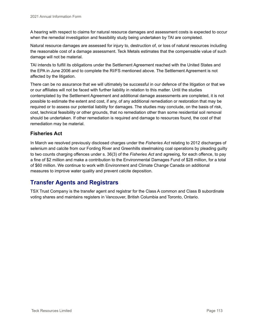A hearing with respect to claims for natural resource damages and assessment costs is expected to occur when the remedial investigation and feasibility study being undertaken by TAI are completed.

Natural resource damages are assessed for injury to, destruction of, or loss of natural resources including the reasonable cost of a damage assessment. Teck Metals estimates that the compensable value of such damage will not be material.

TAI intends to fulfill its obligations under the Settlement Agreement reached with the United States and the EPA in June 2006 and to complete the RI/FS mentioned above. The Settlement Agreement is not affected by the litigation.

There can be no assurance that we will ultimately be successful in our defence of the litigation or that we or our affiliates will not be faced with further liability in relation to this matter. Until the studies contemplated by the Settlement Agreement and additional damage assessments are completed, it is not possible to estimate the extent and cost, if any, of any additional remediation or restoration that may be required or to assess our potential liability for damages. The studies may conclude, on the basis of risk, cost, technical feasibility or other grounds, that no remediation other than some residential soil removal should be undertaken. If other remediation is required and damage to resources found, the cost of that remediation may be material.

## **Fisheries Act**

In March we resolved previously disclosed charges under the *Fisheries Act* relating to 2012 discharges of selenium and calcite from our Fording River and Greenhills steelmaking coal operations by pleading guilty to two counts charging offences under s. 36(3) of the *Fisheries Act* and agreeing, for each offence, to pay a fine of \$2 million and make a contribution to the Environmental Damages Fund of \$28 million, for a total of \$60 million. We continue to work with Environment and Climate Change Canada on additional measures to improve water quality and prevent calcite deposition.

# **Transfer Agents and Registrars**

TSX Trust Company is the transfer agent and registrar for the Class A common and Class B subordinate voting shares and maintains registers in Vancouver, British Columbia and Toronto, Ontario.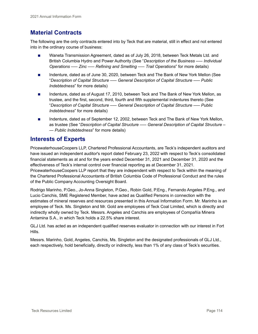# **Material Contracts**

The following are the only contracts entered into by Teck that are material, still in effect and not entered into in the ordinary course of business:

- Waneta Transmission Agreement, dated as of July 26, 2018, between Teck Metals Ltd. and British Columbia Hydro and Power Authority (See "*Description of the Business –— Individual Operations –— Zinc –— Refining and Smelting –— Trail Operations*" for more details)
- Indenture, dated as of June 30, 2020, between Teck and The Bank of New York Mellon (See "*Description of Capital Structure –— General Description of Capital Structure –— Public Indebtedness*" for more details)
- Indenture, dated as of August 17, 2010, between Teck and The Bank of New York Mellon, as trustee, and the first, second, third, fourth and fifth supplemental indentures thereto (See "*Description of Capital Structure –— General Description of Capital Structure –— Public Indebtedness*" for more details)
- Indenture, dated as of September 12, 2002, between Teck and The Bank of New York Mellon, as trustee (See "*Description of Capital Structure –— General Description of Capital Structure – — Public Indebtedness*" for more details)

# **Interests of Experts**

PricewaterhouseCoopers LLP, Chartered Professional Accountants, are Teck's independent auditors and have issued an independent auditor's report dated February 23, 2022 with respect to Teck's consolidated financial statements as at and for the years ended December 31, 2021 and December 31, 2020 and the effectiveness of Teck's internal control over financial reporting as at December 31, 2021. PricewaterhouseCoopers LLP report that they are independent with respect to Teck within the meaning of the Chartered Professional Accountants of British Columbia Code of Professional Conduct and the rules of the Public Company Accounting Oversight Board.

Rodrigo Marinho, P.Geo., Jo-Anna Singleton, P.Geo., Robin Gold, P.Eng., Fernando Angeles P.Eng., and Lucio Canchis, SME Registered Member, have acted as Qualified Persons in connection with the estimates of mineral reserves and resources presented in this Annual Information Form. Mr. Marinho is an employee of Teck. Ms. Singleton and Mr. Gold are employees of Teck Coal Limited, which is directly and indirectly wholly owned by Teck. Messrs. Angeles and Canchis are employees of Compañía Minera Antamina S.A., in which Teck holds a 22.5% share interest.

GLJ Ltd. has acted as an independent qualified reserves evaluator in connection with our interest in Fort Hills.

Messrs. Marinho, Gold, Angeles, Canchis, Ms. Singleton and the designated professionals of GLJ Ltd., each respectively, hold beneficially, directly or indirectly, less than 1% of any class of Teck's securities.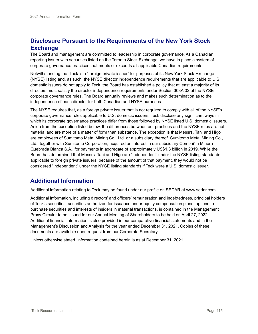# **Disclosure Pursuant to the Requirements of the New York Stock Exchange**

The Board and management are committed to leadership in corporate governance. As a Canadian reporting issuer with securities listed on the Toronto Stock Exchange, we have in place a system of corporate governance practices that meets or exceeds all applicable Canadian requirements.

Notwithstanding that Teck is a "foreign private issuer" for purposes of its New York Stock Exchange (NYSE) listing and, as such, the NYSE director independence requirements that are applicable to U.S. domestic issuers do not apply to Teck, the Board has established a policy that at least a majority of its directors must satisfy the director independence requirements under Section 303A.02 of the NYSE corporate governance rules. The Board annually reviews and makes such determination as to the independence of each director for both Canadian and NYSE purposes.

The NYSE requires that, as a foreign private issuer that is not required to comply with all of the NYSE's corporate governance rules applicable to U.S. domestic issuers, Teck disclose any significant ways in which its corporate governance practices differ from those followed by NYSE listed U.S. domestic issuers. Aside from the exception listed below, the differences between our practices and the NYSE rules are not material and are more of a matter of form than substance. The exception is that Messrs. Tani and Higo are employees of Sumitomo Metal Mining Co., Ltd. or a subsidiary thereof. Sumitomo Metal Mining Co., Ltd., together with Sumitomo Corporation, acquired an interest in our subsidiary Compañía Minera Quebrada Blanca S.A., for payments in aggregate of approximately US\$1.3 billion in 2019. While the Board has determined that Messrs. Tani and Higo are "independent" under the NYSE listing standards applicable to foreign private issuers, because of the amount of that payment, they would not be considered "independent" under the NYSE listing standards if Teck were a U.S. domestic issuer.

# **Additional Information**

Additional information relating to Teck may be found under our profile on SEDAR at www.sedar.com.

Additional information, including directors' and officers' remuneration and indebtedness, principal holders of Teck's securities, securities authorized for issuance under equity compensation plans, options to purchase securities and interests of insiders in material transactions, is contained in the Management Proxy Circular to be issued for our Annual Meeting of Shareholders to be held on April 27, 2022. Additional financial information is also provided in our comparative financial statements and in the Management's Discussion and Analysis for the year ended December 31, 2021. Copies of these documents are available upon request from our Corporate Secretary.

Unless otherwise stated, information contained herein is as at December 31, 2021.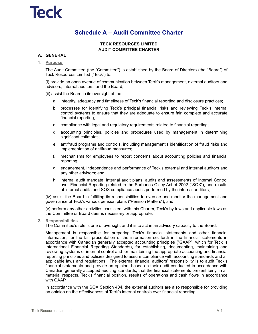

## **Schedule A – Audit Committee Charter**

## **TECK RESOURCES LIMITED AUDIT COMMITTEE CHARTER**

## **A. GENERAL**

### 1. **Purpose**

The Audit Committee (the "Committee") is established by the Board of Directors (the "Board") of Teck Resources Limited ("Teck") to:

(i) provide an open avenue of communication between Teck's management, external auditors and advisors, internal auditors, and the Board;

(ii) assist the Board in its oversight of the:

- a. integrity, adequacy and timeliness of Teck's financial reporting and disclosure practices;
- b. processes for identifying Teck's principal financial risks and reviewing Teck's internal control systems to ensure that they are adequate to ensure fair, complete and accurate financial reporting;
- c. compliance with legal and regulatory requirements related to financial reporting;
- d. accounting principles, policies and procedures used by management in determining significant estimates;
- e. antifraud programs and controls, including management's identification of fraud risks and implementation of antifraud measures;
- f. mechanisms for employees to report concerns about accounting policies and financial reporting;
- g. engagement, independence and performance of Teck's external and internal auditors and any other advisors; and
- h. internal audit mandate, internal audit plans, audits and assessments of Internal Control over Financial Reporting related to the Sarbanes-Oxley Act of 2002 ("SOX"), and results of internal audits and SOX compliance audits performed by the internal auditors;

(iv) assist the Board in fulfilling its responsibilities to oversee and monitor the management and governance of Teck's various pension plans ("Pension Matters"); and

(v) perform any other activities consistent with this Charter, Teck's by-laws and applicable laws as the Committee or Board deems necessary or appropriate.

### **2. Responsibilities**

The Committee's role is one of oversight and it is to act in an advisory capacity to the Board.

Management is responsible for preparing Teck's financial statements and other financial information, for the fair presentation of the information set forth in the financial statements in accordance with Canadian generally accepted accounting principles ("GAAP", which for Teck is International Financial Reporting Standards), for establishing, documenting, maintaining and reviewing systems of internal control and for maintaining the appropriate accounting and financial reporting principles and policies designed to assure compliance with accounting standards and all applicable laws and regulations. The external financial auditors' responsibility is to audit Teck's financial statements and provide an opinion, based on their audit conducted in accordance with Canadian generally accepted auditing standards, that the financial statements present fairly, in all material respects, Teck's financial position, results of operations and cash flows in accordance with GAAP.

In accordance with the SOX Section 404, the external auditors are also responsible for providing an opinion on the effectiveness of Teck's internal controls over financial reporting.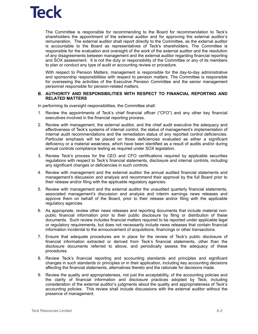

The Committee is responsible for recommending to the Board for recommendation to Teck's shareholders the appointment of the external auditor and for approving the external auditor's remuneration. The external auditor shall report directly to the Committee, as the external auditor is accountable to the Board as representatives of Teck's shareholders. The Committee is responsible for the evaluation and oversight of the work of the external auditor and the resolution of any disagreements between management and the external auditor regarding financial reporting and SOX assessment. It is not the duty or responsibility of the Committee or any of its members to plan or conduct any type of audit or accounting review or procedure.

With respect to Pension Matters, management is responsible for the day-to-day administrative and sponsorship responsibilities with respect to pension matters. The Committee is responsible for overseeing the activities of the Executive Pension Committee and the senior management personnel responsible for pension-related matters.

### **B. AUTHORITY AND RESPONSIBILITIES WITH RESPECT TO FINANCIAL REPORTING AND RELATED MATTERS**

In performing its oversight responsibilities, the Committee shall:

- 1. Review the appointments of Teck's chief financial officer ("CFO") and any other key financial executives involved in the financial reporting process.
- 2. Review with management, the external auditor, and the chief audit executive the adequacy and effectiveness of Teck's systems of internal control, the status of management's implementation of internal audit recommendations and the remediation status of any reported control deficiencies. Particular emphasis will be placed on those deficiencies evaluated as either a significant deficiency or a material weakness, which have been identified as a result of audits and/or during annual controls compliance testing as required under SOX legislation.
- 3. Review Teck's process for the CEO and CFO certifications required by applicable securities regulations with respect to Teck's financial statements, disclosure and internal controls, including any significant changes or deficiencies in such controls.
- 4. Review with management and the external auditor the annual audited financial statements and management's discussion and analysis and recommend their approval by the full Board prior to their release and/or filing with the applicable regulatory agencies.
- 5. Review with management and the external auditor the unaudited quarterly financial statements, associated management's discussion and analysis and interim earnings news releases and approve them on behalf of the Board, prior to their release and/or filing with the applicable regulatory agencies.
- 6. As appropriate, review other news releases and reporting documents that include material nonpublic financial information prior to their public disclosure by filing or distribution of these documents. Such review includes financial matters required to be reported under applicable legal or regulatory requirements, but does not necessarily include news releases that contain financial information incidental to the announcement of acquisitions, financings or other transactions.
- 7. Ensure that adequate procedures are in place for the review of Teck's public disclosure of financial information extracted or derived from Teck's financial statements, other than the disclosure documents referred to above, and periodically assess the adequacy of these procedures.
- 8. Review Teck's financial reporting and accounting standards and principles and significant changes in such standards or principles or in their application, including key accounting decisions affecting the financial statements, alternatives thereto and the rationale for decisions made.
- 9. Review the quality and appropriateness, not just the acceptability, of the accounting policies and the clarity of financial information and disclosure practices adopted by Teck, including consideration of the external auditor's judgments about the quality and appropriateness of Teck's accounting policies. This review shall include discussions with the external auditor without the presence of management.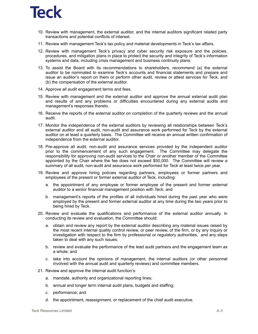# Tecl

- 10. Review with management, the external auditor, and the internal auditors significant related party transactions and potential conflicts of interest.
- 11. Review with management Teck's tax policy and material developments in Teck's tax affairs.
- 12. Review with management Teck's privacy and cyber security risk exposure and the policies, procedures, and mitigation plans in place to protect the security and integrity of Teck's information systems and data, including crisis management and business continuity plans.
- 13. To assist the Board with its recommendations to shareholders, recommend (a) the external auditor to be nominated to examine Teck's accounts and financial statements and prepare and issue an auditor's report on them or perform other audit, review or attest services for Teck, and (b) the compensation of the external auditor.
- 14. Approve all audit engagement terms and fees.
- 15. Review with management and the external auditor and approve the annual external audit plan and results of and any problems or difficulties encountered during any external audits and management's responses thereto.
- 16. Receive the reports of the external auditor on completion of the quarterly reviews and the annual audit.
- 17. Monitor the independence of the external auditors by reviewing all relationships between Teck's external auditor and all audit, non-audit and assurance work performed for Teck by the external auditor on at least a quarterly basis. The Committee will receive an annual written confirmation of independence from the external auditor.
- 18. Pre-approve all audit, non-audit and assurance services provided by the independent auditor prior to the commencement of any such engagement. The Committee may delegate the responsibility for approving non-audit services to the Chair or another member of the Committee appointed by the Chair where the fee does not exceed \$50,000. The Committee will review a summary of all audit, non-audit and assurance work performed for Teck at least twice per year.
- 19. Review and approve hiring policies regarding partners, employees or former partners and employees of the present or former external auditor of Teck, including:
	- a. the appointment of any employee or former employee of the present and former external auditor to a senior financial management position with Teck; and
	- b. management's reports of the profiles of all individuals hired during the past year who were employed by the present and former external auditor at any time during the two years prior to being hired by Teck.
- 20. Review and evaluate the qualifications and performance of the external auditor annually. In conducting its review and evaluation, the Committee should:
	- a. obtain and review any report by the external auditor describing any material issues raised by the most recent internal quality control review, or peer review, of the firm, or by any inquiry or investigation with respect to the firm by professional or regulatory authorities, and any steps taken to deal with any such issues;
	- b. review and evaluate the performance of the lead audit partners and the engagement team as a whole; and
	- c. take into account the opinions of management, the internal auditors (or other personnel involved with the annual audit and quarterly reviews) and committee members.
- 21. Review and approve the internal audit function's:
	- a. mandate, authority and organizational reporting lines;
	- b. annual and longer term internal audit plans, budgets and staffing;
	- c. performance; and
	- d. the appointment, reassignment, or replacement of the chief audit executive.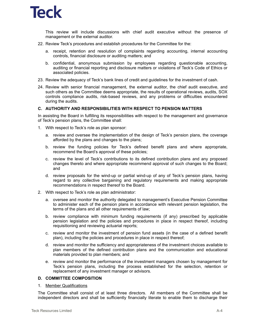

This review will include discussions with chief audit executive without the presence of management or the external auditor.

- 22. Review Teck's procedures and establish procedures for the Committee for the:
	- a. receipt, retention and resolution of complaints regarding accounting, internal accounting controls, financial disclosure or auditing matters; and
	- b. confidential, anonymous submission by employees regarding questionable accounting, auditing or financial reporting and disclosure matters or violations of Teck's Code of Ethics or associated policies.
- 23. Review the adequacy of Teck's bank lines of credit and guidelines for the investment of cash.
- 24. Review with senior financial management, the external auditor, the chief audit executive, and such others as the Committee deems appropriate, the results of operational reviews, audits, SOX controls compliance audits, risk-based reviews, and any problems or difficulties encountered during the audits.

#### **C. AUTHORITY AND RESPONSIBILITIES WITH RESPECT TO PENSION MATTERS**

In assisting the Board in fulfilling its responsibilities with respect to the management and governance of Teck's pension plans, the Committee shall:

- 1. With respect to Teck's role as plan sponsor:
	- a. review and oversee the implementation of the design of Teck's pension plans, the coverage afforded by the plans and changes to the plans;
	- b. review the funding policies for Teck's defined benefit plans and where appropriate, recommend the Board's approval of these policies;
	- c. review the level of Teck's contributions to its defined contribution plans and any proposed changes thereto and where appropriate recommend approval of such changes to the Board; and
	- d. review proposals for the wind-up or partial wind-up of any of Teck's pension plans, having regard to any collective bargaining and regulatory requirements and making appropriate recommendations in respect thereof to the Board.
- 2. With respect to Teck's role as plan administrator:
	- a. oversee and monitor the authority delegated to management's Executive Pension Committee to administer each of the pension plans in accordance with relevant pension legislation, the terms of the plans and all other requirements of law;
	- b. review compliance with minimum funding requirements (if any) prescribed by applicable pension legislation and the policies and procedures in place in respect thereof, including requisitioning and reviewing actuarial reports;
	- c. review and monitor the investment of pension fund assets (in the case of a defined benefit plan), including the policies and procedures in place in respect thereof;
	- d. review and monitor the sufficiency and appropriateness of the investment choices available to plan members of the defined contribution plans and the communication and educational materials provided to plan members; and
	- e. review and monitor the performance of the investment managers chosen by management for Teck's pension plans, including the process established for the selection, retention or replacement of any investment manager or advisors.

### **D. COMMITTEE COMPOSITION**

### 1. Member Qualifications

The Committee shall consist of at least three directors. All members of the Committee shall be independent directors and shall be sufficiently financially literate to enable them to discharge their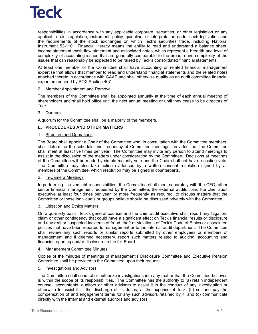

responsibilities in accordance with any applicable corporate, securities, or other legislation or any applicable rule, regulation, instrument, policy, guideline, or interpretation under such legislation and the requirements of the stock exchanges on which Teck's securities trade, including National Instrument 52-110. Financial literacy means the ability to read and understand a balance sheet, income statement, cash flow statement and associated notes, which represent a breadth and level of complexity of accounting issues that are generally comparable to the breadth and complexity of the issues that can reasonably be expected to be raised by Teck's consolidated financial statements.

At least one member of the Committee shall have accounting or related financial management expertise that allows that member to read and understand financial statements and the related notes attached thereto in accordance with GAAP and shall otherwise qualify as an audit committee financial expert as required by SOX Section 407.

### 2. Member Appointment and Removal

The members of the Committee shall be appointed annually at the time of each annual meeting of shareholders and shall hold office until the next annual meeting or until they cease to be directors of Teck.

### 3. Quorum

A quorum for the Committee shall be a majority of the members.

### **E. PROCEDURES AND OTHER MATTERS**

### 1. Structure and Operations

The Board shall appoint a Chair of the Committee who, in consultation with the Committee members, shall determine the schedule and frequency of Committee meetings, provided that the Committee shall meet at least five times per year. The Committee may invite any person to attend meetings to assist in the discussion of the matters under consideration by the Committee. Decisions at meetings of the Committee will be made by simple majority vote and the Chair shall not have a casting vote. The Committee may also take action evidenced by a written consent resolution signed by all members of the Committee, which resolution may be signed in counterparts.

### 2. In-Camera Meetings

In performing its oversight responsibilities, the Committee shall meet separately with the CFO, other senior financial management requested by the Committee, the external auditor, and the chief audit executive at least four times per year, or more frequently as required, to discuss matters that the Committee or these individuals or groups believe should be discussed privately with the Committee.

### 3. Litigation and Ethics Matters

On a quarterly basis, Teck's general counsel and the chief audit executive shall report any litigation, claim or other contingency that could have a significant effect on Teck's financial results or disclosure and any real or suspected incidents of fraud, theft or violations of Teck's Code of Ethics or associated policies that have been reported to management or to the internal audit department. The Committee shall review any such reports or similar reports submitted by other employees or members of management and if deemed necessary, report such matters related to auditing, accounting and financial reporting and/or disclosure to the full Board.

### 4. Management Committee Minutes

Copies of the minutes of meetings of management's Disclosure Committee and Executive Pension Committee shall be provided to the Committee upon their request.

### 5. Investigations and Advisors

The Committee shall conduct or authorize investigations into any matter that the Committee believes is within the scope of its responsibilities. The Committee has the authority to (a) retain independent counsel, accountants, auditors or other advisors to assist it in the conduct of any investigation or otherwise to assist it in the discharge of its duties, at the expense of Teck, (b) set and pay the compensation of and engagement terms for any such advisors retained by it, and (c) communicate directly with the internal and external auditors and advisors.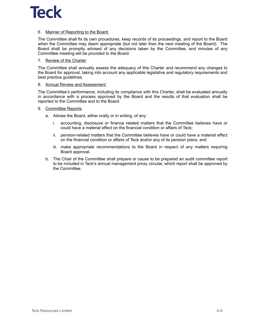# Teck

### 6. Manner of Reporting to the Board

The Committee shall fix its own procedures, keep records of its proceedings, and report to the Board when the Committee may deem appropriate (but not later than the next meeting of the Board). The Board shall be promptly advised of any decisions taken by the Committee, and minutes of any Committee meeting will be provided to the Board.

### 7. Review of the Charter

The Committee shall annually assess the adequacy of this Charter and recommend any changes to the Board for approval, taking into account any applicable legislative and regulatory requirements and best practice guidelines.

### 8. Annual Review and Assessment

The Committee's performance, including its compliance with this Charter, shall be evaluated annually in accordance with a process approved by the Board and the results of that evaluation shall be reported to the Committee and to the Board.

### 9. Committee Reports

- a. Advise the Board, either orally or in writing, of any:
	- i. accounting, disclosure or finance related matters that the Committee believes have or could have a material effect on the financial condition or affairs of Teck;
	- ii. pension-related matters that the Committee believes have or could have a material effect on the financial condition or affairs of Teck and/or any of its pension plans; and
	- iii. make appropriate recommendations to the Board in respect of any matters requiring Board approval.
- b. The Chair of the Committee shall prepare or cause to be prepared an audit committee report to be included in Teck's annual management proxy circular, which report shall be approved by the Committee.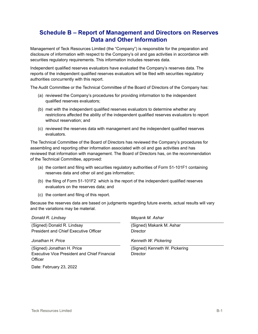## **Schedule B – Report of Management and Directors on Reserves Data and Other Information**

Management of Teck Resources Limited (the "Company") is responsible for the preparation and disclosure of information with respect to the Company's oil and gas activities in accordance with securities regulatory requirements. This information includes reserves data.

Independent qualified reserves evaluators have evaluated the Company's reserves data. The reports of the independent qualified reserves evaluators will be filed with securities regulatory authorities concurrently with this report.

The Audit Committee or the Technical Committee of the Board of Directors of the Company has:

- (a) reviewed the Company's procedures for providing information to the independent qualified reserves evaluators;
- (b) met with the independent qualified reserves evaluators to determine whether any restrictions affected the ability of the independent qualified reserves evaluators to report without reservation; and
- (c) reviewed the reserves data with management and the independent qualified reserves evaluators.

The Technical Committee of the Board of Directors has reviewed the Company's procedures for assembling and reporting other information associated with oil and gas activities and has reviewed that information with management. The Board of Directors has, on the recommendation of the Technical Committee, approved:

- (a) the content and filing with securities regulatory authorities of Form 51-101F1 containing reserves data and other oil and gas information;
- (b) the filing of Form 51-101F2 which is the report of the independent qualified reserves evaluators on the reserves data; and
- (c) the content and filing of this report.

Because the reserves data are based on judgments regarding future events, actual results will vary and the variations may be material.

*Donald R. Lindsay Mayank M. Ashar* (Signed) Donald R. Lindsay President and Chief Executive Officer **Director** *Jonathan H. Price Kenneth W. Pickering* (Signed) Jonathan H. Price Executive Vice President and Chief Financial **Officer Director** 

Date: February 23, 2022

(Signed) Makank M. Ashar

(Signed) Kenneth W. Pickering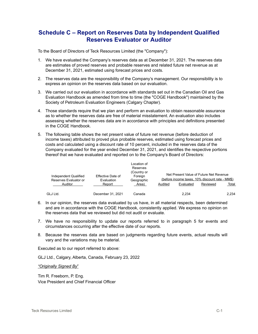# **Schedule C – Report on Reserves Data by Independent Qualified Reserves Evaluator or Auditor**

To the Board of Directors of Teck Resources Limited (the "Company"):

- 1. We have evaluated the Company's reserves data as at December 31, 2021. The reserves data are estimates of proved reserves and probable reserves and related future net revenue as at December 31, 2021, estimated using forecast prices and costs.
- 2. The reserves data are the responsibility of the Company's management. Our responsibility is to express an opinion on the reserves data based on our evaluation.
- 3. We carried out our evaluation in accordance with standards set out in the Canadian Oil and Gas Evaluation Handbook as amended from time to time (the "COGE Handbook") maintained by the Society of Petroleum Evaluation Engineers (Calgary Chapter).
- 4. Those standards require that we plan and perform an evaluation to obtain reasonable assurance as to whether the reserves data are free of material misstatement. An evaluation also includes assessing whether the reserves data are in accordance with principles and definitions presented in the COGE Handbook.
- 5. The following table shows the net present value of future net revenue (before deduction of income taxes) attributed to proved plus probable reserves, estimated using forecast prices and costs and calculated using a discount rate of 10 percent, included in the reserves data of the Company evaluated for the year ended December 31, 2021, and identifies the respective portions thereof that we have evaluated and reported on to the Company's Board of Directors:

|                                                |                                 | Location of<br>Reserves              |         |           |                                                                                            |       |
|------------------------------------------------|---------------------------------|--------------------------------------|---------|-----------|--------------------------------------------------------------------------------------------|-------|
| Independent Qualified<br>Reserves Evaluator or | Effective Date of<br>Evaluation | (Country or<br>Foreign<br>Geographic |         |           | Net Present Value of Future Net Revenue<br>(before income taxes, 10% discount rate - MM\$) |       |
| Auditor                                        | Report                          | Area)                                | Audited | Evaluated | Reviewed                                                                                   | Total |
| GLJ Ltd.                                       | December 31, 2021               | Canada                               |         | 2.234     |                                                                                            | 2.234 |

- 6. In our opinion, the reserves data evaluated by us have, in all material respects, been determined and are in accordance with the COGE Handbook, consistently applied. We express no opinion on the reserves data that we reviewed but did not audit or evaluate.
- 7. We have no responsibility to update our reports referred to in paragraph 5 for events and circumstances occurring after the effective date of our reports.
- 8. Because the reserves data are based on judgments regarding future events, actual results will vary and the variations may be material.

Executed as to our report referred to above:

GLJ Ltd., Calgary, Alberta, Canada, February 23, 2022

*"Originally Signed By*"

Tim R. Freeborn, P. Eng. Vice President and Chief Financial Officer